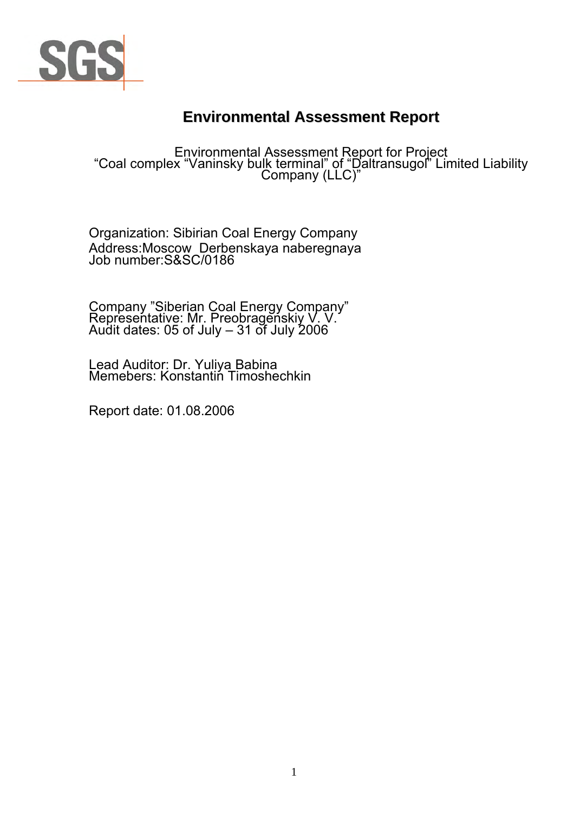

# **Environmental Assessment Report**

Environmental Assessment Report for Project<br>"Coal complex "Vaninsky bulk terminal" of "Daltransugol" Limited Liability<br>Company (LLC)"

Organization: Sibirian Coal Energy Company Address:Moscow Derbenskaya naberegnaya Job number:S&SC/0186

Company "Siberian Coal Energy Company" Representative: Mr. Preobragenskiy V. V. Audit dates: 05 of July – 31 of July 2006

Lead Auditor: Dr. Yuliya Babina Memebers: Konstantiń Timoshechkin

Report date: 01.08.2006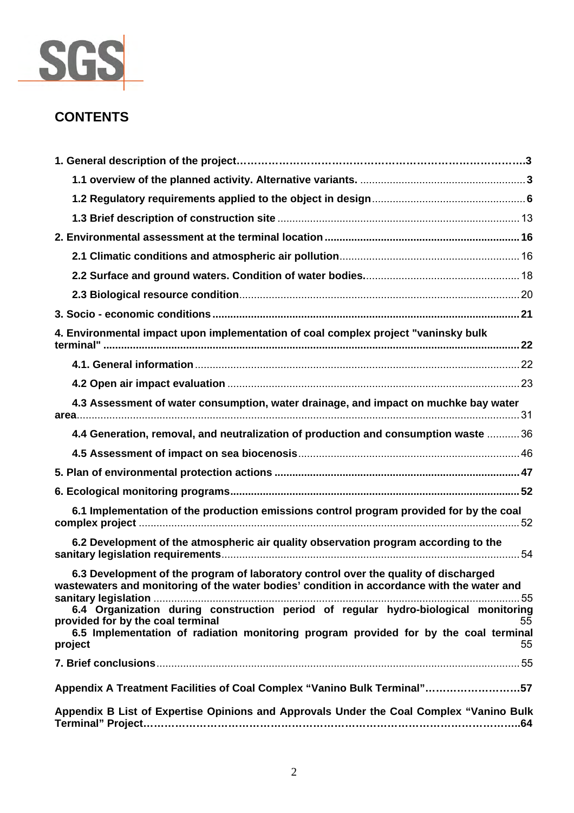

# **CONTENTS**

| 4. Environmental impact upon implementation of coal complex project "vaninsky bulk                                                                                                                                                     |
|----------------------------------------------------------------------------------------------------------------------------------------------------------------------------------------------------------------------------------------|
|                                                                                                                                                                                                                                        |
|                                                                                                                                                                                                                                        |
| 4.3 Assessment of water consumption, water drainage, and impact on muchke bay water                                                                                                                                                    |
| 4.4 Generation, removal, and neutralization of production and consumption waste  36                                                                                                                                                    |
|                                                                                                                                                                                                                                        |
|                                                                                                                                                                                                                                        |
|                                                                                                                                                                                                                                        |
| 6.1 Implementation of the production emissions control program provided for by the coal                                                                                                                                                |
| 6.2 Development of the atmospheric air quality observation program according to the                                                                                                                                                    |
| 6.3 Development of the program of laboratory control over the quality of discharged<br>wastewaters and monitoring of the water bodies' condition in accordance with the water and                                                      |
| 6.4 Organization during construction period of regular hydro-biological monitoring<br>provided for by the coal terminal<br>55<br>6.5 Implementation of radiation monitoring program provided for by the coal terminal<br>55<br>project |
|                                                                                                                                                                                                                                        |
| Appendix A Treatment Facilities of Coal Complex "Vanino Bulk Terminal"57                                                                                                                                                               |
| Appendix B List of Expertise Opinions and Approvals Under the Coal Complex "Vanino Bulk                                                                                                                                                |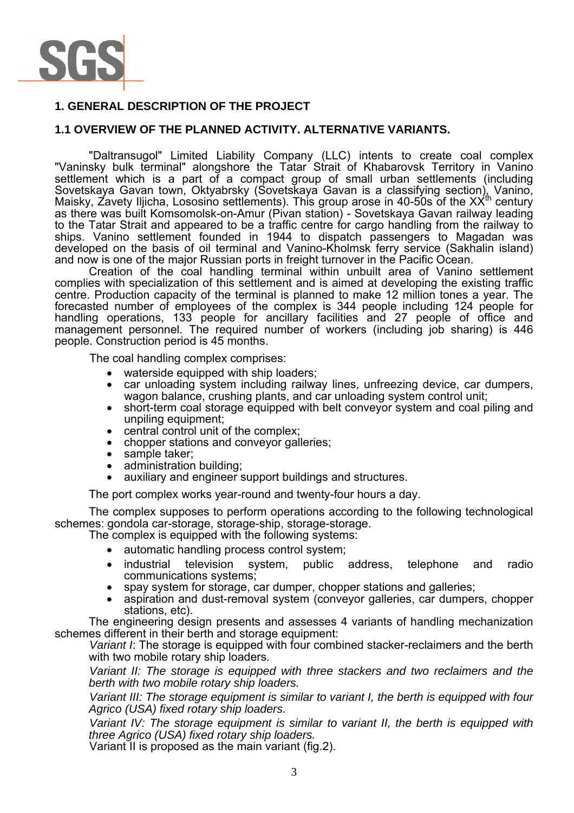

# **1. GENERAL DESCRIPTION OF THE PROJECT**

# **1.1 OVERVIEW OF THE PLANNED ACTIVITY. ALTERNATIVE VARIANTS.**

"Daltransugol" Limited Liability Company (LLC) intents to create coal complex "Vaninsky bulk terminal" alongshore the Tatar Strait of Khabarovsk Territory in Vanino settlement which is a part of a compact group of small urban settlements (including Sovetskaya Gavan town, Oktyabrsky (Sovetskaya Gavan is a classifying section), Vanino, Maisky, Zavety Iljicha, Lososino settlements). This group arose in 40-50s of the XXth century as there was built Komsomolsk-on-Amur (Pivan station) - Sovetskaya Gavan railway leading to the Tatar Strait and appeared to be a traffic centre for cargo handling from the railway to ships. Vanino settlement founded in 1944 to dispatch passengers to Magadan was developed on the basis of oil terminal and Vanino-Kholmsk ferry service (Sakhalin island) and now is one of the major Russian ports in freight turnover in the Pacific Ocean.

Creation of the coal handling terminal within unbuilt area of Vanino settlement complies with specialization of this settlement and is aimed at developing the existing traffic centre. Production capacity of the terminal is planned to make 12 million tones a year. The forecasted number of employees of the complex is 344 people including 124 people for handling operations, 133 people for ancillary facilities and 27 people of office and management personnel. The required number of workers (including job sharing) is 446 people. Construction period is 45 months.

The coal handling complex comprises:

- waterside equipped with ship loaders;
- car unloading system including railway lines, unfreezing device, car dumpers, wagon balance, crushing plants, and car unloading system control unit;
- short-term coal storage equipped with belt conveyor system and coal piling and unpiling equipment;
- central control unit of the complex;
- chopper stations and conveyor galleries;
- sample taker;
- administration building;
- auxiliary and engineer support buildings and structures.

The port complex works year-round and twenty-four hours a day.

The complex supposes to perform operations according to the following technological schemes: gondola car-storage, storage-ship, storage-storage.

The complex is equipped with the following systems:

- automatic handling process control system;
- industrial television system, public address, telephone and radio communications systems;
- spay system for storage, car dumper, chopper stations and galleries;
- aspiration and dust-removal system (conveyor galleries, car dumpers, chopper stations, etc).

The engineering design presents and assesses 4 variants of handling mechanization schemes different in their berth and storage equipment:

*Variant I*: The storage is equipped with four combined stacker-reclaimers and the berth with two mobile rotary ship loaders.

*Variant II: The storage is equipped with three stackers and two reclaimers and the berth with two mobile rotary ship loaders.* 

*Variant III: The storage equipment is similar to variant I, the berth is equipped with four Agrico (USA) fixed rotary ship loaders.* 

*Variant IV: The storage equipment is similar to variant II, the berth is equipped with three Agrico (USA) fixed rotary ship loaders.* 

Variant II is proposed as the main variant (fig.2).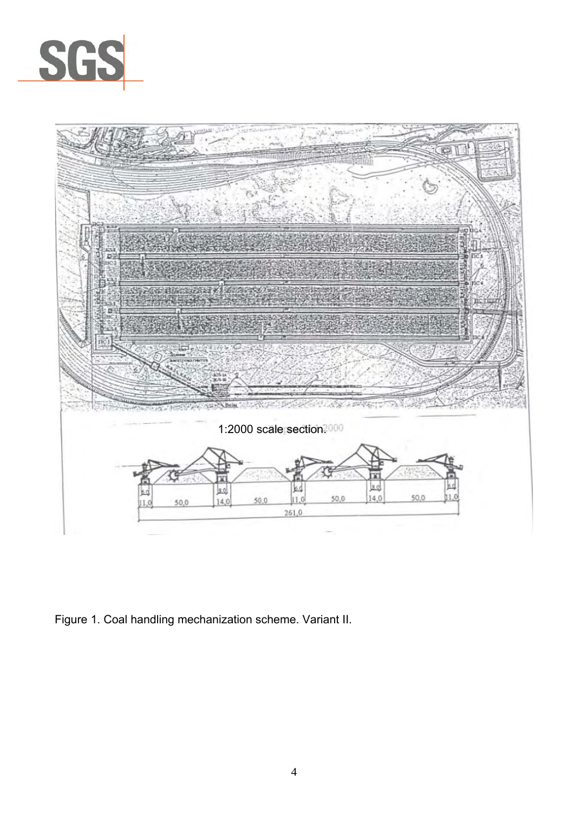



Figure 1. Coal handling mechanization scheme. Variant II.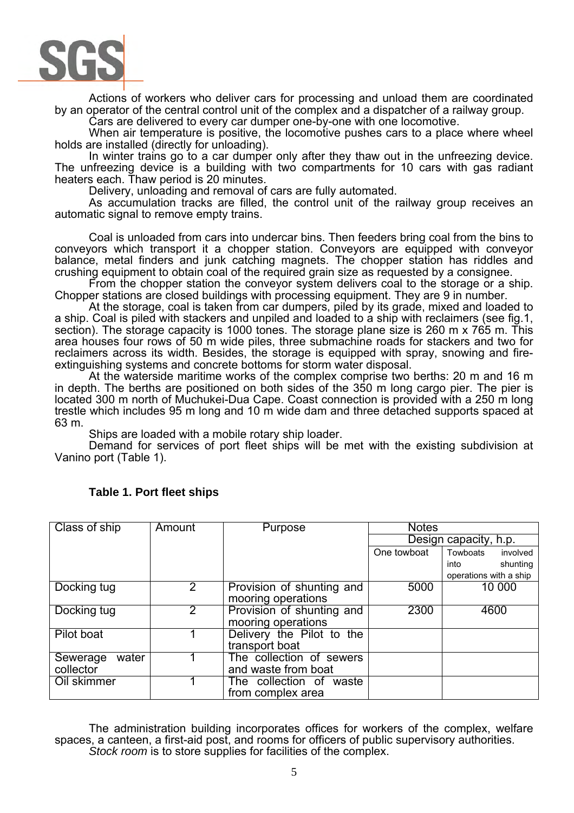

Actions of workers who deliver cars for processing and unload them are coordinated by an operator of the central control unit of the complex and a dispatcher of a railway group.

Cars are delivered to every car dumper one-by-one with one locomotive.

When air temperature is positive, the locomotive pushes cars to a place where wheel holds are installed (directly for unloading).

In winter trains go to a car dumper only after they thaw out in the unfreezing device. The unfreezing device is a building with two compartments for 10 cars with gas radiant heaters each. Thaw period is 20 minutes.

Delivery, unloading and removal of cars are fully automated.

As accumulation tracks are filled, the control unit of the railway group receives an automatic signal to remove empty trains.

Coal is unloaded from cars into undercar bins. Then feeders bring coal from the bins to conveyors which transport it a chopper station. Conveyors are equipped with conveyor balance, metal finders and junk catching magnets. The chopper station has riddles and crushing equipment to obtain coal of the required grain size as requested by a consignee.

From the chopper station the convevor system delivers coal to the storage or a ship. Chopper stations are closed buildings with processing equipment. They are 9 in number.

At the storage, coal is taken from car dumpers, piled by its grade, mixed and loaded to a ship. Coal is piled with stackers and unpiled and loaded to a ship with reclaimers (see fig.1, section). The storage capacity is 1000 tones. The storage plane size is 260 m x 765 m. This area houses four rows of 50 m wide piles, three submachine roads for stackers and two for reclaimers across its width. Besides, the storage is equipped with spray, snowing and fireextinguishing systems and concrete bottoms for storm water disposal.

At the waterside maritime works of the complex comprise two berths: 20 m and 16 m in depth. The berths are positioned on both sides of the 350 m long cargo pier. The pier is located 300 m north of Muchukei-Dua Cape. Coast connection is provided with a 250 m long trestle which includes 95 m long and 10 m wide dam and three detached supports spaced at 63 m.

Ships are loaded with a mobile rotary ship loader.

Demand for services of port fleet ships will be met with the existing subdivision at Vanino port (Table 1).

| Class of ship     | Amount         | Purpose                   | <b>Notes</b>          |                        |
|-------------------|----------------|---------------------------|-----------------------|------------------------|
|                   |                |                           | Design capacity, h.p. |                        |
|                   |                |                           | One towboat           | Towboats<br>involved   |
|                   |                |                           |                       | shunting<br>into       |
|                   |                |                           |                       | operations with a ship |
| Docking tug       | $2^{\circ}$    | Provision of shunting and | 5000                  | 10 000                 |
|                   |                | mooring operations        |                       |                        |
| Docking tug       | $\overline{2}$ | Provision of shunting and | 2300                  | 4600                   |
|                   |                | mooring operations        |                       |                        |
| Pilot boat        |                | Delivery the Pilot to the |                       |                        |
|                   |                | transport boat            |                       |                        |
| water<br>Sewerage |                | The collection of sewers  |                       |                        |
| collector         |                | and waste from boat       |                       |                        |
| Oil skimmer       |                | The collection of waste   |                       |                        |
|                   |                | from complex area         |                       |                        |

# **Table 1. Port fleet ships**

The administration building incorporates offices for workers of the complex, welfare spaces, a canteen, a first-aid post, and rooms for officers of public supervisory authorities. *Stock room* is to store supplies for facilities of the complex.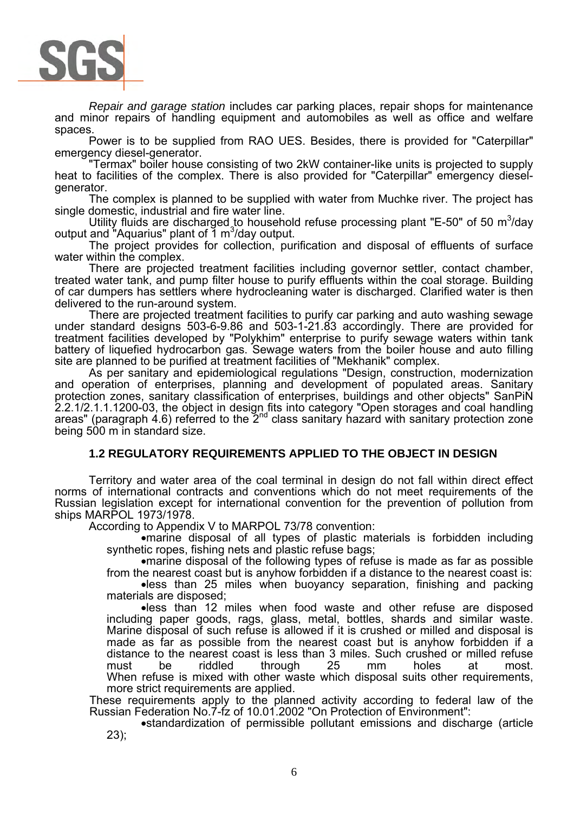

*Repair and garage station* includes car parking places, repair shops for maintenance and minor repairs of handling equipment and automobiles as well as office and welfare spaces.

Power is to be supplied from RAO UES. Besides, there is provided for "Caterpillar" emergency diesel-generator.

"Termax" boiler house consisting of two 2kW container-like units is projected to supply heat to facilities of the complex. There is also provided for "Caterpillar" emergency dieselgenerator.

The complex is planned to be supplied with water from Muchke river. The project has single domestic, industrial and fire water line.

Utility fluids are discharged to household refuse processing plant "E-50" of 50 m<sup>3</sup>/day output and "Aquarius" plant of  $1 \text{ m}^3$ /day output.

The project provides for collection, purification and disposal of effluents of surface water within the complex.

There are projected treatment facilities including governor settler, contact chamber, treated water tank, and pump filter house to purify effluents within the coal storage. Building of car dumpers has settlers where hydrocleaning water is discharged. Clarified water is then delivered to the run-around system.

There are projected treatment facilities to purify car parking and auto washing sewage under standard designs 503-6-9.86 and 503-1-21.83 accordingly. There are provided for treatment facilities developed by "Polykhim" enterprise to purify sewage waters within tank battery of liquefied hydrocarbon gas. Sewage waters from the boiler house and auto filling site are planned to be purified at treatment facilities of "Mekhanik" complex.

As per sanitary and epidemiological regulations "Design, construction, modernization and operation of enterprises, planning and development of populated areas. Sanitary protection zones, sanitary classification of enterprises, buildings and other objects" SanPiN 2.2.1/2.1.1.1200-03, the object in design fits into category "Open storages and coal handling areas" (paragraph 4.6) referred to the  $2^{nd}$  class sanitary hazard with sanitary protection zone being 500 m in standard size.

# **1.2 REGULATORY REQUIREMENTS APPLIED TO THE OBJECT IN DESIGN**

Territory and water area of the coal terminal in design do not fall within direct effect norms of international contracts and conventions which do not meet requirements of the Russian legislation except for international convention for the prevention of pollution from ships MARPOL 1973/1978.

According to Appendix V to MARPOL 73/78 convention:

•marine disposal of all types of plastic materials is forbidden including synthetic ropes, fishing nets and plastic refuse bags;

•marine disposal of the following types of refuse is made as far as possible from the nearest coast but is anyhow forbidden if a distance to the nearest coast is: •less than 25 miles when buoyancy separation, finishing and packing materials are disposed;

•less than 12 miles when food waste and other refuse are disposed including paper goods, rags, glass, metal, bottles, shards and similar waste. Marine disposal of such refuse is allowed if it is crushed or milled and disposal is made as far as possible from the nearest coast but is anyhow forbidden if a distance to the nearest coast is less than 3 miles. Such crushed or milled refuse must be riddled through 25 mm holes at most. When refuse is mixed with other waste which disposal suits other requirements, more strict requirements are applied.

These requirements apply to the planned activity according to federal law of the Russian Federation No.7-fz of 10.01.2002 "On Protection of Environment":

•standardization of permissible pollutant emissions and discharge (article 23);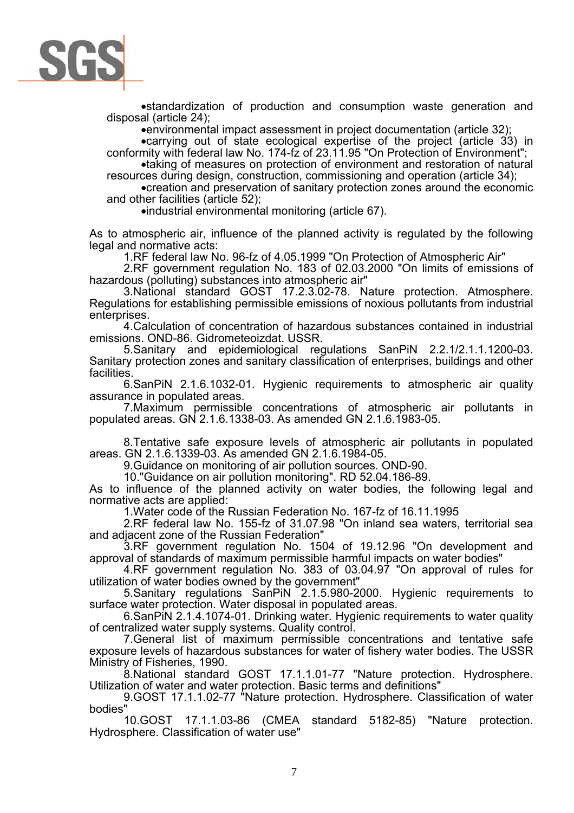

•standardization of production and consumption waste generation and disposal (article 24);

•environmental impact assessment in project documentation (article 32);

•carrying out of state ecological expertise of the project (article 33) in conformity with federal law No. 174-fz of 23.11.95 "On Protection of Environment";

•taking of measures on protection of environment and restoration of natural resources during design, construction, commissioning and operation (article 34);

•creation and preservation of sanitary protection zones around the economic and other facilities (article 52);

•industrial environmental monitoring (article 67).

As to atmospheric air, influence of the planned activity is regulated by the following legal and normative acts:

1.RF federal law No. 96-fz of 4.05.1999 "On Protection of Atmospheric Air"

2.RF government regulation No. 183 of 02.03.2000 "On limits of emissions of hazardous (polluting) substances into atmospheric air"

3.National standard GOST 17.2.3.02-78. Nature protection. Atmosphere. Regulations for establishing permissible emissions of noxious pollutants from industrial enterprises.

4.Calculation of concentration of hazardous substances contained in industrial emissions. OND-86. Gidrometeoizdat. USSR.

5.Sanitary and epidemiological regulations SanPiN 2.2.1/2.1.1.1200-03. Sanitary protection zones and sanitary classification of enterprises, buildings and other facilities.

6.SanPiN 2.1.6.1032-01. Hygienic requirements to atmospheric air quality assurance in populated areas.

7.Maximum permissible concentrations of atmospheric air pollutants in populated areas. GN 2.1.6.1338-03. As amended GN 2.1.6.1983-05.

8.Tentative safe exposure levels of atmospheric air pollutants in populated areas. GN 2.1.6.1339-03. As amended GN 2.1.6.1984-05.

9.Guidance on monitoring of air pollution sources. OND-90.

10."Guidance on air pollution monitoring". RD 52.04.186-89.

As to influence of the planned activity on water bodies, the following legal and normative acts are applied:

1.Water code of the Russian Federation No. 167-fz of 16.11.1995

2.RF federal law No. 155-fz of 31.07.98 "On inland sea waters, territorial sea and adjacent zone of the Russian Federation"

3.RF government regulation No. 1504 of 19.12.96 "On development and approval of standards of maximum permissible harmful impacts on water bodies"

4.RF government regulation No. 383 of 03.04.97 "On approval of rules for utilization of water bodies owned by the government"

5.Sanitary regulations SanPiN 2.1.5.980-2000. Hygienic requirements to surface water protection. Water disposal in populated areas.

6.SanPiN 2.1.4.1074-01. Drinking water. Hygienic requirements to water quality of centralized water supply systems. Quality control.

7.General list of maximum permissible concentrations and tentative safe exposure levels of hazardous substances for water of fishery water bodies. The USSR Ministry of Fisheries, 1990.

8.National standard GOST 17.1.1.01-77 "Nature protection. Hydrosphere. Utilization of water and water protection. Basic terms and definitions"

9.GOST 17.1.1.02-77 "Nature protection. Hydrosphere. Classification of water bodies"

10.GOST 17.1.1.03-86 (CMEA standard 5182-85) "Nature protection. Hydrosphere. Classification of water use"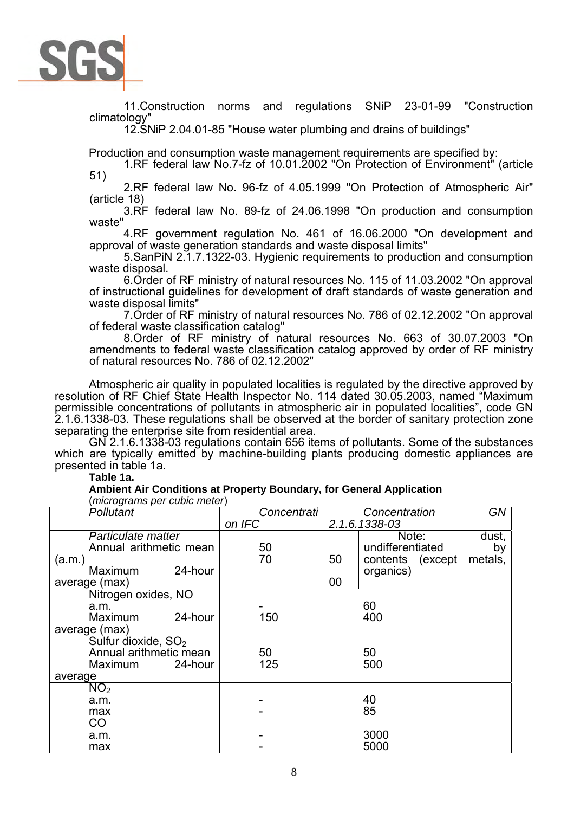

11.Construction norms and regulations SNiP 23-01-99 "Construction climatology"

12.SNiP 2.04.01-85 "House water plumbing and drains of buildings"

Production and consumption waste management requirements are specified by:

1.RF federal law No.7-fz of 10.01.2002 "On Protection of Environment" (article 51)

2.RF federal law No. 96-fz of 4.05.1999 "On Protection of Atmospheric Air" (article 18)

3.RF federal law No. 89-fz of 24.06.1998 "On production and consumption waste"

4.RF government regulation No. 461 of 16.06.2000 "On development and approval of waste generation standards and waste disposal limits"

5.SanPiN 2.1.7.1322-03. Hygienic requirements to production and consumption waste disposal.

6.Order of RF ministry of natural resources No. 115 of 11.03.2002 "On approval of instructional guidelines for development of draft standards of waste generation and waste disposal limits"

7.Order of RF ministry of natural resources No. 786 of 02.12.2002 "On approval of federal waste classification catalog"

8.Order of RF ministry of natural resources No. 663 of 30.07.2003 "On amendments to federal waste classification catalog approved by order of RF ministry of natural resources No. 786 of 02.12.2002"

Atmospheric air quality in populated localities is regulated by the directive approved by resolution of RF Chief State Health Inspector No. 114 dated 30.05.2003, named "Maximum permissible concentrations of pollutants in atmospheric air in populated localities", code GN 2.1.6.1338-03. These regulations shall be observed at the border of sanitary protection zone separating the enterprise site from residential area.

GN 2.1.6.1338-03 regulations contain 656 items of pollutants. Some of the substances which are typically emitted by machine-building plants producing domestic appliances are presented in table 1a.

### **Table 1a.**

**Ambient Air Conditions at Property Boundary, for General Application**  (*micrograms per cubic meter*)

| <i>morograms por bablo motor</i><br>Pollutant | Concentrati |               | Concentration    | GN      |
|-----------------------------------------------|-------------|---------------|------------------|---------|
|                                               | on IFC      | 2.1.6.1338-03 |                  |         |
| Particulate matter                            |             |               | Note:            | dust,   |
| Annual arithmetic mean                        | 50          |               | undifferentiated | by      |
| (a.m.)                                        | 70          | 50            | contents (except | metals, |
| 24-hour<br><b>Maximum</b>                     |             |               | organics)        |         |
| average (max)                                 |             | 00            |                  |         |
| Nitrogen oxides, NO                           |             |               |                  |         |
| a.m.                                          |             |               | 60               |         |
| 24-hour<br><b>Maximum</b>                     | 150         |               | 400              |         |
| average (max)                                 |             |               |                  |         |
| Sulfur dioxide, SO <sub>2</sub>               |             |               |                  |         |
| Annual arithmetic mean                        | 50          |               | 50               |         |
| 24-hour<br>Maximum                            | 125         |               | 500              |         |
| average                                       |             |               |                  |         |
| NO <sub>2</sub>                               |             |               |                  |         |
| a.m.                                          |             |               | 40               |         |
| max                                           |             |               | 85               |         |
| CO                                            |             |               |                  |         |
| a.m.                                          |             |               | 3000             |         |
| max                                           |             |               | 5000             |         |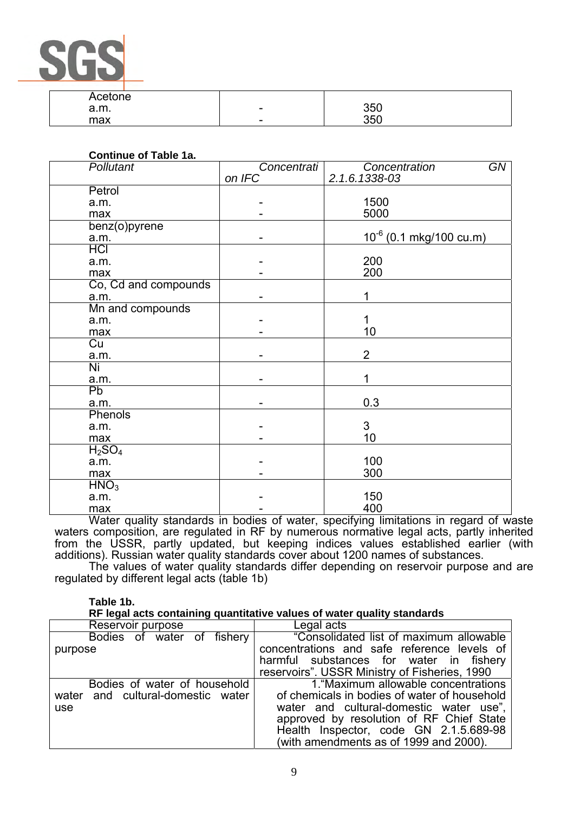| ÷ |  |
|---|--|

| Acetone |                          |     |
|---------|--------------------------|-----|
| a.m.    | $\overline{\phantom{0}}$ | 350 |
| max     | $\overline{\phantom{0}}$ | 350 |

| <b>Continue of Table 1a.</b>   |             |                              |
|--------------------------------|-------------|------------------------------|
| <b>Pollutant</b>               | Concentrati | GN<br>Concentration          |
|                                | on IFC      | 2.1.6.1338-03                |
| Petrol                         |             |                              |
| a.m.                           |             | 1500                         |
| max                            |             | 5000                         |
| benz(o)pyrene                  |             |                              |
| a.m.                           |             | $10^{-6}$ (0.1 mkg/100 cu.m) |
| <b>HCI</b>                     |             |                              |
| a.m.                           |             | 200                          |
| max                            |             | 200                          |
| Co, Cd and compounds           |             |                              |
| a.m.                           |             | 1                            |
| Mn and compounds               |             |                              |
| a.m.                           |             | 1                            |
| max                            |             | 10                           |
| $\overline{Cu}$                |             |                              |
| a.m.                           |             | $\overline{2}$               |
| Ni                             |             |                              |
| a.m.                           |             | 1                            |
| Pb                             |             |                              |
| a.m.                           |             | 0.3                          |
| Phenols                        |             |                              |
| a.m.                           |             | $\mathfrak{S}$               |
| max                            |             | 10                           |
| H <sub>2</sub> SO <sub>4</sub> |             |                              |
| a.m.                           |             | 100                          |
| max                            |             | 300                          |
| HMO <sub>3</sub>               |             |                              |
| a.m.                           |             | 150                          |
| max                            |             | 400                          |

Water quality standards in bodies of water, specifying limitations in regard of waste waters composition, are regulated in RF by numerous normative legal acts, partly inherited from the USSR, partly updated, but keeping indices values established earlier (with additions). Russian water quality standards cover about 1200 names of substances.

The values of water quality standards differ depending on reservoir purpose and are regulated by different legal acts (table 1b)

#### **Table 1b.**

#### **RF legal acts containing quantitative values of water quality standards**

| Reservoir purpose                                                        | Legal acts                                                                                                                                                                                                                                                      |
|--------------------------------------------------------------------------|-----------------------------------------------------------------------------------------------------------------------------------------------------------------------------------------------------------------------------------------------------------------|
| Bodies of water of fishery<br>purpose                                    | "Consolidated list of maximum allowable<br>concentrations and safe reference levels of<br>harmful substances for water in fishery                                                                                                                               |
|                                                                          | reservoirs". USSR Ministry of Fisheries, 1990                                                                                                                                                                                                                   |
| Bodies of water of household<br>water and cultural-domestic water<br>use | 1. "Maximum allowable concentrations<br>of chemicals in bodies of water of household<br>water and cultural-domestic water use",<br>approved by resolution of RF Chief State<br>Health Inspector, code GN 2.1.5.689-98<br>(with amendments as of 1999 and 2000). |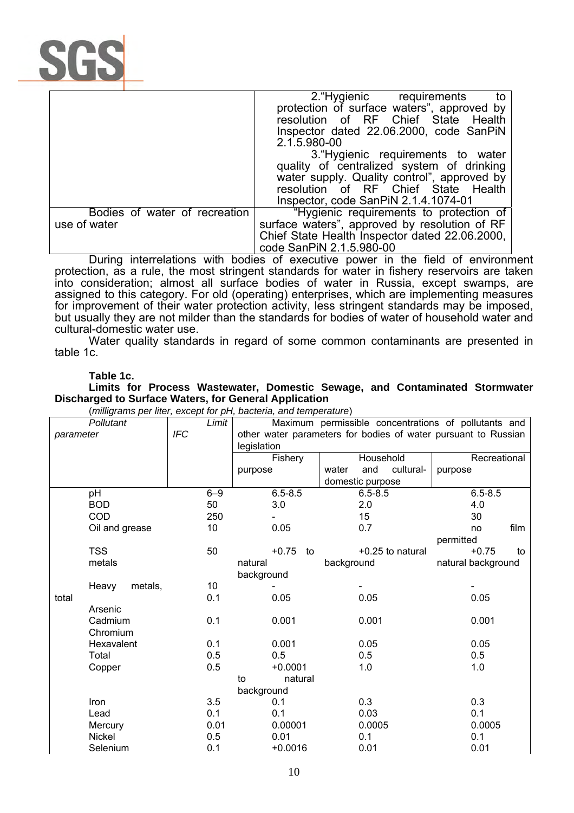

|                               | 2. Hygienic requirements<br>to                 |
|-------------------------------|------------------------------------------------|
|                               | protection of surface waters", approved by     |
|                               | resolution of RF Chief State Health            |
|                               | Inspector dated 22.06.2000, code SanPiN        |
|                               | 2.1.5.980-00                                   |
|                               | 3. Hygienic requirements to water              |
|                               | quality of centralized system of drinking      |
|                               | water supply. Quality control", approved by    |
|                               | resolution of RF Chief State Health            |
|                               | Inspector, code SanPiN 2.1.4.1074-01           |
| Bodies of water of recreation | "Hygienic requirements to protection of        |
| use of water                  | surface waters", approved by resolution of RF  |
|                               | Chief State Health Inspector dated 22.06.2000, |
|                               | code SanPiN 2.1.5.980-00                       |

During interrelations with bodies of executive power in the field of environment protection, as a rule, the most stringent standards for water in fishery reservoirs are taken into consideration; almost all surface bodies of water in Russia, except swamps, are assigned to this category. For old (operating) enterprises, which are implementing measures for improvement of their water protection activity, less stringent standards may be imposed, but usually they are not milder than the standards for bodies of water of household water and cultural-domestic water use.

Water quality standards in regard of some common contaminants are presented in table 1c.

#### **Table 1c.**

**Limits for Process Wastewater, Domestic Sewage, and Contaminated Stormwater Discharged to Surface Waters, for General Application** 

|           | Pollutant        | Limit      |                                                                | Maximum permissible concentrations of pollutants and |                    |
|-----------|------------------|------------|----------------------------------------------------------------|------------------------------------------------------|--------------------|
| parameter |                  | <b>IFC</b> | other water parameters for bodies of water pursuant to Russian |                                                      |                    |
|           |                  |            | legislation                                                    |                                                      |                    |
|           |                  |            | Fishery                                                        | Household                                            |                    |
|           |                  |            | purpose                                                        | and<br>cultural-<br>water                            | purpose            |
|           |                  |            |                                                                | domestic purpose                                     |                    |
|           | pH               | $6 - 9$    | $6.5 - 8.5$                                                    | $6.5 - 8.5$                                          | $6.5 - 8.5$        |
|           | <b>BOD</b>       | 50         | 3.0                                                            | 2.0                                                  | 4.0                |
|           | COD              | 250        |                                                                | 15                                                   | 30                 |
|           | Oil and grease   | 10         | 0.05                                                           | 0.7                                                  | film<br>no         |
|           |                  |            |                                                                |                                                      | permitted          |
|           | <b>TSS</b>       | 50         | $+0.75$<br>to                                                  | +0.25 to natural                                     | $+0.75$<br>to      |
|           | metals           |            | natural                                                        | background                                           | natural background |
|           |                  |            | background                                                     |                                                      |                    |
|           | Heavy<br>metals, | 10         |                                                                |                                                      |                    |
| total     |                  | 0.1        | 0.05                                                           | 0.05                                                 | 0.05               |
|           | Arsenic          |            |                                                                |                                                      |                    |
|           | Cadmium          | 0.1        | 0.001                                                          | 0.001                                                | 0.001              |
|           | Chromium         |            |                                                                |                                                      |                    |
|           | Hexavalent       | 0.1        | 0.001                                                          | 0.05                                                 | 0.05               |
|           | Total            | 0.5        | 0.5                                                            | 0.5                                                  | 0.5                |
|           | Copper           | 0.5        | $+0.0001$                                                      | 1.0                                                  | 1.0                |
|           |                  |            | natural<br>to                                                  |                                                      |                    |
|           |                  |            | background                                                     |                                                      |                    |
|           | Iron             | 3.5        | 0.1                                                            | 0.3                                                  | 0.3                |
|           | Lead             | 0.1        | 0.1                                                            | 0.03                                                 | 0.1                |
|           | Mercury          | 0.01       | 0.00001                                                        | 0.0005                                               | 0.0005             |
|           | Nickel           | 0.5        | 0.01                                                           | 0.1                                                  | 0.1                |
|           | Selenium         | 0.1        | $+0.0016$                                                      | 0.01                                                 | 0.01               |
|           |                  |            |                                                                |                                                      |                    |

(*milligrams per liter, except for pH, bacteria, and temperature*)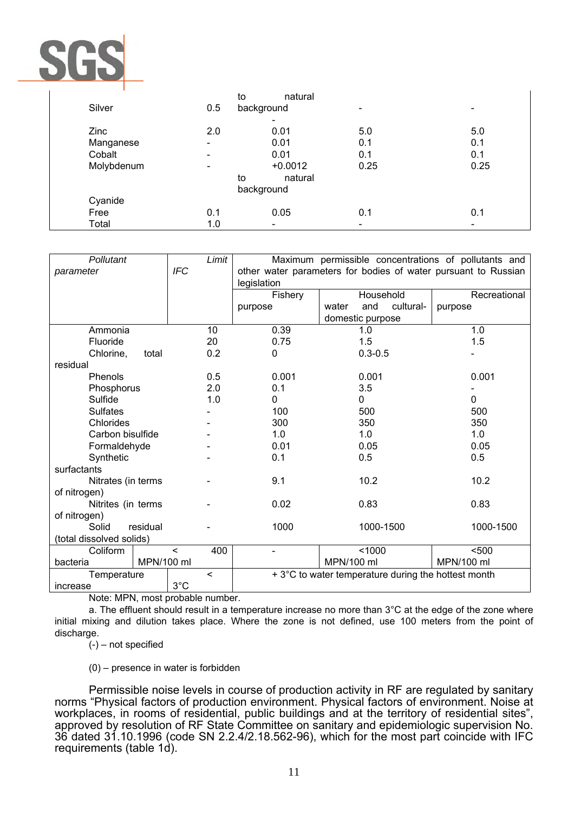

|            | to                       | natural    |                          |                              |
|------------|--------------------------|------------|--------------------------|------------------------------|
| Silver     | 0.5                      | background |                          |                              |
|            |                          |            |                          |                              |
| Zinc       | 2.0                      | 0.01       | 5.0                      | 5.0                          |
| Manganese  | $\overline{\phantom{a}}$ | 0.01       | 0.1                      | 0.1                          |
| Cobalt     |                          | 0.01       | 0.1                      | 0.1                          |
| Molybdenum | $\overline{\phantom{a}}$ | $+0.0012$  | 0.25                     | 0.25                         |
|            | to                       | natural    |                          |                              |
|            |                          | background |                          |                              |
| Cyanide    |                          |            |                          |                              |
| Free       | 0.1                      | 0.05       | 0.1                      | 0.1                          |
| Total      | 1.0                      | $\,$       | $\overline{\phantom{a}}$ | $\qquad \qquad \blacksquare$ |

| Pollutant                |               | Limit   | Maximum permissible concentrations of pollutants and           |                           |              |  |
|--------------------------|---------------|---------|----------------------------------------------------------------|---------------------------|--------------|--|
| parameter                | <b>IFC</b>    |         | other water parameters for bodies of water pursuant to Russian |                           |              |  |
|                          |               |         | legislation                                                    |                           |              |  |
|                          |               |         | Fishery                                                        | Household                 | Recreational |  |
|                          |               |         | purpose                                                        | and<br>cultural-<br>water | purpose      |  |
|                          |               |         |                                                                | domestic purpose          |              |  |
| Ammonia                  |               | 10      | 0.39                                                           | 1.0                       | 1.0          |  |
| Fluoride                 |               | 20      | 0.75                                                           | 1.5                       | 1.5          |  |
| Chlorine,<br>total       |               | 0.2     | $\Omega$                                                       | $0.3 - 0.5$               |              |  |
| residual                 |               |         |                                                                |                           |              |  |
| Phenols                  |               | 0.5     | 0.001                                                          | 0.001                     | 0.001        |  |
| Phosphorus               |               | 2.0     | 0.1                                                            | 3.5                       |              |  |
| Sulfide                  |               | 1.0     | $\Omega$                                                       | $\Omega$                  | $\Omega$     |  |
| <b>Sulfates</b>          |               |         | 100                                                            | 500                       | 500          |  |
| Chlorides                |               |         | 300                                                            | 350                       | 350          |  |
| Carbon bisulfide         |               |         | 1.0                                                            | 1.0                       | 1.0          |  |
| Formaldehyde             |               |         | 0.01                                                           | 0.05                      | 0.05         |  |
| Synthetic                |               |         | 0.1                                                            | 0.5                       | 0.5          |  |
| surfactants              |               |         |                                                                |                           |              |  |
| Nitrates (in terms       |               |         | 9.1                                                            | 10.2                      | 10.2         |  |
| of nitrogen)             |               |         |                                                                |                           |              |  |
| Nitrites (in terms       |               |         | 0.02                                                           | 0.83                      | 0.83         |  |
| of nitrogen)             |               |         |                                                                |                           |              |  |
| residual<br>Solid        |               |         | 1000                                                           | 1000-1500                 | 1000-1500    |  |
| (total dissolved solids) |               |         |                                                                |                           |              |  |
| Coliform                 | $\prec$       | 400     |                                                                | < 1000                    | $500$        |  |
| bacteria                 | MPN/100 ml    |         | MPN/100 ml                                                     |                           | MPN/100 ml   |  |
| Temperature              |               | $\prec$ | + 3°C to water temperature during the hottest month            |                           |              |  |
| increase                 | $3^{\circ}$ C |         |                                                                |                           |              |  |

Note: MPN, most probable number.

a. The effluent should result in a temperature increase no more than 3°C at the edge of the zone where initial mixing and dilution takes place. Where the zone is not defined, use 100 meters from the point of discharge.

(-) – not specified

(0) – presence in water is forbidden

Permissible noise levels in course of production activity in RF are regulated by sanitary norms "Physical factors of production environment. Physical factors of environment. Noise at workplaces, in rooms of residential, public buildings and at the territory of residential sites", approved by resolution of RF State Committee on sanitary and epidemiologic supervision No. 36 dated 31.10.1996 (code SN 2.2.4/2.18.562-96), which for the most part coincide with IFC requirements (table 1d).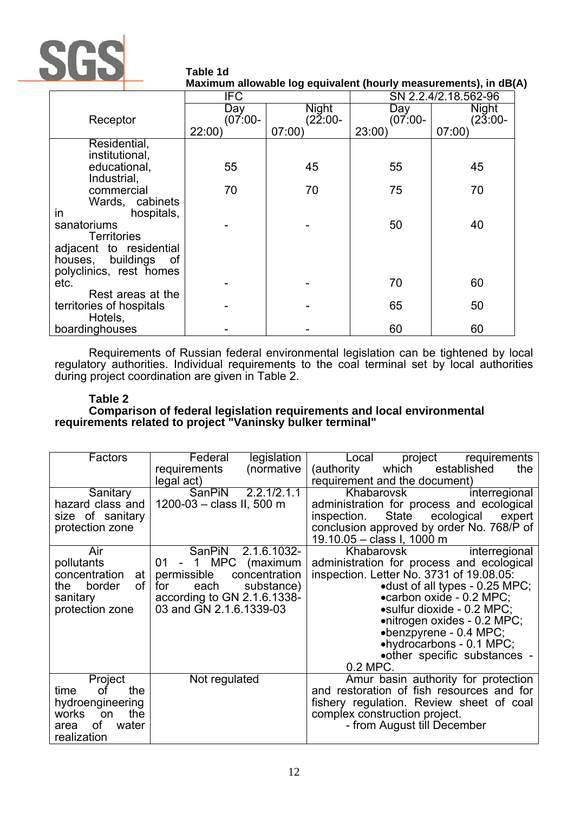

**Table 1d Maximum allowable log equivalent (hourly measurements), in dB(A)** 

|                                     | SN 2.2.4/2.18.562-96<br>IFC |                     |                     |                     |  |
|-------------------------------------|-----------------------------|---------------------|---------------------|---------------------|--|
|                                     | Day                         | Night               | Day                 | <b>Night</b>        |  |
| Receptor                            | $(07:00 -$<br>22:00         | $(22:00 -$<br>07:00 | $(07.00 -$<br>23:00 | $(23:00 -$<br>07:00 |  |
| Residential,                        |                             |                     |                     |                     |  |
| institutional,                      |                             |                     |                     |                     |  |
| educational,                        | 55                          | 45                  | 55                  | 45                  |  |
| Industrial,                         |                             |                     |                     |                     |  |
| commercial                          | 70                          | 70                  | 75                  | 70                  |  |
| Wards, cabinets<br>in<br>hospitals, |                             |                     |                     |                     |  |
| sanatoriums                         |                             |                     | 50                  | 40                  |  |
| <b>Territories</b>                  |                             |                     |                     |                     |  |
| adjacent to residential             |                             |                     |                     |                     |  |
| houses, buildings of                |                             |                     |                     |                     |  |
| polyclinics, rest homes<br>etc.     |                             |                     | 70                  | 60                  |  |
| Rest areas at the                   |                             |                     |                     |                     |  |
| territories of hospitals            |                             |                     | 65                  | 50                  |  |
| Hotels,                             |                             |                     |                     |                     |  |
| boardinghouses                      |                             |                     | 60                  | 60                  |  |

Requirements of Russian federal environmental legislation can be tightened by local regulatory authorities. Individual requirements to the coal terminal set by local authorities during project coordination are given in Table 2.

# **Table 2**

**Comparison of federal legislation requirements and local environmental requirements related to project "Vaninsky bulker terminal"** 

| Factors             | Federal<br>legislation                    | Local<br>project requirements                |
|---------------------|-------------------------------------------|----------------------------------------------|
|                     | (normative<br>requirements                | which<br>established<br>(authority<br>the    |
|                     | legal act)                                | requirement and the document)                |
| Sanitary            | SanPiN<br>2.2.1/2.1.1                     | Khabarovsk<br>interregional                  |
| hazard class and    | 1200-03 - class II, 500 m                 | administration for process and ecological    |
| size of sanitary    |                                           | State<br>ecological<br>inspection.<br>expert |
| protection zone     |                                           | conclusion approved by order No. 768/P of    |
|                     |                                           | 19.10.05 - class I, 1000 m                   |
| Air                 | 2.1.6.1032-<br><b>SanPiN</b>              | Khabarovsk<br>interregional                  |
| pollutants          | MPC<br>01 -<br>$\overline{1}$<br>(maximum | administration for process and ecological    |
| concentration<br>at | permissible<br>concentration              | inspection. Letter No. 3731 of 19.08.05.     |
| border<br>οf<br>the | each<br>substance)<br>for                 | •dust of all types - 0.25 MPC;               |
| sanitary            | according to GN 2.1.6.1338-               | • carbon oxide - 0.2 MPC;                    |
| protection zone     | 03 and GN 2.1.6.1339-03                   | •sulfur dioxide - 0.2 MPC;                   |
|                     |                                           | •nitrogen oxides - 0.2 MPC;                  |
|                     |                                           | $\bullet$ benzpyrene - 0.4 MPC;              |
|                     |                                           | •hydrocarbons - 0.1 MPC;                     |
|                     |                                           | • other specific substances -                |
|                     |                                           | 0.2 MPC.                                     |
| Project             | Not regulated                             | Amur basin authority for protection          |
| the<br>time<br>οf   |                                           | and restoration of fish resources and for    |
| hydroengineering    |                                           | fishery regulation. Review sheet of coal     |
| the<br>works<br>on  |                                           | complex construction project.                |
| οf<br>water<br>area |                                           | - from August till December                  |
| realization         |                                           |                                              |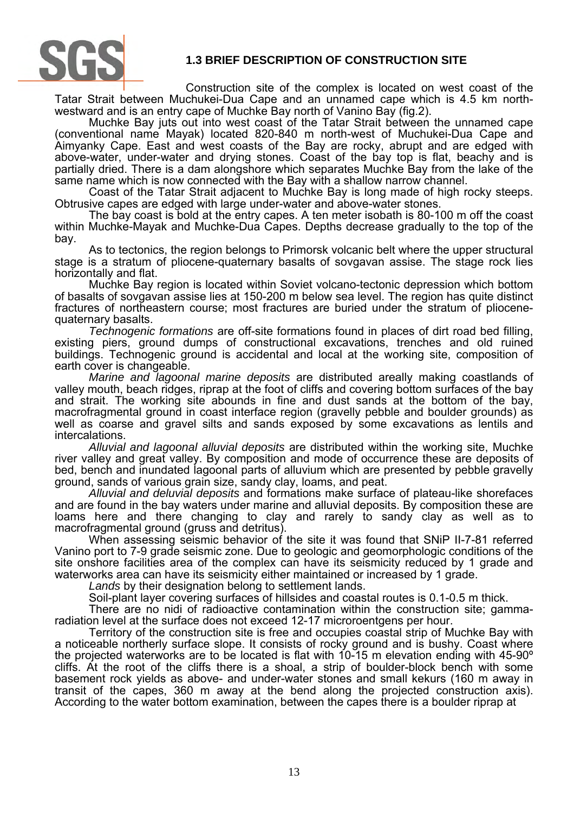

# **1.3 BRIEF DESCRIPTION OF CONSTRUCTION SITE**

Construction site of the complex is located on west coast of the Tatar Strait between Muchukei-Dua Cape and an unnamed cape which is 4.5 km northwestward and is an entry cape of Muchke Bay north of Vanino Bay (fig.2).

Muchke Bay juts out into west coast of the Tatar Strait between the unnamed cape (conventional name Mayak) located 820-840 m north-west of Muchukei-Dua Cape and Aimyanky Cape. East and west coasts of the Bay are rocky, abrupt and are edged with above-water, under-water and drying stones. Coast of the bay top is flat, beachy and is partially dried. There is a dam alongshore which separates Muchke Bay from the lake of the same name which is now connected with the Bay with a shallow narrow channel.

Coast of the Tatar Strait adjacent to Muchke Bay is long made of high rocky steeps. Obtrusive capes are edged with large under-water and above-water stones.

The bay coast is bold at the entry capes. A ten meter isobath is 80-100 m off the coast within Muchke-Mayak and Muchke-Dua Capes. Depths decrease gradually to the top of the bay.

As to tectonics, the region belongs to Primorsk volcanic belt where the upper structural stage is a stratum of pliocene-quaternary basalts of sovgavan assise. The stage rock lies horizontally and flat.

Muchke Bay region is located within Soviet volcano-tectonic depression which bottom of basalts of sovgavan assise lies at 150-200 m below sea level. The region has quite distinct fractures of northeastern course; most fractures are buried under the stratum of pliocenequaternary basalts.

*Technogenic formations* are off-site formations found in places of dirt road bed filling, existing piers, ground dumps of constructional excavations, trenches and old ruined buildings. Technogenic ground is accidental and local at the working site, composition of earth cover is changeable.

*Marine and lagoonal marine deposits* are distributed areally making coastlands of valley mouth, beach ridges, riprap at the foot of cliffs and covering bottom surfaces of the bay and strait. The working site abounds in fine and dust sands at the bottom of the bay, macrofragmental ground in coast interface region (gravelly pebble and boulder grounds) as well as coarse and gravel silts and sands exposed by some excavations as lentils and intercalations.

*Alluvial and lagoonal alluvial deposits* are distributed within the working site, Muchke river valley and great valley. By composition and mode of occurrence these are deposits of bed, bench and inundated lagoonal parts of alluvium which are presented by pebble gravelly ground, sands of various grain size, sandy clay, loams, and peat.

*Alluvial and deluvial deposits* and formations make surface of plateau-like shorefaces and are found in the bay waters under marine and alluvial deposits. By composition these are loams here and there changing to clay and rarely to sandy clay as well as to macrofragmental ground (gruss and detritus).

When assessing seismic behavior of the site it was found that SNiP II-7-81 referred Vanino port to 7-9 grade seismic zone. Due to geologic and geomorphologic conditions of the site onshore facilities area of the complex can have its seismicity reduced by 1 grade and waterworks area can have its seismicity either maintained or increased by 1 grade.

*Lands* by their designation belong to settlement lands.

Soil-plant layer covering surfaces of hillsides and coastal routes is 0.1-0.5 m thick.

There are no nidi of radioactive contamination within the construction site; gammaradiation level at the surface does not exceed 12-17 microroentgens per hour.

Territory of the construction site is free and occupies coastal strip of Muchke Bay with a noticeable northerly surface slope. It consists of rocky ground and is bushy. Coast where the projected waterworks are to be located is flat with 10-15 m elevation ending with 45-90º cliffs. At the root of the cliffs there is a shoal, a strip of boulder-block bench with some basement rock yields as above- and under-water stones and small kekurs (160 m away in transit of the capes, 360 m away at the bend along the projected construction axis). According to the water bottom examination, between the capes there is a boulder riprap at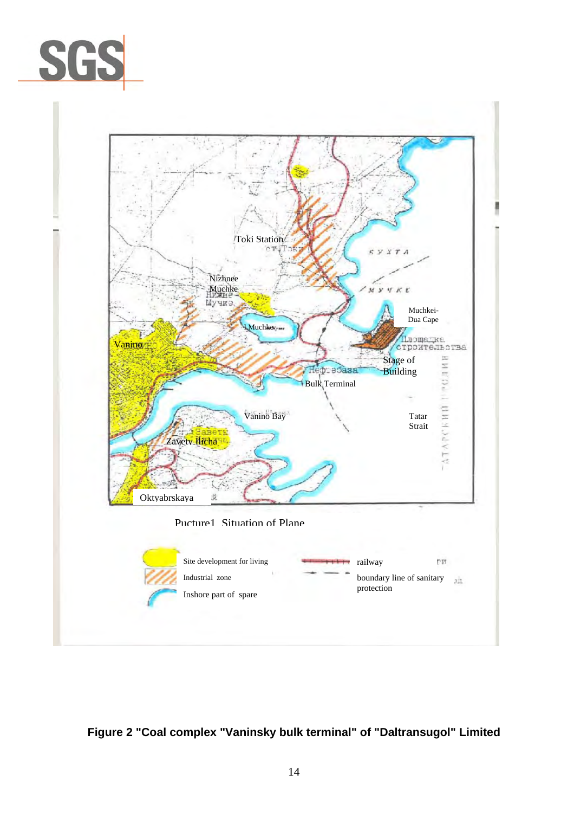



# **Figure 2 "Coal complex "Vaninsky bulk terminal" of "Daltransugol" Limited**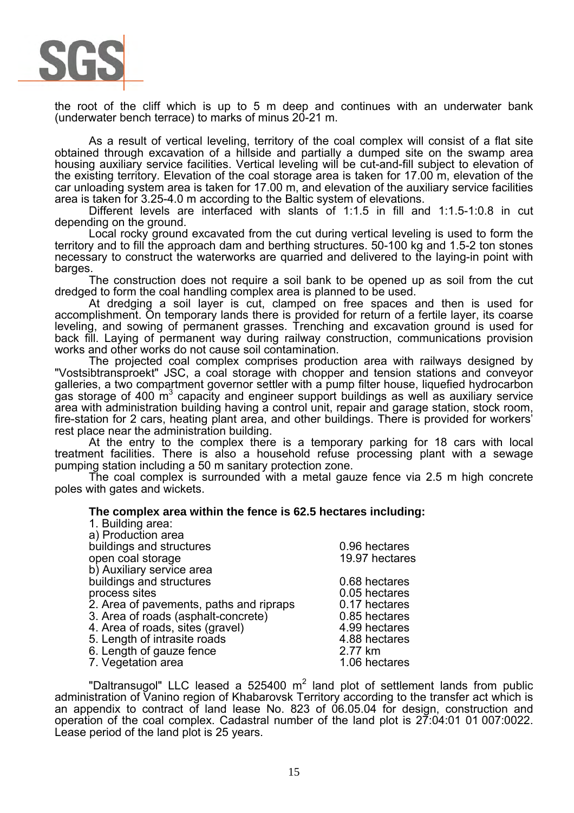

the root of the cliff which is up to 5 m deep and continues with an underwater bank (underwater bench terrace) to marks of minus 20-21 m.

As a result of vertical leveling, territory of the coal complex will consist of a flat site obtained through excavation of a hillside and partially a dumped site on the swamp area housing auxiliary service facilities. Vertical leveling will be cut-and-fill subject to elevation of the existing territory. Elevation of the coal storage area is taken for 17.00 m, elevation of the car unloading system area is taken for 17.00 m, and elevation of the auxiliary service facilities area is taken for 3.25-4.0 m according to the Baltic system of elevations.

Different levels are interfaced with slants of 1:1.5 in fill and 1:1.5-1:0.8 in cut depending on the ground.

Local rocky ground excavated from the cut during vertical leveling is used to form the territory and to fill the approach dam and berthing structures. 50-100 kg and 1.5-2 ton stones necessary to construct the waterworks are quarried and delivered to the laying-in point with barges.

The construction does not require a soil bank to be opened up as soil from the cut dredged to form the coal handling complex area is planned to be used.

At dredging a soil layer is cut, clamped on free spaces and then is used for accomplishment. On temporary lands there is provided for return of a fertile layer, its coarse leveling, and sowing of permanent grasses. Trenching and excavation ground is used for back fill. Laying of permanent way during railway construction, communications provision works and other works do not cause soil contamination.

The projected coal complex comprises production area with railways designed by "Vostsibtransproekt" JSC, a coal storage with chopper and tension stations and conveyor galleries, a two compartment governor settler with a pump filter house, liquefied hydrocarbon gas storage of 400  $\mathrm{m}^3$  capacity and engineer support buildings as well as auxiliary service area with administration building having a control unit, repair and garage station, stock room, fire-station for 2 cars, heating plant area, and other buildings. There is provided for workers' rest place near the administration building.

At the entry to the complex there is a temporary parking for 18 cars with local treatment facilities. There is also a household refuse processing plant with a sewage pumping station including a 50 m sanitary protection zone.

The coal complex is surrounded with a metal gauze fence via 2.5 m high concrete poles with gates and wickets.

#### **The complex area within the fence is 62.5 hectares including:**

| 1. Building area:                       |                |
|-----------------------------------------|----------------|
| a) Production area                      |                |
| buildings and structures                | 0.96 hectares  |
| open coal storage                       | 19.97 hectares |
| b) Auxiliary service area               |                |
| buildings and structures                | 0.68 hectares  |
| process sites                           | 0.05 hectares  |
| 2. Area of pavements, paths and ripraps | 0.17 hectares  |
| 3. Area of roads (asphalt-concrete)     | 0.85 hectares  |
| 4. Area of roads, sites (gravel)        | 4.99 hectares  |
| 5. Length of intrasite roads            | 4.88 hectares  |
| 6. Length of gauze fence                | 2.77 km        |
| 7. Vegetation area                      | 1.06 hectares  |
|                                         |                |

"Daltransugol" LLC leased a 525400  $m^2$  land plot of settlement lands from public administration of Vanino region of Khabarovsk Territory according to the transfer act which is an appendix to contract of land lease No. 823 of 06.05.04 for design, construction and operation of the coal complex. Cadastral number of the land plot is 27:04:01 01 007:0022. Lease period of the land plot is 25 years.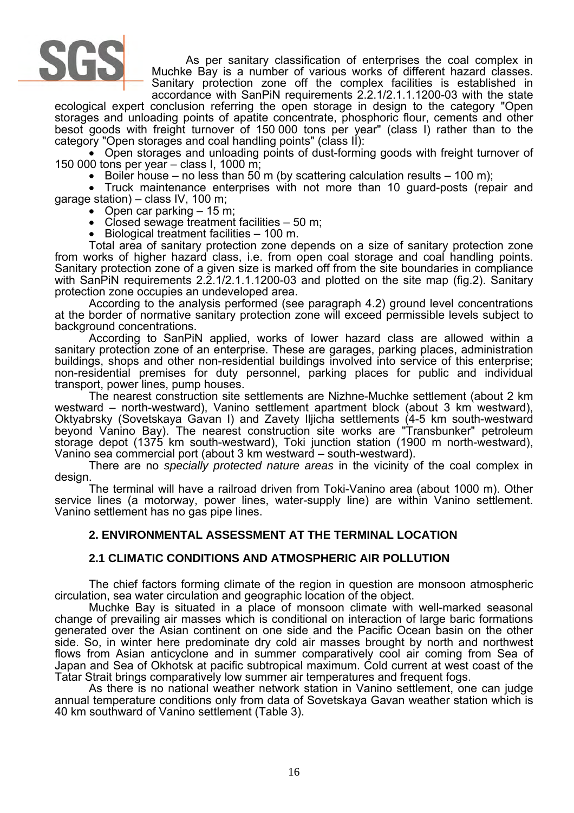

As per sanitary classification of enterprises the coal complex in Muchke Bay is a number of various works of different hazard classes. Sanitary protection zone off the complex facilities is established in accordance with SanPiN requirements 2.2.1/2.1.1.1200-03 with the state

ecological expert conclusion referring the open storage in design to the category "Open storages and unloading points of apatite concentrate, phosphoric flour, cements and other besot goods with freight turnover of 150 000 tons per year" (class I) rather than to the category "Open storages and coal handling points" (class II):

• Open storages and unloading points of dust-forming goods with freight turnover of 150 000 tons per year – class I, 1000 m;

• Boiler house – no less than 50 m (by scattering calculation results – 100 m);

• Truck maintenance enterprises with not more than 10 guard-posts (repair and garage station) – class IV, 100 m;

- Open car parking  $-15$  m;
- Closed sewage treatment facilities 50 m;
- Biological treatment facilities 100 m.

Total area of sanitary protection zone depends on a size of sanitary protection zone from works of higher hazard class, i.e. from open coal storage and coal handling points. Sanitary protection zone of a given size is marked off from the site boundaries in compliance with SanPiN requirements 2.2.1/2.1.1.1200-03 and plotted on the site map (fig.2). Sanitary protection zone occupies an undeveloped area.

According to the analysis performed (see paragraph 4.2) ground level concentrations at the border of normative sanitary protection zone will exceed permissible levels subject to background concentrations.

According to SanPiN applied, works of lower hazard class are allowed within a sanitary protection zone of an enterprise. These are garages, parking places, administration buildings, shops and other non-residential buildings involved into service of this enterprise; non-residential premises for duty personnel, parking places for public and individual transport, power lines, pump houses.

The nearest construction site settlements are Nizhne-Muchke settlement (about 2 km westward – north-westward), Vanino settlement apartment block (about 3 km westward), Oktyabrsky (Sovetskaya Gavan I) and Zavety Iljicha settlements (4-5 km south-westward beyond Vanino Bay). The nearest construction site works are "Transbunker" petroleum storage depot (1375 km south-westward), Toki junction station (1900 m north-westward), Vanino sea commercial port (about 3 km westward – south-westward).

There are no *specially protected nature areas* in the vicinity of the coal complex in design.

The terminal will have a railroad driven from Toki-Vanino area (about 1000 m). Other service lines (a motorway, power lines, water-supply line) are within Vanino settlement. Vanino settlement has no gas pipe lines.

### **2. ENVIRONMENTAL ASSESSMENT AT THE TERMINAL LOCATION**

### **2.1 CLIMATIC CONDITIONS AND ATMOSPHERIC AIR POLLUTION**

The chief factors forming climate of the region in question are monsoon atmospheric circulation, sea water circulation and geographic location of the object.

Muchke Bay is situated in a place of monsoon climate with well-marked seasonal change of prevailing air masses which is conditional on interaction of large baric formations generated over the Asian continent on one side and the Pacific Ocean basin on the other side. So, in winter here predominate dry cold air masses brought by north and northwest flows from Asian anticyclone and in summer comparatively cool air coming from Sea of Japan and Sea of Okhotsk at pacific subtropical maximum. Cold current at west coast of the Tatar Strait brings comparatively low summer air temperatures and frequent fogs.

As there is no national weather network station in Vanino settlement, one can judge annual temperature conditions only from data of Sovetskaya Gavan weather station which is 40 km southward of Vanino settlement (Table 3).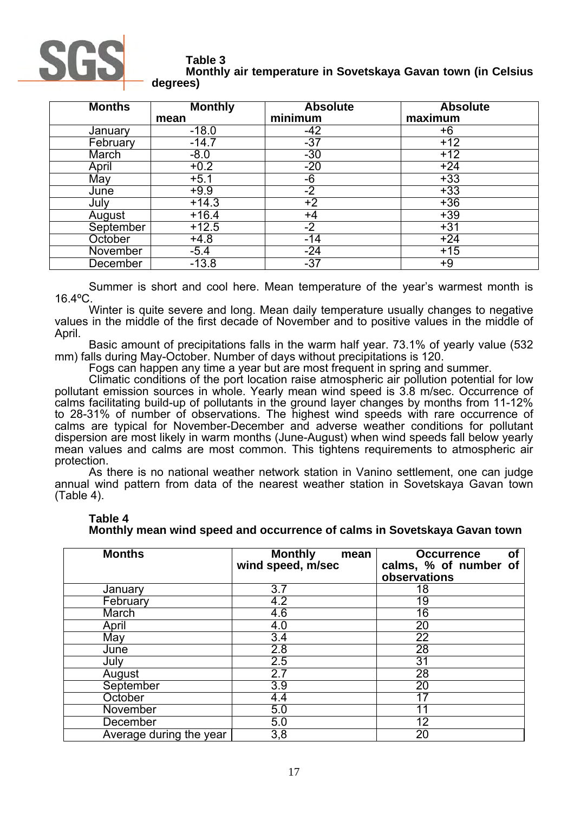

#### **Table 3 Monthly air temperature in Sovetskaya Gavan town (in Celsius degrees)**

| <b>Months</b> | <b>Monthly</b> | <b>Absolute</b>   | <b>Absolute</b> |
|---------------|----------------|-------------------|-----------------|
|               | mean           | minimum           | maximum         |
| January       | $-18.0$        | $-42$             | +6              |
| February      | $-14.7$        | $-37$             | $+12$           |
| March         | $-8.0$         | $-30$             | $+12$           |
| April         | $+0.2$         | $-20$             | $+24$           |
| May           | $+5.1$         | $-6$              | $+33$           |
| June          | $+9.9$         | $-2$              | $+33$           |
| July          | $+14.3$        | $+2$              | $+36$           |
| August        | $+16.4$        | +4                | $+39$           |
| September     | $+12.5$        | $-2$              | $+31$           |
| October       | $+4.8$         | $-14$             | $+24$           |
| November      | $-5.4$         | $\frac{-24}{-37}$ | $+15$           |
| December      | $-13.8$        |                   | +9              |

Summer is short and cool here. Mean temperature of the year's warmest month is 16.4ºC.

Winter is quite severe and long. Mean daily temperature usually changes to negative values in the middle of the first decade of November and to positive values in the middle of April.

Basic amount of precipitations falls in the warm half year. 73.1% of yearly value (532 mm) falls during May-October. Number of days without precipitations is 120.

Fogs can happen any time a year but are most frequent in spring and summer.

Climatic conditions of the port location raise atmospheric air pollution potential for low pollutant emission sources in whole. Yearly mean wind speed is 3.8 m/sec. Occurrence of calms facilitating build-up of pollutants in the ground layer changes by months from 11-12% to 28-31% of number of observations. The highest wind speeds with rare occurrence of calms are typical for November-December and adverse weather conditions for pollutant dispersion are most likely in warm months (June-August) when wind speeds fall below yearly mean values and calms are most common. This tightens requirements to atmospheric air protection.

As there is no national weather network station in Vanino settlement, one can judge annual wind pattern from data of the nearest weather station in Sovetskaya Gavan town (Table 4).

| <b>Months</b>           | <b>Monthly</b><br>mean<br>wind speed, m/sec | <b>Occurrence</b><br><b>of</b><br>calms, % of number<br><b>of</b><br>observations |
|-------------------------|---------------------------------------------|-----------------------------------------------------------------------------------|
| January                 | $\overline{3.7}$                            | 18                                                                                |
| February                | 4.2                                         | 19                                                                                |
| March                   | 4.6                                         | 16                                                                                |
| April                   | 4.0                                         | 20                                                                                |
| May                     | 3.4                                         | $\overline{22}$                                                                   |
| June                    | 2.8                                         | 28                                                                                |
| July                    | 2.5                                         | 31                                                                                |
| August                  | 2.7                                         | 28                                                                                |
| September               | 3.9                                         | 20                                                                                |
| October                 | 4.4                                         | 17                                                                                |
| November                | 5.0                                         |                                                                                   |
| December                | 5.0                                         | $1\overline{2}$                                                                   |
| Average during the year | 3,8                                         | $\overline{20}$                                                                   |

# **Table 4**

**Monthly mean wind speed and occurrence of calms in Sovetskaya Gavan town**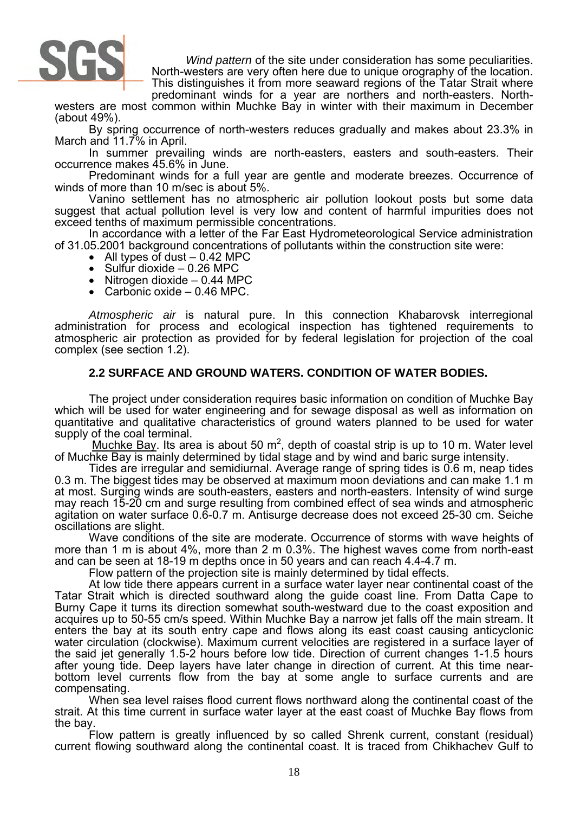

*Wind pattern* of the site under consideration has some peculiarities. North-westers are very often here due to unique orography of the location.

This distinguishes it from more seaward regions of the Tatar Strait where predominant winds for a year are northers and north-easters. North-

westers are most common within Muchke Bay in winter with their maximum in December (about 49%).

By spring occurrence of north-westers reduces gradually and makes about 23.3% in March and 11.7% in April.

In summer prevailing winds are north-easters, easters and south-easters. Their occurrence makes 45.6% in June.

Predominant winds for a full year are gentle and moderate breezes. Occurrence of winds of more than 10 m/sec is about 5%.

Vanino settlement has no atmospheric air pollution lookout posts but some data suggest that actual pollution level is very low and content of harmful impurities does not exceed tenths of maximum permissible concentrations.

In accordance with a letter of the Far East Hydrometeorological Service administration of 31.05.2001 background concentrations of pollutants within the construction site were:

- All types of dust  $-0.42$  MPC
- Sulfur dioxide  $-0.26$  MPC
- Nitrogen dioxide  $-0.44$  MPC
- Carbonic oxide 0.46 MPC.

*Atmospheric air* is natural pure. In this connection Khabarovsk interregional administration for process and ecological inspection has tightened requirements to atmospheric air protection as provided for by federal legislation for projection of the coal complex (see section 1.2).

### **2.2 SURFACE AND GROUND WATERS. CONDITION OF WATER BODIES.**

The project under consideration requires basic information on condition of Muchke Bay which will be used for water engineering and for sewage disposal as well as information on quantitative and qualitative characteristics of ground waters planned to be used for water supply of the coal terminal.

Muchke Bay. Its area is about 50  $m^2$ , depth of coastal strip is up to 10 m. Water level of Muchke Bay is mainly determined by tidal stage and by wind and baric surge intensity.

Tides are irregular and semidiurnal. Average range of spring tides is 0.6 m, neap tides 0.3 m. The biggest tides may be observed at maximum moon deviations and can make 1.1 m at most. Surging winds are south-easters, easters and north-easters. Intensity of wind surge may reach 15-20 cm and surge resulting from combined effect of sea winds and atmospheric agitation on water surface 0.6-0.7 m. Antisurge decrease does not exceed 25-30 cm. Seiche oscillations are slight.

Wave conditions of the site are moderate. Occurrence of storms with wave heights of more than 1 m is about 4%, more than 2 m 0.3%. The highest waves come from north-east and can be seen at 18-19 m depths once in 50 years and can reach 4.4-4.7 m.

Flow pattern of the projection site is mainly determined by tidal effects.

At low tide there appears current in a surface water layer near continental coast of the Tatar Strait which is directed southward along the guide coast line. From Datta Cape to Burny Cape it turns its direction somewhat south-westward due to the coast exposition and acquires up to 50-55 cm/s speed. Within Muchke Bay a narrow jet falls off the main stream. It enters the bay at its south entry cape and flows along its east coast causing anticyclonic water circulation (clockwise). Maximum current velocities are registered in a surface layer of the said jet generally 1.5-2 hours before low tide. Direction of current changes 1-1.5 hours after young tide. Deep layers have later change in direction of current. At this time nearbottom level currents flow from the bay at some angle to surface currents and are compensating.

When sea level raises flood current flows northward along the continental coast of the strait. At this time current in surface water layer at the east coast of Muchke Bay flows from the bay.

Flow pattern is greatly influenced by so called Shrenk current, constant (residual) current flowing southward along the continental coast. It is traced from Chikhachev Gulf to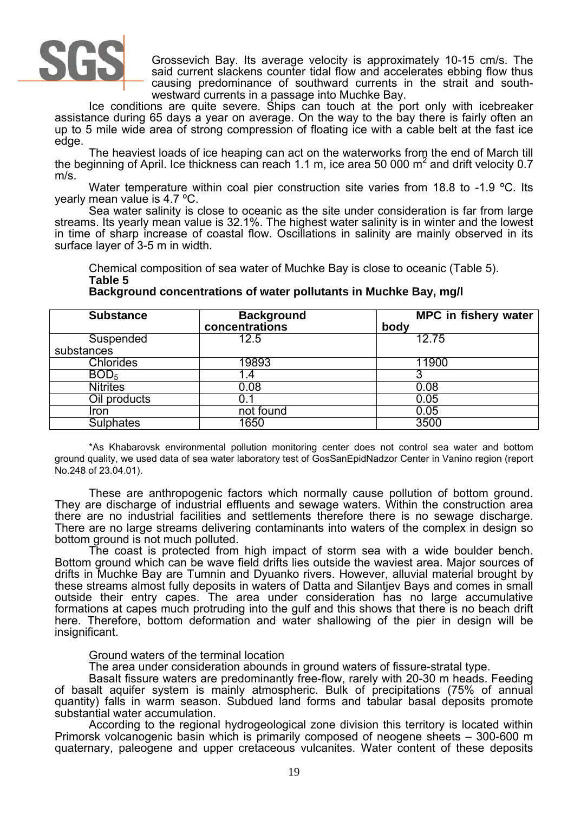

Grossevich Bay. Its average velocity is approximately 10-15 cm/s. The said current slackens counter tidal flow and accelerates ebbing flow thus causing predominance of southward currents in the strait and southwestward currents in a passage into Muchke Bay.

Ice conditions are quite severe. Ships can touch at the port only with icebreaker assistance during 65 days a year on average. On the way to the bay there is fairly often an up to 5 mile wide area of strong compression of floating ice with a cable belt at the fast ice edge.

The heaviest loads of ice heaping can act on the waterworks from the end of March till the beginning of April. Ice thickness can reach 1.1 m, ice area 50 000 m<sup>2</sup> and drift velocity 0.7 m/s.

Water temperature within coal pier construction site varies from 18.8 to -1.9 °C. Its yearly mean value is 4.7 ºC.

Sea water salinity is close to oceanic as the site under consideration is far from large streams. Its yearly mean value is 32.1%. The highest water salinity is in winter and the lowest in time of sharp increase of coastal flow. Oscillations in salinity are mainly observed in its surface layer of 3-5 m in width.

Chemical composition of sea water of Muchke Bay is close to oceanic (Table 5). **Table 5** 

#### Substance **Background concentrations MPC in fishery water body Suspended** substances 12.5 12.75 Chlorides 19893 11900  $BOD_5$  1.4 3 Nitrites 0.08 0.08 0.08 Oil products and the U.1 of the U.1 of the U.1 of the U.1 of the U.1 of the U.1 of the U.1 of the U.1 of the U Iron 10.05 Sulphates 1650 3500

**Background concentrations of water pollutants in Muchke Bay, mg/l** 

\*As Khabarovsk environmental pollution monitoring center does not control sea water and bottom ground quality, we used data of sea water laboratory test of GosSanEpidNadzor Center in Vanino region (report No.248 of 23.04.01).

These are anthropogenic factors which normally cause pollution of bottom ground. They are discharge of industrial effluents and sewage waters. Within the construction area there are no industrial facilities and settlements therefore there is no sewage discharge. There are no large streams delivering contaminants into waters of the complex in design so bottom ground is not much polluted.

The coast is protected from high impact of storm sea with a wide boulder bench. Bottom ground which can be wave field drifts lies outside the waviest area. Major sources of drifts in Muchke Bay are Tumnin and Dyuanko rivers. However, alluvial material brought by these streams almost fully deposits in waters of Datta and Silantjev Bays and comes in small outside their entry capes. The area under consideration has no large accumulative formations at capes much protruding into the gulf and this shows that there is no beach drift here. Therefore, bottom deformation and water shallowing of the pier in design will be insignificant.

# Ground waters of the terminal location

The area under consideration abounds in ground waters of fissure-stratal type.

Basalt fissure waters are predominantly free-flow, rarely with 20-30 m heads. Feeding of basalt aquifer system is mainly atmospheric. Bulk of precipitations (75% of annual quantity) falls in warm season. Subdued land forms and tabular basal deposits promote substantial water accumulation.

According to the regional hydrogeological zone division this territory is located within Primorsk volcanogenic basin which is primarily composed of neogene sheets – 300-600 m quaternary, paleogene and upper cretaceous vulcanites. Water content of these deposits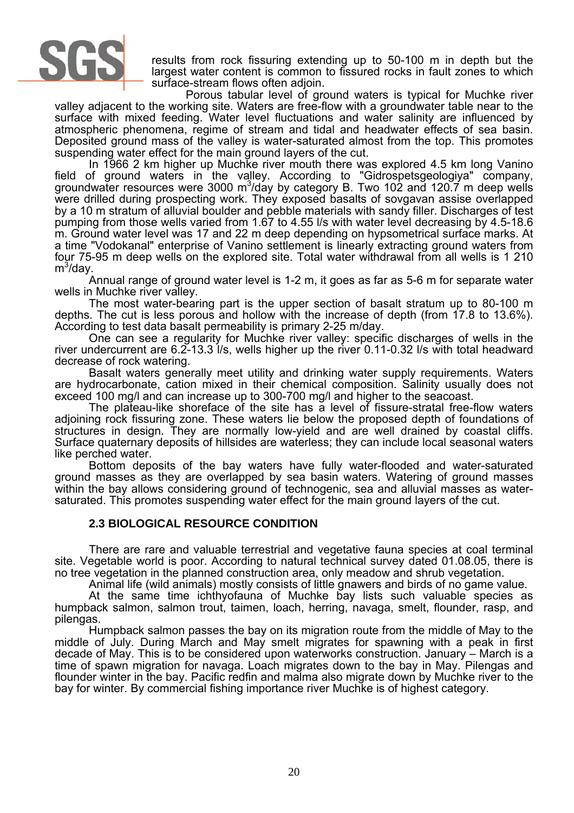

results from rock fissuring extending up to 50-100 m in depth but the largest water content is common to fissured rocks in fault zones to which surface-stream flows often adjoin.

Porous tabular level of ground waters is typical for Muchke river valley adjacent to the working site. Waters are free-flow with a groundwater table near to the surface with mixed feeding. Water level fluctuations and water salinity are influenced by atmospheric phenomena, regime of stream and tidal and headwater effects of sea basin. Deposited ground mass of the valley is water-saturated almost from the top. This promotes suspending water effect for the main ground layers of the cut.

In 1966 2 km higher up Muchke river mouth there was explored 4.5 km long Vanino field of ground waters in the valley. According to "Gidrospetsgeologiya" company, groundwater resources were 3000 m<sup>3</sup> /day by category B. Two 102 and 120.7 m deep wells were drilled during prospecting work. They exposed basalts of sovgavan assise overlapped by a 10 m stratum of alluvial boulder and pebble materials with sandy filler. Discharges of test pumping from those wells varied from 1.67 to 4.55 l/s with water level decreasing by 4.5-18.6 m. Ground water level was 17 and 22 m deep depending on hypsometrical surface marks. At a time "Vodokanal" enterprise of Vanino settlement is linearly extracting ground waters from four 75-95 m deep wells on the explored site. Total water withdrawal from all wells is 1 210 m<sup>3</sup>/day.

Annual range of ground water level is 1-2 m, it goes as far as 5-6 m for separate water wells in Muchke river valley.

The most water-bearing part is the upper section of basalt stratum up to 80-100 m depths. The cut is less porous and hollow with the increase of depth (from 17.8 to 13.6%). According to test data basalt permeability is primary 2-25 m/day.

One can see a regularity for Muchke river valley: specific discharges of wells in the river undercurrent are 6.2-13.3 l/s, wells higher up the river 0.11-0.32 l/s with total headward decrease of rock watering.

Basalt waters generally meet utility and drinking water supply requirements. Waters are hydrocarbonate, cation mixed in their chemical composition. Salinity usually does not exceed 100 mg/l and can increase up to 300-700 mg/l and higher to the seacoast.

The plateau-like shoreface of the site has a level of fissure-stratal free-flow waters adjoining rock fissuring zone. These waters lie below the proposed depth of foundations of structures in design. They are normally low-yield and are well drained by coastal cliffs. Surface quaternary deposits of hillsides are waterless; they can include local seasonal waters like perched water.

Bottom deposits of the bay waters have fully water-flooded and water-saturated ground masses as they are overlapped by sea basin waters. Watering of ground masses within the bay allows considering ground of technogenic, sea and alluvial masses as watersaturated. This promotes suspending water effect for the main ground layers of the cut.

# **2.3 BIOLOGICAL RESOURCE CONDITION**

There are rare and valuable terrestrial and vegetative fauna species at coal terminal site. Vegetable world is poor. According to natural technical survey dated 01.08.05, there is no tree vegetation in the planned construction area, only meadow and shrub vegetation.

Animal life (wild animals) mostly consists of little gnawers and birds of no game value.

At the same time ichthyofauna of Muchke bay lists such valuable species as humpback salmon, salmon trout, taimen, loach, herring, navaga, smelt, flounder, rasp, and pilengas.

Humpback salmon passes the bay on its migration route from the middle of May to the middle of July. During March and May smelt migrates for spawning with a peak in first decade of May. This is to be considered upon waterworks construction. January – March is a time of spawn migration for navaga. Loach migrates down to the bay in May. Pilengas and flounder winter in the bay. Pacific redfin and malma also migrate down by Muchke river to the bay for winter. By commercial fishing importance river Muchke is of highest category.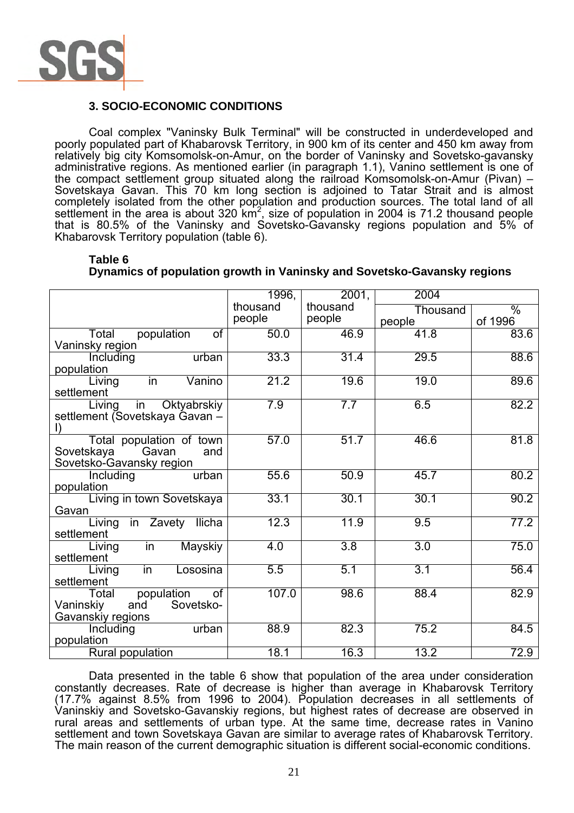

# **3. SOCIO-ECONOMIC CONDITIONS**

Coal complex "Vaninsky Bulk Terminal" will be constructed in underdeveloped and poorly populated part of Khabarovsk Territory, in 900 km of its center and 450 km away from relatively big city Komsomolsk-on-Amur, on the border of Vaninsky and Sovetsko-gavansky administrative regions. As mentioned earlier (in paragraph 1.1), Vanino settlement is one of the compact settlement group situated along the railroad Komsomolsk-on-Amur (Pivan) – Sovetskaya Gavan. This 70 km long section is adjoined to Tatar Strait and is almost completely isolated from the other population and production sources. The total land of all settlement in the area is about 320 km<sup>2</sup>, size of population in 2004 is 71.2 thousand people that is 80.5% of the Vaninsky and Sovetsko-Gavansky regions population and 5% of Khabarovsk Territory population (table 6).

|                                                        | 1996,    | 2001,            | 2004             |               |
|--------------------------------------------------------|----------|------------------|------------------|---------------|
|                                                        | thousand | thousand         | Thousand         | $\frac{1}{2}$ |
|                                                        | people   | people           | people           | of 1996       |
| population<br>Total<br>0f                              | 50.0     | 46.9             | 41.8             | 83.6          |
| Vaninsky region                                        |          |                  |                  |               |
| urban<br>Including                                     | 33.3     | 31.4             | 29.5             | 88.6          |
| population                                             |          |                  |                  |               |
| in<br>Vanino<br>Living                                 | 21.2     | 19.6             | 19.0             | 89.6          |
| settlement                                             |          |                  |                  |               |
| Oktyabrskiy<br>Living<br>in                            | 7.9      | 7.7              | 6.5              | 82.2          |
| settlement (Sovetskaya Gavan -                         |          |                  |                  |               |
| $\vert$ )                                              | 57.0     | 51.7             | 46.6             | 81.8          |
| Total population of town<br>Gavan<br>Sovetskaya<br>and |          |                  |                  |               |
| Sovetsko-Gavansky region                               |          |                  |                  |               |
| urban<br>Including                                     | 55.6     | 50.9             | 45.7             | 80.2          |
| population                                             |          |                  |                  |               |
| Living in town Sovetskaya                              | 33.1     | 30.1             | 30.1             | 90.2          |
| Gavan                                                  |          |                  |                  |               |
| in Zavety Ilicha<br>Living                             | 12.3     | 11.9             | 9.5              | 77.2          |
| settlement                                             |          |                  |                  |               |
| <b>Mayskiy</b><br>Living<br>in                         | 4.0      | $\overline{3.8}$ | $\overline{3.0}$ | 75.0          |
| settlement                                             |          |                  |                  |               |
| in<br>Lososina<br>Living                               | 5.5      | 5.1              | 3.1              | 56.4          |
| settlement                                             |          |                  |                  |               |
| population<br><b>of</b><br>Total                       | 107.0    | 98.6             | 88.4             | 82.9          |
| and<br>Sovetsko-<br>Vaninskiy                          |          |                  |                  |               |
| Gavanskiy regions                                      |          |                  |                  |               |
| urban<br>Including                                     | 88.9     | 82.3             | 75.2             | 84.5          |
| population                                             | 18.1     | 16.3             | 13.2             | 72.9          |
| Rural population                                       |          |                  |                  |               |

#### **Table 6 Dynamics of population growth in Vaninsky and Sovetsko-Gavansky regions**

Data presented in the table 6 show that population of the area under consideration constantly decreases. Rate of decrease is higher than average in Khabarovsk Territory (17.7% against 8.5% from 1996 to 2004). Population decreases in all settlements of Vaninskiy and Sovetsko-Gavanskiy regions, but highest rates of decrease are observed in rural areas and settlements of urban type. At the same time, decrease rates in Vanino settlement and town Sovetskaya Gavan are similar to average rates of Khabarovsk Territory. The main reason of the current demographic situation is different social-economic conditions.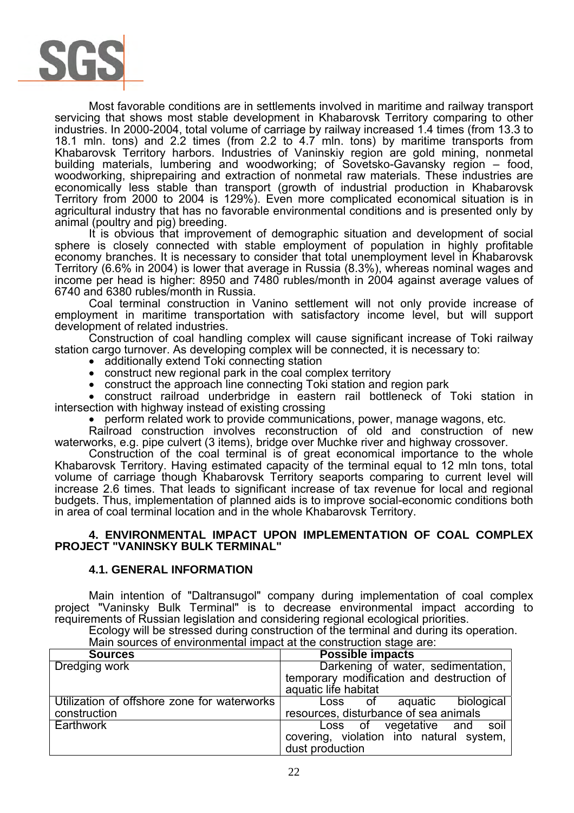

Most favorable conditions are in settlements involved in maritime and railway transport servicing that shows most stable development in Khabarovsk Territory comparing to other industries. In 2000-2004, total volume of carriage by railway increased 1.4 times (from 13.3 to 18.1 mln. tons) and 2.2 times (from 2.2 to 4.7 mln. tons) by maritime transports from Khabarovsk Territory harbors. Industries of Vaninskiy region are gold mining, nonmetal building materials, lumbering and woodworking; of Sovetsko-Gavansky region – food, woodworking, shiprepairing and extraction of nonmetal raw materials. These industries are economically less stable than transport (growth of industrial production in Khabarovsk Territory from 2000 to 2004 is 129%). Even more complicated economical situation is in agricultural industry that has no favorable environmental conditions and is presented only by animal (poultry and pig) breeding.

It is obvious that improvement of demographic situation and development of social sphere is closely connected with stable employment of population in highly profitable economy branches. It is necessary to consider that total unemployment level in Khabarovsk Territory (6.6% in 2004) is lower that average in Russia (8.3%), whereas nominal wages and income per head is higher: 8950 and 7480 rubles/month in 2004 against average values of 6740 and 6380 rubles/month in Russia.

Coal terminal construction in Vanino settlement will not only provide increase of employment in maritime transportation with satisfactory income level, but will support development of related industries.

Construction of coal handling complex will cause significant increase of Toki railway station cargo turnover. As developing complex will be connected, it is necessary to:

- additionally extend Toki connecting station
- construct new regional park in the coal complex territory
- construct the approach line connecting Toki station and region park

• construct railroad underbridge in eastern rail bottleneck of Toki station in intersection with highway instead of existing crossing

• perform related work to provide communications, power, manage wagons, etc.

Railroad construction involves reconstruction of old and construction of new waterworks, e.g. pipe culvert (3 items), bridge over Muchke river and highway crossover.

Construction of the coal terminal is of great economical importance to the whole Khabarovsk Territory. Having estimated capacity of the terminal equal to 12 mln tons, total volume of carriage though Khabarovsk Territory seaports comparing to current level will increase 2.6 times. That leads to significant increase of tax revenue for local and regional budgets. Thus, implementation of planned aids is to improve social-economic conditions both in area of coal terminal location and in the whole Khabarovsk Territory.

#### **4. ENVIRONMENTAL IMPACT UPON IMPLEMENTATION OF COAL COMPLEX PROJECT "VANINSKY BULK TERMINAL"**

### **4.1. GENERAL INFORMATION**

Main intention of "Daltransugol" company during implementation of coal complex project "Vaninsky Bulk Terminal" is to decrease environmental impact according to requirements of Russian legislation and considering regional ecological priorities.

Ecology will be stressed during construction of the terminal and during its operation. Main sources of environmental impact at the construction stage are:

| <b>Sources</b>                              | <b>Possible impacts</b>                                                         |
|---------------------------------------------|---------------------------------------------------------------------------------|
| Dredging work                               | Darkening of water, sedimentation,<br>temporary modification and destruction of |
|                                             | aquatic life habitat                                                            |
| Utilization of offshore zone for waterworks | biological<br>Loss of aquatic                                                   |
| construction                                | resources, disturbance of sea animals                                           |
| Earthwork                                   | Loss of vegetative and soil                                                     |
|                                             | covering, violation into natural system,                                        |
|                                             | dust production                                                                 |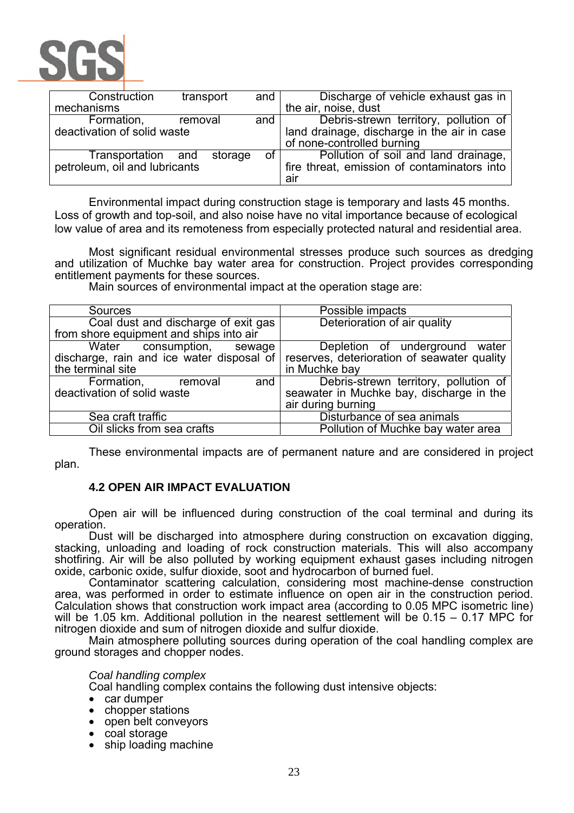

| Construction                  | transport | and                                         | Discharge of vehicle exhaust gas in         |
|-------------------------------|-----------|---------------------------------------------|---------------------------------------------|
| mechanisms                    |           |                                             | the air, noise, dust                        |
| Formation,                    | removal   | and                                         | Debris-strewn territory, pollution of       |
| deactivation of solid waste   |           | land drainage, discharge in the air in case |                                             |
|                               |           |                                             | of none-controlled burning                  |
| Transportation and            | storage   | of <sub>l</sub>                             | Pollution of soil and land drainage,        |
| petroleum, oil and lubricants |           |                                             | fire threat, emission of contaminators into |
|                               |           |                                             | air                                         |

Environmental impact during construction stage is temporary and lasts 45 months. Loss of growth and top-soil, and also noise have no vital importance because of ecological low value of area and its remoteness from especially protected natural and residential area.

Most significant residual environmental stresses produce such sources as dredging and utilization of Muchke bay water area for construction. Project provides corresponding entitlement payments for these sources.

Main sources of environmental impact at the operation stage are:

| <b>Sources</b>                            | Possible impacts                            |
|-------------------------------------------|---------------------------------------------|
| Coal dust and discharge of exit gas       | Deterioration of air quality                |
| from shore equipment and ships into air   |                                             |
| Water consumption, sewage                 | Depletion of underground water              |
| discharge, rain and ice water disposal of | reserves, deterioration of seawater quality |
| the terminal site                         | in Muchke bay                               |
| Formation,<br>and $\vert$<br>removal      | Debris-strewn territory, pollution of       |
| deactivation of solid waste               | seawater in Muchke bay, discharge in the    |
|                                           | air during burning                          |
| Sea craft traffic                         | Disturbance of sea animals                  |
| Oil slicks from sea crafts                | Pollution of Muchke bay water area          |

These environmental impacts are of permanent nature and are considered in project plan.

# **4.2 OPEN AIR IMPACT EVALUATION**

Open air will be influenced during construction of the coal terminal and during its operation.

Dust will be discharged into atmosphere during construction on excavation digging, stacking, unloading and loading of rock construction materials. This will also accompany shotfiring. Air will be also polluted by working equipment exhaust gases including nitrogen oxide, carbonic oxide, sulfur dioxide, soot and hydrocarbon of burned fuel.

Contaminator scattering calculation, considering most machine-dense construction area, was performed in order to estimate influence on open air in the construction period. Calculation shows that construction work impact area (according to 0.05 MPC isometric line) will be 1.05 km. Additional pollution in the nearest settlement will be 0.15 – 0.17 MPC for nitrogen dioxide and sum of nitrogen dioxide and sulfur dioxide.

Main atmosphere polluting sources during operation of the coal handling complex are ground storages and chopper nodes.

### *Coal handling complex*

Coal handling complex contains the following dust intensive objects: • car dumper

- 
- chopper stations
- open belt conveyors
- coal storage
- ship loading machine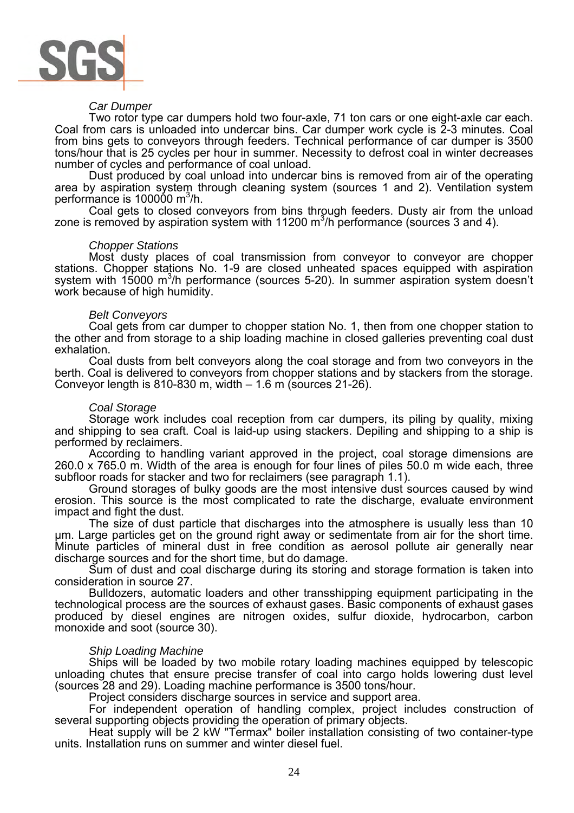

#### *Car Dumper*

Two rotor type car dumpers hold two four-axle, 71 ton cars or one eight-axle car each. Coal from cars is unloaded into undercar bins. Car dumper work cycle is 2-3 minutes. Coal from bins gets to conveyors through feeders. Technical performance of car dumper is 3500 tons/hour that is 25 cycles per hour in summer. Necessity to defrost coal in winter decreases number of cycles and performance of coal unload.

Dust produced by coal unload into undercar bins is removed from air of the operating area by aspiration system through cleaning system (sources 1 and 2). Ventilation system performance is  $100000 \text{ m}^3/\text{h}$ .

Coal gets to closed conveyors from bins through feeders. Dusty air from the unload zone is removed by aspiration system with  $11200 \text{ m}^3/\text{h}$  performance (sources 3 and 4).

#### *Chopper Stations*

Most dusty places of coal transmission from conveyor to conveyor are chopper stations. Chopper stations No. 1-9 are closed unheated spaces equipped with aspiration system with  $15000 \text{ m}^3$ /h performance (sources 5-20). In summer aspiration system doesn't work because of high humidity.

#### *Belt Conveyors*

Coal gets from car dumper to chopper station No. 1, then from one chopper station to the other and from storage to a ship loading machine in closed galleries preventing coal dust exhalation.

Coal dusts from belt conveyors along the coal storage and from two conveyors in the berth. Coal is delivered to conveyors from chopper stations and by stackers from the storage. Conveyor length is 810-830 m, width – 1.6 m (sources 21-26).

#### *Coal Storage*

Storage work includes coal reception from car dumpers, its piling by quality, mixing and shipping to sea craft. Coal is laid-up using stackers. Depiling and shipping to a ship is performed by reclaimers.

According to handling variant approved in the project, coal storage dimensions are 260.0 x 765.0 m. Width of the area is enough for four lines of piles 50.0 m wide each, three subfloor roads for stacker and two for reclaimers (see paragraph 1.1).

Ground storages of bulky goods are the most intensive dust sources caused by wind erosion. This source is the most complicated to rate the discharge, evaluate environment impact and fight the dust.

The size of dust particle that discharges into the atmosphere is usually less than 10 µm. Large particles get on the ground right away or sedimentate from air for the short time. Minute particles of mineral dust in free condition as aerosol pollute air generally near discharge sources and for the short time, but do damage.

Sum of dust and coal discharge during its storing and storage formation is taken into consideration in source 27.

Bulldozers, automatic loaders and other transshipping equipment participating in the technological process are the sources of exhaust gases. Basic components of exhaust gases produced by diesel engines are nitrogen oxides, sulfur dioxide, hydrocarbon, carbon monoxide and soot (source 30).

#### *Ship Loading Machine*

Ships will be loaded by two mobile rotary loading machines equipped by telescopic unloading chutes that ensure precise transfer of coal into cargo holds lowering dust level (sources 28 and 29). Loading machine performance is 3500 tons/hour.

Project considers discharge sources in service and support area.

For independent operation of handling complex, project includes construction of several supporting objects providing the operation of primary objects.

Heat supply will be 2 kW "Termax" boiler installation consisting of two container-type units. Installation runs on summer and winter diesel fuel.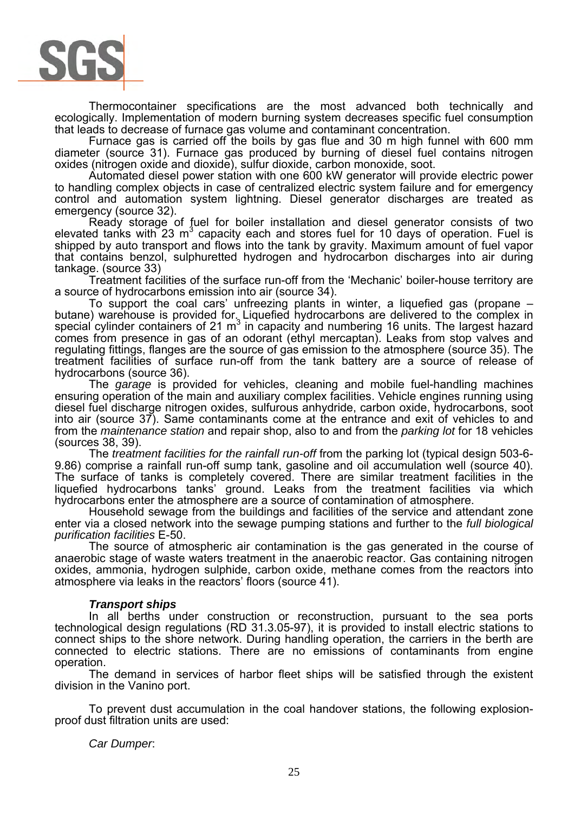

Thermocontainer specifications are the most advanced both technically and ecologically. Implementation of modern burning system decreases specific fuel consumption that leads to decrease of furnace gas volume and contaminant concentration.

Furnace gas is carried off the boils by gas flue and 30 m high funnel with 600 mm diameter (source 31). Furnace gas produced by burning of diesel fuel contains nitrogen oxides (nitrogen oxide and dioxide), sulfur dioxide, carbon monoxide, soot.

Automated diesel power station with one 600 kW generator will provide electric power to handling complex objects in case of centralized electric system failure and for emergency control and automation system lightning. Diesel generator discharges are treated as emergency (source 32).

Ready storage of fuel for boiler installation and diesel generator consists of two elevated tanks with 23  $m^3$  capacity each and stores fuel for 10 days of operation. Fuel is shipped by auto transport and flows into the tank by gravity. Maximum amount of fuel vapor that contains benzol, sulphuretted hydrogen and hydrocarbon discharges into air during tankage. (source 33)

Treatment facilities of the surface run-off from the 'Mechanic' boiler-house territory are a source of hydrocarbons emission into air (source 34).

To support the coal cars' unfreezing plants in winter, a liquefied gas (propane – butane) warehouse is provided for. Liquefied hydrocarbons are delivered to the complex in special cylinder containers of 21  $m^3$  in capacity and numbering 16 units. The largest hazard comes from presence in gas of an odorant (ethyl mercaptan). Leaks from stop valves and regulating fittings, flanges are the source of gas emission to the atmosphere (source 35). The treatment facilities of surface run-off from the tank battery are a source of release of hydrocarbons (source 36).

The *garage* is provided for vehicles, cleaning and mobile fuel-handling machines ensuring operation of the main and auxiliary complex facilities. Vehicle engines running using diesel fuel discharge nitrogen oxides, sulfurous anhydride, carbon oxide, hydrocarbons, soot into air (source 37). Same contaminants come at the entrance and exit of vehicles to and from the *maintenance station* and repair shop, also to and from the *parking lot* for 18 vehicles (sources 38, 39).

The *treatment facilities for the rainfall run-off* from the parking lot (typical design 503-6- 9.86) comprise a rainfall run-off sump tank, gasoline and oil accumulation well (source 40). The surface of tanks is completely covered. There are similar treatment facilities in the liquefied hydrocarbons tanks' ground. Leaks from the treatment facilities via which hydrocarbons enter the atmosphere are a source of contamination of atmosphere.

Household sewage from the buildings and facilities of the service and attendant zone enter via a closed network into the sewage pumping stations and further to the *full biological purification facilities* E-50.

The source of atmospheric air contamination is the gas generated in the course of anaerobic stage of waste waters treatment in the anaerobic reactor. Gas containing nitrogen oxides, ammonia, hydrogen sulphide, carbon oxide, methane comes from the reactors into atmosphere via leaks in the reactors' floors (source 41).

### *Transport ships*

In all berths under construction or reconstruction, pursuant to the sea ports technological design regulations (RD 31.3.05-97), it is provided to install electric stations to connect ships to the shore network. During handling operation, the carriers in the berth are connected to electric stations. There are no emissions of contaminants from engine operation.

The demand in services of harbor fleet ships will be satisfied through the existent division in the Vanino port.

To prevent dust accumulation in the coal handover stations, the following explosionproof dust filtration units are used:

### *Car Dumper*: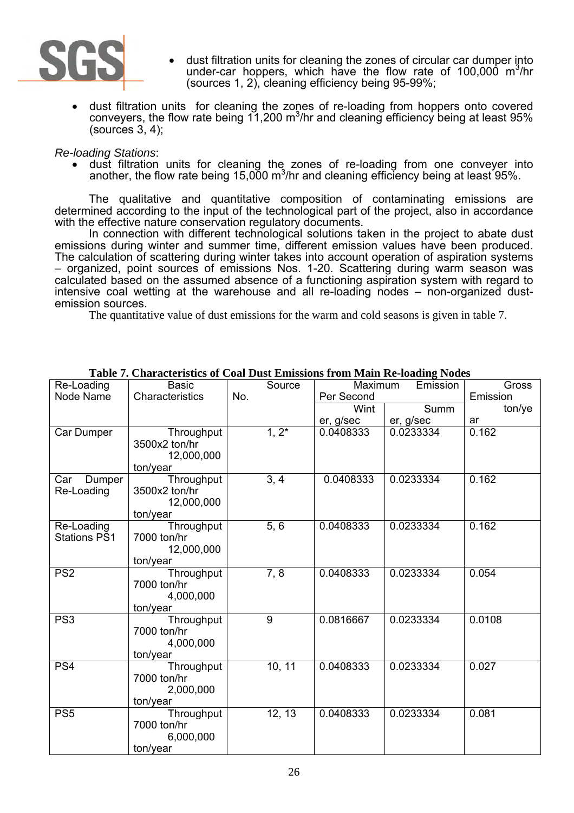

- dust filtration units for cleaning the zones of circular car dumper into under-car hoppers, which have the flow rate of 100,000 m<sup>3</sup>/hr (sources 1, 2), cleaning efficiency being 95-99%;
- dust filtration units for cleaning the zones of re-loading from hoppers onto covered conveyers, the flow rate being 11,200 m<sup>3</sup>/hr and cleaning efficiency being at least 95% (sources 3, 4);

### *Re-loading Stations*:

• dust filtration units for cleaning the zones of re-loading from one conveyer into another, the flow rate being 15,000 m<sup>3</sup>/hr and cleaning efficiency being at least 95%.

The qualitative and quantitative composition of contaminating emissions are determined according to the input of the technological part of the project, also in accordance with the effective nature conservation regulatory documents.

In connection with different technological solutions taken in the project to abate dust emissions during winter and summer time, different emission values have been produced. The calculation of scattering during winter takes into account operation of aspiration systems – organized, point sources of emissions Nos. 1-20. Scattering during warm season was calculated based on the assumed absence of a functioning aspiration system with regard to intensive coal wetting at the warehouse and all re-loading nodes – non-organized dustemission sources.

The quantitative value of dust emissions for the warm and cold seasons is given in table 7.

| Re-Loading          | <b>Basic</b>    | Source   |            | Maximum<br>Emission |          |
|---------------------|-----------------|----------|------------|---------------------|----------|
| Node Name           | Characteristics | No.      | Per Second |                     | Emission |
|                     |                 |          | Wint       | Summ                | ton/ye   |
|                     |                 |          | er, g/sec  | er, g/sec           | ar       |
| Car Dumper          | Throughput      | $1, 2^*$ | 0.0408333  | 0.0233334           | 0.162    |
|                     | 3500x2 ton/hr   |          |            |                     |          |
|                     | 12,000,000      |          |            |                     |          |
|                     | ton/year        |          |            |                     |          |
| Dumper<br>Car       | Throughput      | 3, 4     | 0.0408333  | 0.0233334           | 0.162    |
| Re-Loading          | 3500x2 ton/hr   |          |            |                     |          |
|                     | 12,000,000      |          |            |                     |          |
|                     | ton/year        |          |            |                     |          |
| Re-Loading          | Throughput      | 5, 6     | 0.0408333  | 0.0233334           | 0.162    |
| <b>Stations PS1</b> | 7000 ton/hr     |          |            |                     |          |
|                     | 12,000,000      |          |            |                     |          |
|                     | ton/year        |          |            |                     |          |
| PS <sub>2</sub>     | Throughput      | 7, 8     | 0.0408333  | 0.0233334           | 0.054    |
|                     | 7000 ton/hr     |          |            |                     |          |
|                     | 4,000,000       |          |            |                     |          |
|                     | ton/year        |          |            |                     |          |
| PS <sub>3</sub>     | Throughput      | 9        | 0.0816667  | 0.0233334           | 0.0108   |
|                     | 7000 ton/hr     |          |            |                     |          |
|                     | 4,000,000       |          |            |                     |          |
|                     | ton/year        |          |            |                     |          |
| PS <sub>4</sub>     | Throughput      | 10, 11   | 0.0408333  | 0.0233334           | 0.027    |
|                     | 7000 ton/hr     |          |            |                     |          |
|                     | 2,000,000       |          |            |                     |          |
|                     | ton/year        |          |            |                     |          |
| PS <sub>5</sub>     | Throughput      | 12, 13   | 0.0408333  | 0.0233334           | 0.081    |
|                     | 7000 ton/hr     |          |            |                     |          |
|                     | 6,000,000       |          |            |                     |          |
|                     | ton/year        |          |            |                     |          |

**Table 7. Characteristics of Coal Dust Emissions from Main Re-loading Nodes**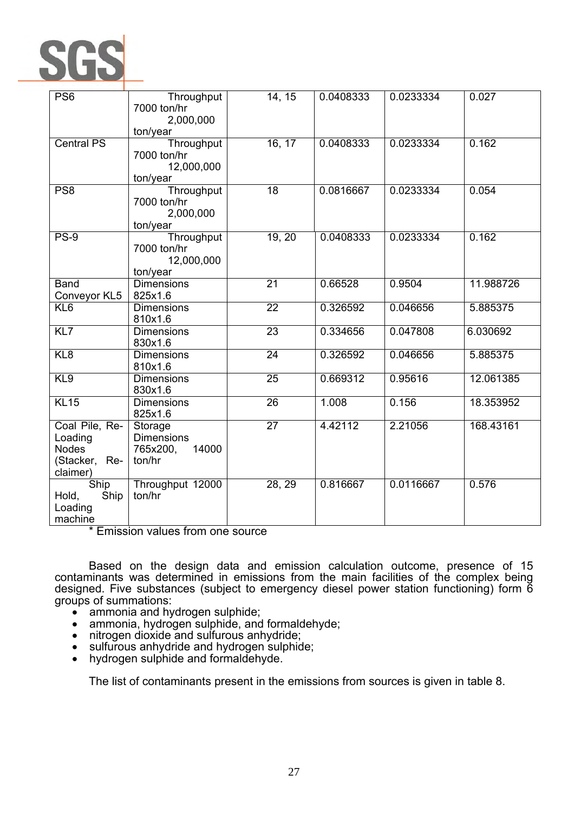

| PS <sub>6</sub>                                                        | Throughput<br>7000 ton/hr<br>2,000,000                      | 14, 15          | 0.0408333 | 0.0233334 | 0.027     |
|------------------------------------------------------------------------|-------------------------------------------------------------|-----------------|-----------|-----------|-----------|
|                                                                        | ton/year                                                    |                 |           |           |           |
| <b>Central PS</b>                                                      | Throughput<br>7000 ton/hr<br>12,000,000<br>ton/year         | 16, 17          | 0.0408333 | 0.0233334 | 0.162     |
| PS <sub>8</sub>                                                        | Throughput<br>7000 ton/hr<br>2,000,000<br>ton/year          | $\overline{18}$ | 0.0816667 | 0.0233334 | 0.054     |
| <b>PS-9</b>                                                            | Throughput<br>7000 ton/hr<br>12,000,000<br>ton/year         | 19, 20          | 0.0408333 | 0.0233334 | 0.162     |
| <b>Band</b>                                                            | <b>Dimensions</b>                                           | $\overline{21}$ | 0.66528   | 0.9504    | 11.988726 |
| Conveyor KL5<br>$\overline{KL6}$                                       | 825x1.6<br><b>Dimensions</b><br>810x1.6                     | $\overline{22}$ | 0.326592  | 0.046656  | 5.885375  |
| $\overline{KL7}$                                                       | <b>Dimensions</b><br>830x1.6                                | $\overline{23}$ | 0.334656  | 0.047808  | 6.030692  |
| KL8                                                                    | <b>Dimensions</b><br>810x1.6                                | $\overline{24}$ | 0.326592  | 0.046656  | 5.885375  |
| KL9                                                                    | <b>Dimensions</b><br>830x1.6                                | $\overline{25}$ | 0.669312  | 0.95616   | 12.061385 |
| KL15                                                                   | <b>Dimensions</b><br>825x1.6                                | 26              | 1.008     | 0.156     | 18.353952 |
| Coal Pile, Re-<br>Loading<br><b>Nodes</b><br>(Stacker, Re-<br>claimer) | Storage<br><b>Dimensions</b><br>765x200,<br>14000<br>ton/hr | $\overline{27}$ | 4.42112   | 2.21056   | 168.43161 |
| Ship<br>Ship<br>Hold,<br>Loading<br>machine                            | Throughput 12000<br>ton/hr                                  | 28, 29          | 0.816667  | 0.0116667 | 0.576     |

\* Emission values from one source

Based on the design data and emission calculation outcome, presence of 15 contaminants was determined in emissions from the main facilities of the complex being designed. Five substances (subject to emergency diesel power station functioning) form 6

- ammonia and hydrogen sulphide;<br>• ammonia. hydrogen sulphide, and
- ammonia, hydrogen sulphide, and formaldehyde;<br>nitrogen dioxide and sulfurous anhydride;
- 
- nitrogen dioxide and sulfurous anhydride;<br>• sulfurous anhydride and hydrogen sulphide;<br>• hydrogen sulphide and formaldehyde.
- hydrogen sulphide and formaldehyde.

The list of contaminants present in the emissions from sources is given in table 8.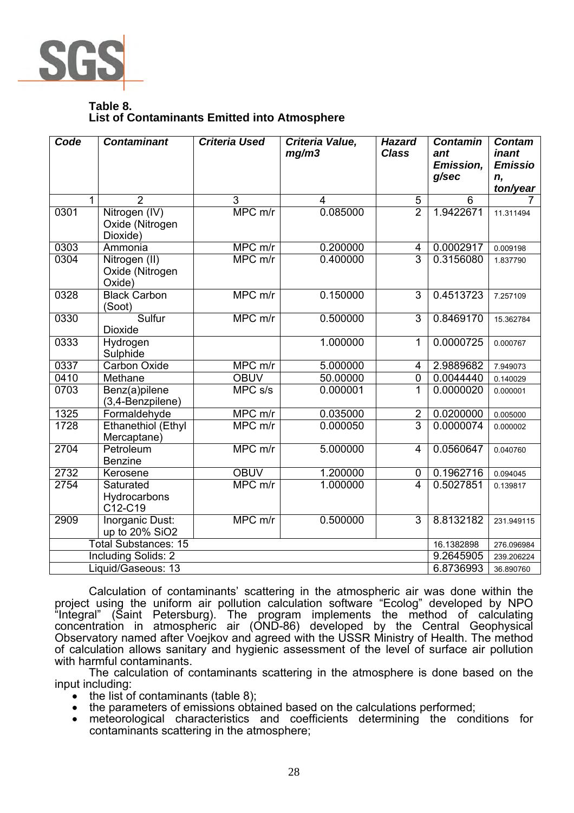

## **Table 8. List of Contaminants Emitted into Atmosphere**

| Code | <b>Contaminant</b>                           | <b>Criteria Used</b> | Criteria Value,<br>mg/m3 | <b>Hazard</b><br><b>Class</b> | <b>Contamin</b><br>ant | <b>Contam</b><br>inant |
|------|----------------------------------------------|----------------------|--------------------------|-------------------------------|------------------------|------------------------|
|      |                                              |                      |                          |                               | <b>Emission,</b>       | <b>Emissio</b>         |
|      |                                              |                      |                          |                               | g/sec                  | n,                     |
|      |                                              |                      |                          |                               |                        | ton/year               |
| 1    | $\overline{2}$                               | 3<br>MPC m/r         | 4<br>0.085000            | 5<br>$\overline{2}$           | 6<br>1.9422671         |                        |
| 0301 | Nitrogen (IV)<br>Oxide (Nitrogen<br>Dioxide) |                      |                          |                               |                        | 11.311494              |
| 0303 | Ammonia                                      | MPC m/r              | 0.200000                 | 4                             | 0.0002917              | 0.009198               |
| 0304 | Nitrogen (II)<br>Oxide (Nitrogen<br>Oxide)   | MPC m/r              | 0.400000                 | 3                             | 0.3156080              | 1.837790               |
| 0328 | <b>Black Carbon</b><br>(Soot)                | MPC m/r              | 0.150000                 | $\overline{3}$                | 0.4513723              | 7.257109               |
| 0330 | Sulfur<br><b>Dioxide</b>                     | MPC m/r              | 0.500000                 | 3                             | 0.8469170              | 15.362784              |
| 0333 | Hydrogen<br>Sulphide                         |                      | 1.000000                 | 1                             | 0.0000725              | 0.000767               |
| 0337 | <b>Carbon Oxide</b>                          | MPC m/r              | 5.000000                 | 4                             | 2.9889682              | 7.949073               |
| 0410 | Methane                                      | <b>OBUV</b>          | 50.00000                 | $\mathbf 0$                   | 0.0044440              | 0.140029               |
| 0703 | Benz(a)pilene<br>(3,4-Benzpilene)            | MPCs/s               | 0.000001                 | 1                             | 0.0000020              | 0.000001               |
| 1325 | Formaldehyde                                 | $MPC$ m/r            | 0.035000                 | $\overline{2}$                | 0.0200000              | 0.005000               |
| 1728 | <b>Ethanethiol (Ethyl</b><br>Mercaptane)     | MPC m/r              | 0.000050                 | $\overline{3}$                | 0.0000074              | 0.000002               |
| 2704 | Petroleum<br><b>Benzine</b>                  | $MPC$ m/r            | 5.000000                 | $\overline{4}$                | 0.0560647              | 0.040760               |
| 2732 | Kerosene                                     | <b>OBUV</b>          | 1.200000                 | $\mathbf 0$                   | 0.1962716              | 0.094045               |
| 2754 | Saturated<br>Hydrocarbons<br>C12-C19         | MPC m/r              | 1.000000                 | $\overline{4}$                | 0.5027851              | 0.139817               |
| 2909 | Inorganic Dust:<br>up to 20% SiO2            | MPC m/r              | 0.500000                 | 3                             | 8.8132182              | 231.949115             |
|      | <b>Total Substances: 15</b>                  |                      |                          |                               | 16.1382898             | 276.096984             |
|      | <b>Including Solids: 2</b>                   |                      |                          |                               | 9.2645905              | 239.206224             |
|      | Liquid/Gaseous: 13                           |                      |                          |                               | 6.8736993              | 36.890760              |

Calculation of contaminants' scattering in the atmospheric air was done within the project using the uniform air pollution calculation software "Ecolog" developed by NPO "Integral" (Saint Petersburg). The program implements the method of calculating concentration in atmospheric air (OND-86) developed by the Central Geophysical Observatory named after Voejkov and agreed with the USSR Ministry of Health. The method of calculation allows sanitary and hygienic assessment of the level of surface air pollution with harmful contaminants.

The calculation of contaminants scattering in the atmosphere is done based on the input including:

- $\bullet$  the list of contaminants (table 8);
- 
- the parameters of emissions obtained based on the calculations performed; meteorological characteristics and coefficients determining the conditions for contaminants scattering in the atmosphere;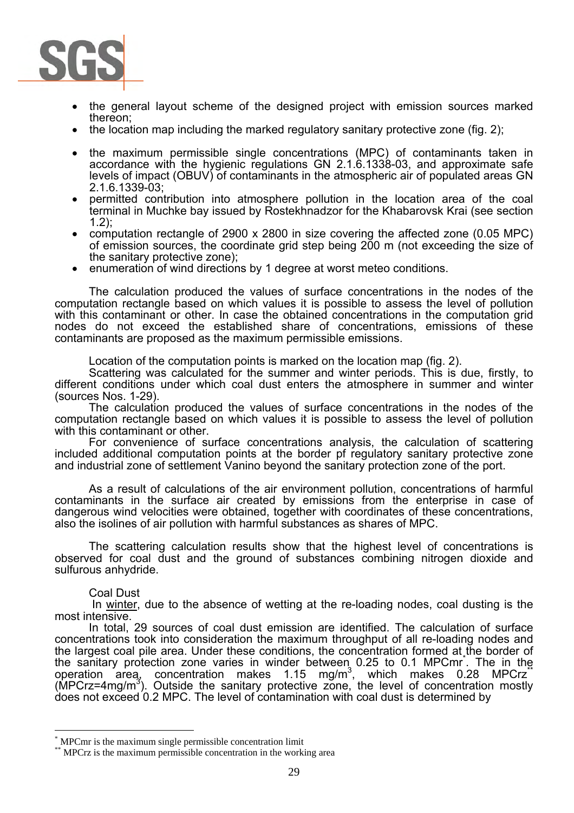

- the general layout scheme of the designed project with emission sources marked thereon;
- the location map including the marked regulatory sanitary protective zone (fig. 2);
- the maximum permissible single concentrations (MPC) of contaminants taken in accordance with the hygienic regulations GN 2.1.6.1338-03, and approximate safe levels of impact (OBUV) of contaminants in the atmospheric air of populated areas GN 2.1.6.1339-03;
- permitted contribution into atmosphere pollution in the location area of the coal terminal in Muchke bay issued by Rostekhnadzor for the Khabarovsk Krai (see section 1.2);
- computation rectangle of 2900 x 2800 in size covering the affected zone (0.05 MPC) of emission sources, the coordinate grid step being 200 m (not exceeding the size of the sanitary protective zone);
- enumeration of wind directions by 1 degree at worst meteo conditions.

The calculation produced the values of surface concentrations in the nodes of the computation rectangle based on which values it is possible to assess the level of pollution with this contaminant or other. In case the obtained concentrations in the computation grid nodes do not exceed the established share of concentrations, emissions of these contaminants are proposed as the maximum permissible emissions.

Location of the computation points is marked on the location map (fig. 2).

Scattering was calculated for the summer and winter periods. This is due, firstly, to different conditions under which coal dust enters the atmosphere in summer and winter (sources Nos. 1-29).

The calculation produced the values of surface concentrations in the nodes of the computation rectangle based on which values it is possible to assess the level of pollution with this contaminant or other.

For convenience of surface concentrations analysis, the calculation of scattering included additional computation points at the border pf regulatory sanitary protective zone and industrial zone of settlement Vanino beyond the sanitary protection zone of the port.

As a result of calculations of the air environment pollution, concentrations of harmful contaminants in the surface air created by emissions from the enterprise in case of dangerous wind velocities were obtained, together with coordinates of these concentrations, also the isolines of air pollution with harmful substances as shares of MPC.

The scattering calculation results show that the highest level of concentrations is observed for coal dust and the ground of substances combining nitrogen dioxide and sulfurous anhydride.

### Coal Dust

 $\overline{a}$ 

In winter, due to the absence of wetting at the re-loading nodes, coal dusting is the most intensive.

In total, 29 sources of coal dust emission are identified. The calculation of surface concentrations took into consideration the maximum throughput of all re-loading nodes and the largest coal pile area. Under these conditions, the concentration formed at the border of the sanitary protection zone varies in winder between 0.25 to 0.1 MPCmr<sup>\*</sup>. The in the operation area, concentration makes 1.15 mg/m<sup>3</sup>, which makes 0.28 MPCrz<sup>\*\*</sup>  $(MPCrz=4mg/m<sup>3</sup>)$ . Outside the sanitary protective zone, the level of concentration mostly does not exceed 0.2 MPC. The level of contamination with coal dust is determined by

<sup>\*</sup>

MPCmr is the maximum single permissible concentration limit \* MPCrz is the maximum permissible concentration in the working area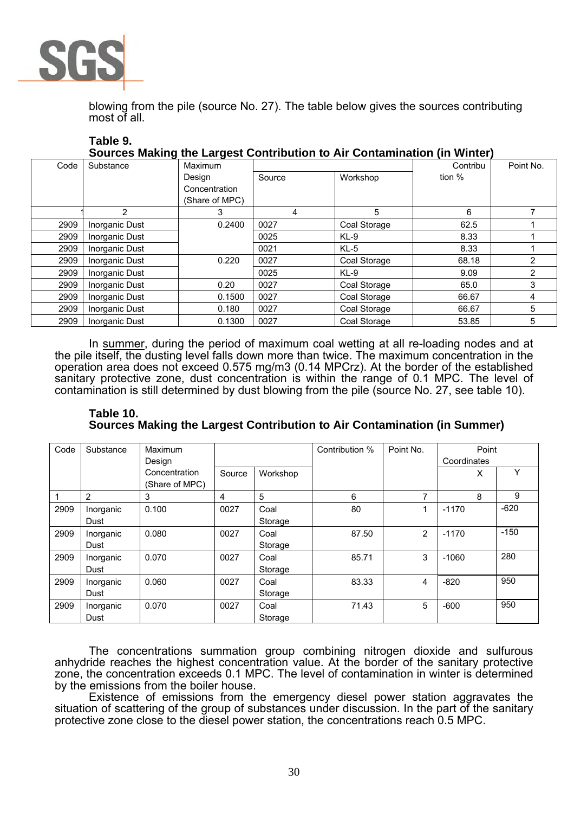

blowing from the pile (source No. 27). The table below gives the sources contributing most of all.

| Table 9. |            | Sources Making the Largest Contribution to Air Contamination (in Winter) |                                      |  |
|----------|------------|--------------------------------------------------------------------------|--------------------------------------|--|
| O.       | $M = 1.28$ |                                                                          | $\bigcap$ and $\bigcup$ in $\bigcup$ |  |

| Code | Substance      | Maximum        |        |              | Contribu | Point No. |
|------|----------------|----------------|--------|--------------|----------|-----------|
|      |                | Design         | Source | Workshop     | tion %   |           |
|      |                | Concentration  |        |              |          |           |
|      |                | (Share of MPC) |        |              |          |           |
|      | 2              | 3              | 4      | 5            | 6        |           |
| 2909 | Inorganic Dust | 0.2400         | 0027   | Coal Storage | 62.5     |           |
| 2909 | Inorganic Dust |                | 0025   | $KL-9$       | 8.33     |           |
| 2909 | Inorganic Dust |                | 0021   | $KL-5$       | 8.33     |           |
| 2909 | Inorganic Dust | 0.220          | 0027   | Coal Storage | 68.18    | າ         |
| 2909 | Inorganic Dust |                | 0025   | $KL-9$       | 9.09     | 2         |
| 2909 | Inorganic Dust | 0.20           | 0027   | Coal Storage | 65.0     | 3         |
| 2909 | Inorganic Dust | 0.1500         | 0027   | Coal Storage | 66.67    | 4         |
| 2909 | Inorganic Dust | 0.180          | 0027   | Coal Storage | 66.67    | 5         |
| 2909 | Inorganic Dust | 0.1300         | 0027   | Coal Storage | 53.85    | 5         |

In summer, during the period of maximum coal wetting at all re-loading nodes and at the pile itself, the dusting level falls down more than twice. The maximum concentration in the operation area does not exceed 0.575 mg/m3 (0.14 MPCrz). At the border of the established sanitary protective zone, dust concentration is within the range of 0.1 MPC. The level of contamination is still determined by dust blowing from the pile (source No. 27, see table 10).

**Table 10. Sources Making the Largest Contribution to Air Contamination (in Summer)**

| Code | Substance         | Maximum<br>Design               |        |                 | Contribution % | Point No. | Point<br>Coordinates |        |  |
|------|-------------------|---------------------------------|--------|-----------------|----------------|-----------|----------------------|--------|--|
|      |                   | Concentration<br>(Share of MPC) | Source | Workshop        |                |           | X                    | Υ      |  |
|      | $\overline{2}$    | 3                               | 4      | 5               | 6              | 7         | 8                    | 9      |  |
| 2909 | Inorganic<br>Dust | 0.100                           | 0027   | Coal<br>Storage | 80             |           | $-1170$              | $-620$ |  |
| 2909 | Inorganic<br>Dust | 0.080                           | 0027   | Coal<br>Storage | 87.50          | 2         | $-1170$              | $-150$ |  |
| 2909 | Inorganic<br>Dust | 0.070                           | 0027   | Coal<br>Storage | 85.71          | 3         | $-1060$              | 280    |  |
| 2909 | Inorganic<br>Dust | 0.060                           | 0027   | Coal<br>Storage | 83.33          | 4         | $-820$               | 950    |  |
| 2909 | Inorganic<br>Dust | 0.070                           | 0027   | Coal<br>Storage | 71.43          | 5         | $-600$               | 950    |  |

The concentrations summation group combining nitrogen dioxide and sulfurous anhydride reaches the highest concentration value. At the border of the sanitary protective zone, the concentration exceeds 0.1 MPC. The level of contamination in winter is determined by the emissions from the boiler house.

Existence of emissions from the emergency diesel power station aggravates the situation of scattering of the group of substances under discussion. In the part of the sanitary protective zone close to the diesel power station, the concentrations reach 0.5 MPC.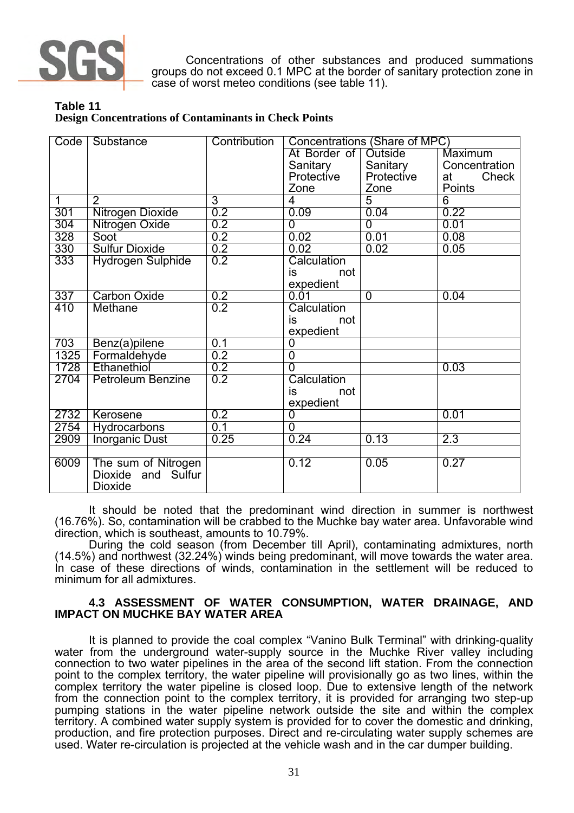

Concentrations of other substances and produced summations groups do not exceed 0.1 MPC at the border of sanitary protection zone in case of worst meteo conditions (see table 11).

**Table 11 Design Concentrations of Contaminants in Check Points**

| Code <sub>1</sub> | Substance                | Contribution |                        | Concentrations (Share of MPC) |                  |
|-------------------|--------------------------|--------------|------------------------|-------------------------------|------------------|
|                   |                          |              | At Border of   Outside |                               | Maximum          |
|                   |                          |              | Sanitary               | Sanitary                      | Concentration    |
|                   |                          |              | Protective             | Protective                    | Check<br>at      |
|                   |                          |              | Zone                   | Zone                          | Points           |
| $\overline{1}$    | $\overline{2}$           | 3            | 4                      | 5                             | $\overline{6}$   |
| 301               | Nitrogen Dioxide         | 0.2          | 0.09                   | 0.04                          | 0.22             |
| 304               | Nitrogen Oxide           | 0.2          | $\overline{0}$         | $\overline{0}$                | 0.01             |
| 328               | Soot                     | 0.2          | 0.02                   | 0.01                          | 0.08             |
| 330               | <b>Sulfur Dioxide</b>    | 0.2          | 0.02                   | 0.02                          | 0.05             |
| 333               | <b>Hydrogen Sulphide</b> | 0.2          | Calculation            |                               |                  |
|                   |                          |              | is<br>not              |                               |                  |
|                   |                          |              | expedient              |                               |                  |
| 337               | <b>Carbon Oxide</b>      | 0.2          | 0.01                   | $\mathbf 0$                   | 0.04             |
| 410               | Methane                  | 0.2          | Calculation            |                               |                  |
|                   |                          |              | not<br>is              |                               |                  |
|                   |                          |              | expedient              |                               |                  |
| 703               | Benz(a)pilene            | 0.1          | 0                      |                               |                  |
| 1325              | Formaldehyde             | 0.2          | $\overline{0}$         |                               |                  |
| 1728              | Ethanethiol              | 0.2          | $\overline{0}$         |                               | 0.03             |
| 2704              | <b>Petroleum Benzine</b> | 0.2          | Calculation            |                               |                  |
|                   |                          |              | not<br>is              |                               |                  |
|                   |                          |              | expedient              |                               |                  |
| 2732              | Kerosene                 | 0.2          | $\overline{0}$         |                               | 0.01             |
| 2754              | Hydrocarbons             | 0.1          | $\overline{0}$         |                               |                  |
| 2909              | <b>Inorganic Dust</b>    | 0.25         | 0.24                   | 0.13                          | $\overline{2.3}$ |
|                   |                          |              |                        |                               |                  |
| 6009              | The sum of Nitrogen      |              | 0.12                   | 0.05                          | 0.27             |
|                   | Dioxide and Sulfur       |              |                        |                               |                  |
|                   | <b>Dioxide</b>           |              |                        |                               |                  |

It should be noted that the predominant wind direction in summer is northwest (16.76%). So, contamination will be crabbed to the Muchke bay water area. Unfavorable wind direction, which is southeast, amounts to 10.79%.

During the cold season (from December till April), contaminating admixtures, north (14.5%) and northwest (32.24%) winds being predominant, will move towards the water area. In case of these directions of winds, contamination in the settlement will be reduced to minimum for all admixtures.

### **4.3 ASSESSMENT OF WATER CONSUMPTION, WATER DRAINAGE, AND IMPACT ON MUCHKE BAY WATER AREA**

It is planned to provide the coal complex "Vanino Bulk Terminal" with drinking-quality water from the underground water-supply source in the Muchke River valley including connection to two water pipelines in the area of the second lift station. From the connection point to the complex territory, the water pipeline will provisionally go as two lines, within the complex territory the water pipeline is closed loop. Due to extensive length of the network from the connection point to the complex territory, it is provided for arranging two step-up pumping stations in the water pipeline network outside the site and within the complex territory. A combined water supply system is provided for to cover the domestic and drinking, production, and fire protection purposes. Direct and re-circulating water supply schemes are used. Water re-circulation is projected at the vehicle wash and in the car dumper building.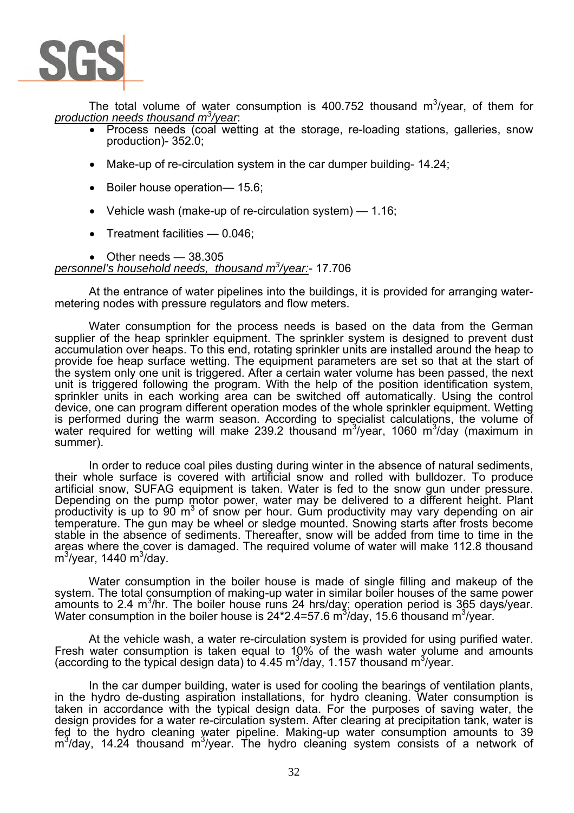

The total volume of water consumption is 400.752 thousand  $m^3$ /year, of them for *production needs thousand m3 /year*:

- Process needs (coal wetting at the storage, re-loading stations, galleries, snow production)- 352.0;
- Make-up of re-circulation system in the car dumper building- 14.24;
- Boiler house operation— 15.6;
- Vehicle wash (make-up of re-circulation system) 1.16;
- Treatment facilities 0.046;

Other needs  $-$  38.305 *personnel's household needs, thousand m3 /year:*- 17.706

At the entrance of water pipelines into the buildings, it is provided for arranging watermetering nodes with pressure regulators and flow meters.

Water consumption for the process needs is based on the data from the German supplier of the heap sprinkler equipment. The sprinkler system is designed to prevent dust accumulation over heaps. To this end, rotating sprinkler units are installed around the heap to provide foe heap surface wetting. The equipment parameters are set so that at the start of the system only one unit is triggered. After a certain water volume has been passed, the next unit is triggered following the program. With the help of the position identification system, sprinkler units in each working area can be switched off automatically. Using the control device, one can program different operation modes of the whole sprinkler equipment. Wetting is performed during the warm season. According to specialist calculations, the volume of water required for wetting will make 239.2 thousand m<sup>3</sup>/year, 1060 m<sup>3</sup>/day (maximum in summer).

In order to reduce coal piles dusting during winter in the absence of natural sediments, their whole surface is covered with artificial snow and rolled with bulldozer. To produce artificial snow, SUFAG equipment is taken. Water is fed to the snow gun under pressure. Depending on the pump motor power, water may be delivered to a different height. Plant productivity is up to 90  $\mathrm{m}^3$  of snow per hour. Gum productivity may vary depending on air temperature. The gun may be wheel or sledge mounted. Snowing starts after frosts become stable in the absence of sediments. Thereafter, snow will be added from time to time in the areas where the cover is damaged. The required volume of water will make 112.8 thousand m<sup>3</sup>/year, 1440 m<sup>3</sup>/day.

Water consumption in the boiler house is made of single filling and makeup of the system. The total consumption of making-up water in similar boiler houses of the same power amounts to 2.4  $m^3/hr$ . The boiler house runs 24 hrs/day; operation period is 365 days/year. Water consumption in the boiler house is  $24*2.4=57.6$  m<sup>3</sup>/day, 15.6 thousand m<sup>3</sup>/year.

At the vehicle wash, a water re-circulation system is provided for using purified water. Fresh water consumption is taken equal to 10% of the wash water volume and amounts (according to the typical design data) to 4.45 m<sup>3</sup>/day, 1.157 thousand m<sup>3</sup>/year.

In the car dumper building, water is used for cooling the bearings of ventilation plants, in the hydro de-dusting aspiration installations, for hydro cleaning. Water consumption is taken in accordance with the typical design data. For the purposes of saving water, the design provides for a water re-circulation system. After clearing at precipitation tank, water is fed to the hydro cleaning water pipeline. Making-up water consumption amounts to 39  $m<sup>3</sup>/day$ , 14.24 thousand  $m<sup>3</sup>/year$ . The hydro cleaning system consists of a network of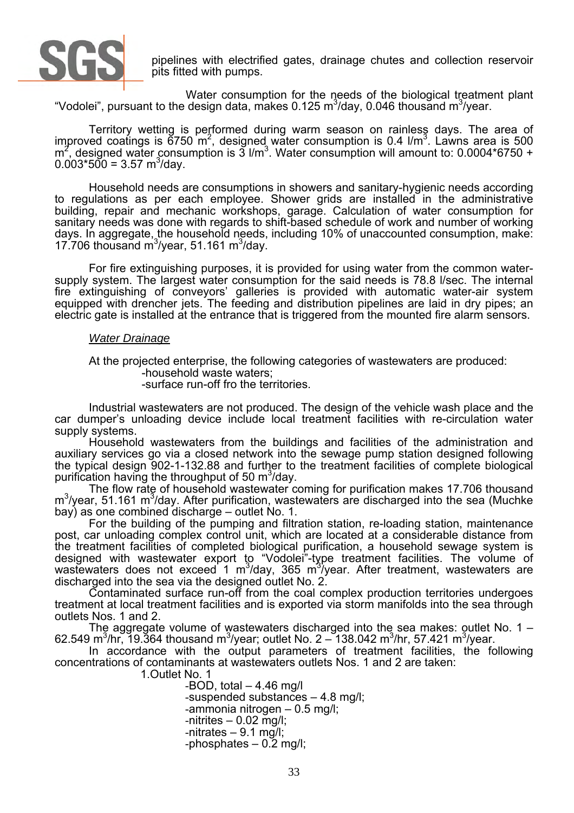

pipelines with electrified gates, drainage chutes and collection reservoir pits fitted with pumps.

Water consumption for the needs of the biological treatment plant "Vodolei", pursuant to the design data, makes 0.125 m<sup>3</sup>/day, 0.046 thousand m<sup>3</sup>/year.

Territory wetting is performed during warm season on rainless days. The area of improved coatings is  $6750 \text{ m}^2$ , designed water consumption is 0.4  $1/m^3$ . Lawns area is 500 m<sub>3</sub>. Consuming the consumption is 3 l/m<sup>3</sup>. Water consumption will amount to: 0.0004\*6750 +  $0.003*500 = 3.57 \text{ m}^3/\text{day}.$ 

Household needs are consumptions in showers and sanitary-hygienic needs according to regulations as per each employee. Shower grids are installed in the administrative building, repair and mechanic workshops, garage. Calculation of water consumption for sanitary needs was done with regards to shift-based schedule of work and number of working days. In aggregate, the household needs, including 10% of unaccounted consumption, make: 17.706 thousand  $\text{m}^3$ /year, 51.161 m $^3$ /day.

For fire extinguishing purposes, it is provided for using water from the common watersupply system. The largest water consumption for the said needs is 78.8 l/sec. The internal fire extinguishing of conveyors' galleries is provided with automatic water-air system equipped with drencher jets. The feeding and distribution pipelines are laid in dry pipes; an electric gate is installed at the entrance that is triggered from the mounted fire alarm sensors.

#### *Water Drainage*

At the projected enterprise, the following categories of wastewaters are produced:

-household waste waters;

-surface run-off fro the territories.

Industrial wastewaters are not produced. The design of the vehicle wash place and the car dumper's unloading device include local treatment facilities with re-circulation water supply systems.

Household wastewaters from the buildings and facilities of the administration and auxiliary services go via a closed network into the sewage pump station designed following the typical design 902-1-132.88 and further to the treatment facilities of complete biological purification having the throughput of 50  $\text{m}^3$ /day.

The flow rate of household wastewater coming for purification makes 17.706 thousand m<sup>3</sup>/year, 51.161 m<sup>3</sup>/day. After purification, wastewaters are discharged into the sea (Muchke bay) as one combined discharge – outlet No. 1.

For the building of the pumping and filtration station, re-loading station, maintenance post, car unloading complex control unit, which are located at a considerable distance from the treatment facilities of completed biological purification, a household sewage system is designed with wastewater export to "Vodolei"-type treatment facilities. The volume of wastewaters does not exceed 1 m<sup>3</sup>/day, 365 m<sup>3</sup>/year. After treatment, wastewaters are discharged into the sea via the designed outlet No. 2.

Contaminated surface run-off from the coal complex production territories undergoes treatment at local treatment facilities and is exported via storm manifolds into the sea through outlets Nos. 1 and 2.

The aggregate volume of wastewaters discharged into the sea makes: outlet No. 1 – 62.549 m<sup>3</sup>/hr, 19.364 thousand m<sup>3</sup>/year; outlet No. 2 – 138.042 m<sup>3</sup>/hr, 57.421 m<sup>3</sup>/year.

In accordance with the output parameters of treatment facilities, the following concentrations of contaminants at wastewaters outlets Nos. 1 and 2 are taken:

1.Outlet No. 1

-BOD, total  $-4.46$  mg/l -suspended substances – 4.8 mg/l; -ammonia nitrogen – 0.5 mg/l; -nitrites – 0.02 mg/l; -nitrates – 9.1 mg/l; -phosphates – 0.2 mg/l;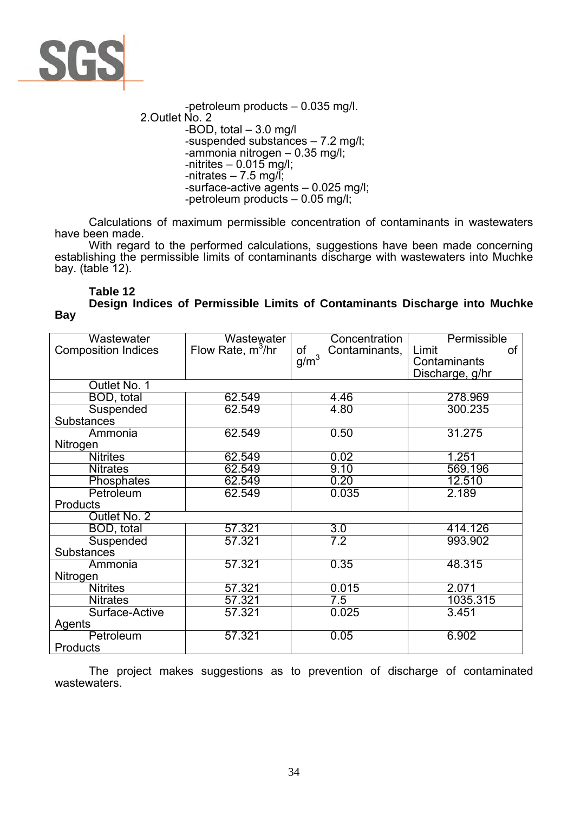

-petroleum products – 0.035 mg/l. 2.Outlet No. 2 -BOD, total – 3.0 mg/l -suspended substances – 7.2 mg/l; -ammonia nitrogen – 0.35 mg/l;  $-$ nitrites  $-$  0.015 mg/l; -nitrates  $-7.5$  mg/l: -surface-active agents – 0.025 mg/l; -petroleum products – 0.05 mg/l;

Calculations of maximum permissible concentration of contaminants in wastewaters have been made.

With regard to the performed calculations, suggestions have been made concerning establishing the permissible limits of contaminants discharge with wastewaters into Muchke bay. (table 12).

**Table 12 Design Indices of Permissible Limits of Contaminants Discharge into Muchke Bay** 

| Wastewater                 | Wastewater          | Concentration       | Permissible     |
|----------------------------|---------------------|---------------------|-----------------|
| <b>Composition Indices</b> | Flow Rate, $m^3/hr$ | of<br>Contaminants, | Limit<br>0f     |
|                            |                     | $g/m^3$             | Contaminants    |
|                            |                     |                     | Discharge, g/hr |
| Outlet No. 1               |                     |                     |                 |
| BOD, total                 | 62.549              | 4.46                | 278.969         |
| Suspended                  | 62.549              | 4.80                | 300.235         |
| Substances                 |                     |                     |                 |
| Ammonia                    | 62.549              | 0.50                | 31.275          |
| Nitrogen                   |                     |                     |                 |
| <b>Nitrites</b>            | 62.549              | 0.02                | 1.251           |
| <b>Nitrates</b>            | 62.549              | 9.10                | 569.196         |
| Phosphates                 | 62.549              | 0.20                | 12.510          |
| Petroleum                  | 62.549              | 0.035               | 2.189           |
| <b>Products</b>            |                     |                     |                 |
| Outlet No. 2               |                     |                     |                 |
| BOD, total                 | 57.321              | 3.0                 | 414.126         |
| Suspended                  | 57.321              | 7.2                 | 993.902         |
| <b>Substances</b>          |                     |                     |                 |
| Ammonia                    | 57.321              | 0.35                | 48.315          |
| Nitrogen                   |                     |                     |                 |
| <b>Nitrites</b>            | 57.321              | 0.015               | 2.071           |
| <b>Nitrates</b>            | 57.321              | 7.5                 | 1035.315        |
| Surface-Active             | 57.321              | 0.025               | 3.451           |
| Agents                     |                     |                     |                 |
| Petroleum                  | 57.321              | 0.05                | 6.902           |
| <b>Products</b>            |                     |                     |                 |

The project makes suggestions as to prevention of discharge of contaminated wastewaters.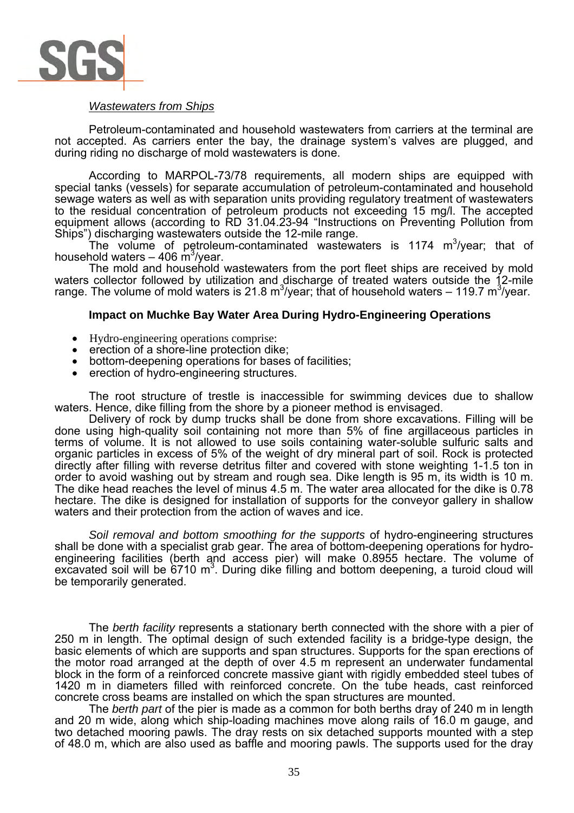

### *Wastewaters from Ships*

Petroleum-contaminated and household wastewaters from carriers at the terminal are not accepted. As carriers enter the bay, the drainage system's valves are plugged, and during riding no discharge of mold wastewaters is done.

According to MARPOL-73/78 requirements, all modern ships are equipped with special tanks (vessels) for separate accumulation of petroleum-contaminated and household sewage waters as well as with separation units providing regulatory treatment of wastewaters to the residual concentration of petroleum products not exceeding 15 mg/l. The accepted equipment allows (according to RD 31.04.23-94 "Instructions on Preventing Pollution from Ships") discharging wastewaters outside the 12-mile range.

The volume of petroleum-contaminated wastewaters is 1174  $m^3$ /year; that of household waters – 406 m<sup>3</sup>/year.

The mold and household wastewaters from the port fleet ships are received by mold waters collector followed by utilization and discharge of treated waters outside the 12-mile range. The volume of mold waters is 21.8 m<sup>3</sup>/year; that of household waters – 119.7 m<sup>3</sup>/year.

### **Impact on Muchke Bay Water Area During Hydro-Engineering Operations**

- Hydro-engineering operations comprise:
- erection of a shore-line protection dike;
- bottom-deepening operations for bases of facilities;
- erection of hydro-engineering structures.

The root structure of trestle is inaccessible for swimming devices due to shallow waters. Hence, dike filling from the shore by a pioneer method is envisaged.

Delivery of rock by dump trucks shall be done from shore excavations. Filling will be done using high-quality soil containing not more than 5% of fine argillaceous particles in terms of volume. It is not allowed to use soils containing water-soluble sulfuric salts and organic particles in excess of 5% of the weight of dry mineral part of soil. Rock is protected directly after filling with reverse detritus filter and covered with stone weighting 1-1.5 ton in order to avoid washing out by stream and rough sea. Dike length is 95 m, its width is 10 m. The dike head reaches the level of minus 4.5 m. The water area allocated for the dike is 0.78 hectare. The dike is designed for installation of supports for the conveyor gallery in shallow waters and their protection from the action of waves and ice.

*Soil removal and bottom smoothing for the supports* of hydro-engineering structures shall be done with a specialist grab gear. The area of bottom-deepening operations for hydroengineering facilities (berth and access pier) will make 0.8955 hectare. The volume of excavated soil will be  $6710 \text{ m}^3$ . During dike filling and bottom deepening, a turoid cloud will be temporarily generated.

The *berth facility* represents a stationary berth connected with the shore with a pier of 250 m in length. The optimal design of such extended facility is a bridge-type design, the basic elements of which are supports and span structures. Supports for the span erections of the motor road arranged at the depth of over 4.5 m represent an underwater fundamental block in the form of a reinforced concrete massive giant with rigidly embedded steel tubes of 1420 m in diameters filled with reinforced concrete. On the tube heads, cast reinforced concrete cross beams are installed on which the span structures are mounted.

The *berth part* of the pier is made as a common for both berths dray of 240 m in length and 20 m wide, along which ship-loading machines move along rails of 16.0 m gauge, and two detached mooring pawls. The dray rests on six detached supports mounted with a step of 48.0 m, which are also used as baffle and mooring pawls. The supports used for the dray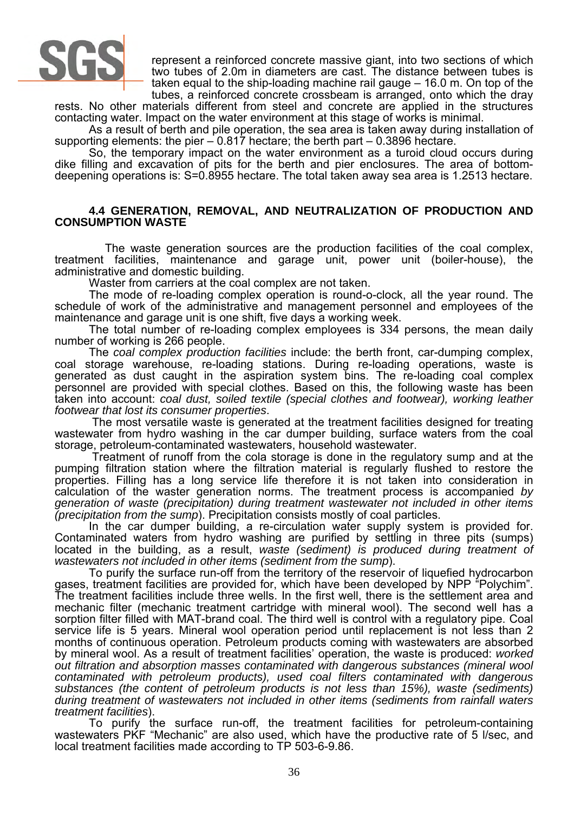

represent a reinforced concrete massive giant, into two sections of which two tubes of 2.0m in diameters are cast. The distance between tubes is taken equal to the ship-loading machine rail gauge – 16.0 m. On top of the tubes, a reinforced concrete crossbeam is arranged, onto which the dray

rests. No other materials different from steel and concrete are applied in the structures contacting water. Impact on the water environment at this stage of works is minimal.

As a result of berth and pile operation, the sea area is taken away during installation of supporting elements: the pier – 0.817 hectare; the berth part – 0.3896 hectare.

So, the temporary impact on the water environment as a turoid cloud occurs during dike filling and excavation of pits for the berth and pier enclosures. The area of bottomdeepening operations is: S=0.8955 hectare. The total taken away sea area is 1.2513 hectare.

#### **4.4 GENERATION, REMOVAL, AND NEUTRALIZATION OF PRODUCTION AND CONSUMPTION WASTE**

 The waste generation sources are the production facilities of the coal complex, treatment facilities, maintenance and garage unit, power unit (boiler-house), the administrative and domestic building.

Waster from carriers at the coal complex are not taken.

The mode of re-loading complex operation is round-o-clock, all the year round. The schedule of work of the administrative and management personnel and employees of the maintenance and garage unit is one shift, five days a working week.

The total number of re-loading complex employees is 334 persons, the mean daily number of working is 266 people.

The *coal complex production facilities* include: the berth front, car-dumping complex, coal storage warehouse, re-loading stations. During re-loading operations, waste is generated as dust caught in the aspiration system bins. The re-loading coal complex personnel are provided with special clothes. Based on this, the following waste has been taken into account: *coal dust, soiled textile (special clothes and footwear), working leather footwear that lost its consumer properties*.

 The most versatile waste is generated at the treatment facilities designed for treating wastewater from hydro washing in the car dumper building, surface waters from the coal storage, petroleum-contaminated wastewaters, household wastewater.

 Treatment of runoff from the cola storage is done in the regulatory sump and at the pumping filtration station where the filtration material is regularly flushed to restore the properties. Filling has a long service life therefore it is not taken into consideration in calculation of the waster generation norms. The treatment process is accompanied *by generation of waste (precipitation) during treatment wastewater not included in other items (precipitation from the sump*). Precipitation consists mostly of coal particles.

In the car dumper building, a re-circulation water supply system is provided for. Contaminated waters from hydro washing are purified by settling in three pits (sumps) located in the building, as a result, *waste (sediment) is produced during treatment of wastewaters not included in other items (sediment from the sump*).

To purify the surface run-off from the territory of the reservoir of liquefied hydrocarbon gases, treatment facilities are provided for, which have been developed by NPP "Polychim". The treatment facilities include three wells. In the first well, there is the settlement area and mechanic filter (mechanic treatment cartridge with mineral wool). The second well has a sorption filter filled with MAT-brand coal. The third well is control with a regulatory pipe. Coal service life is 5 years. Mineral wool operation period until replacement is not less than 2 months of continuous operation. Petroleum products coming with wastewaters are absorbed by mineral wool. As a result of treatment facilities' operation, the waste is produced: *worked out filtration and absorption masses contaminated with dangerous substances (mineral wool contaminated with petroleum products), used coal filters contaminated with dangerous substances (the content of petroleum products is not less than 15%), waste (sediments) during treatment of wastewaters not included in other items (sediments from rainfall waters treatment facilities*).

To purify the surface run-off, the treatment facilities for petroleum-containing wastewaters PKF "Mechanic" are also used, which have the productive rate of 5 l/sec, and local treatment facilities made according to TP 503-6-9.86.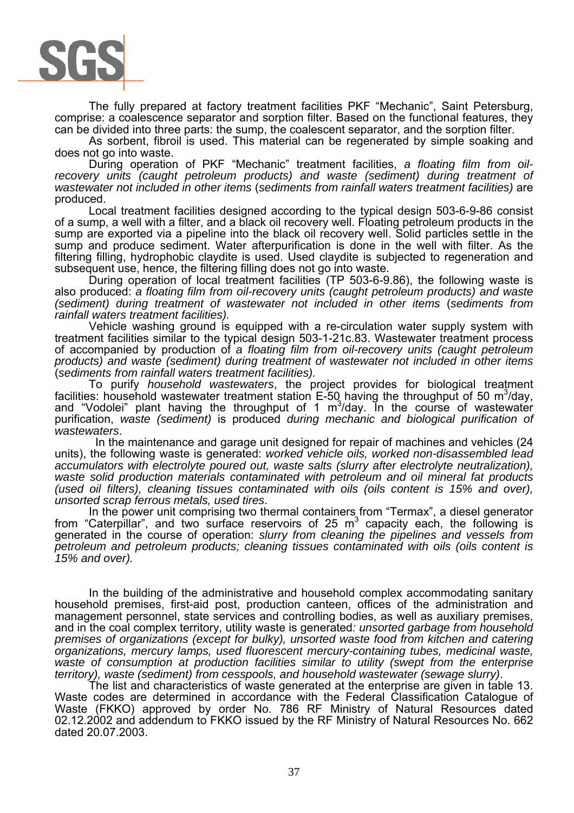

The fully prepared at factory treatment facilities PKF "Mechanic", Saint Petersburg, comprise: a coalescence separator and sorption filter. Based on the functional features, they can be divided into three parts: the sump, the coalescent separator, and the sorption filter.

As sorbent, fibroil is used. This material can be regenerated by simple soaking and does not go into waste.

During operation of PKF "Mechanic" treatment facilities, *a floating film from oilrecovery units (caught petroleum products) and waste (sediment) during treatment of wastewater not included in other items* (*sediments from rainfall waters treatment facilities)* are produced.

Local treatment facilities designed according to the typical design 503-6-9-86 consist of a sump, a well with a filter, and a black oil recovery well. Floating petroleum products in the sump are exported via a pipeline into the black oil recovery well. Solid particles settle in the sump and produce sediment. Water afterpurification is done in the well with filter. As the filtering filling, hydrophobic claydite is used. Used claydite is subjected to regeneration and subsequent use, hence, the filtering filling does not go into waste.

During operation of local treatment facilities (TP 503-6-9.86), the following waste is also produced: *a floating film from oil-recovery units (caught petroleum products) and waste (sediment) during treatment of wastewater not included in other items* (*sediments from rainfall waters treatment facilities).* 

Vehicle washing ground is equipped with a re-circulation water supply system with treatment facilities similar to the typical design 503-1-21c.83. Wastewater treatment process of accompanied by production of *a floating film from oil-recovery units (caught petroleum products) and waste (sediment) during treatment of wastewater not included in other items*  (*sediments from rainfall waters treatment facilities).* 

To purify *household wastewaters*, the project provides for biological treatment facilities: household wastewater treatment station  $E$ -50 having the throughput of 50 m<sup>3</sup>/day, and "Vodolei" plant having the throughput of 1  $\mathrm{m}^3$ /day. In the course of wastewater purification, *waste (sediment)* is produced *during mechanic and biological purification of wastewaters*.

 In the maintenance and garage unit designed for repair of machines and vehicles (24 units), the following waste is generated: *worked vehicle oils, worked non-disassembled lead accumulators with electrolyte poured out, waste salts (slurry after electrolyte neutralization), waste solid production materials contaminated with petroleum and oil mineral fat products (used oil filters), cleaning tissues contaminated with oils (oils content is 15% and over), unsorted scrap ferrous metals, used tires*.

In the power unit comprising two thermal containers from "Termax", a diesel generator from "Caterpillar", and two surface reservoirs of 25  $m<sup>3</sup>$  capacity each, the following is generated in the course of operation: *slurry from cleaning the pipelines and vessels from petroleum and petroleum products; cleaning tissues contaminated with oils (oils content is 15% and over).* 

In the building of the administrative and household complex accommodating sanitary household premises, first-aid post, production canteen, offices of the administration and management personnel, state services and controlling bodies, as well as auxiliary premises, and in the coal complex territory, utility waste is generated*: unsorted garbage from household premises of organizations (except for bulky), unsorted waste food from kitchen and catering organizations, mercury lamps, used fluorescent mercury-containing tubes, medicinal waste,*  waste of consumption at production facilities similar to utility (swept from the enterprise *territory), waste (sediment) from cesspools, and household wastewater (sewage slurry)*.

The list and characteristics of waste generated at the enterprise are given in table 13. Waste codes are determined in accordance with the Federal Classification Catalogue of Waste (FKKO) approved by order No. 786 RF Ministry of Natural Resources dated 02.12.2002 and addendum to FKKO issued by the RF Ministry of Natural Resources No. 662 dated 20.07.2003.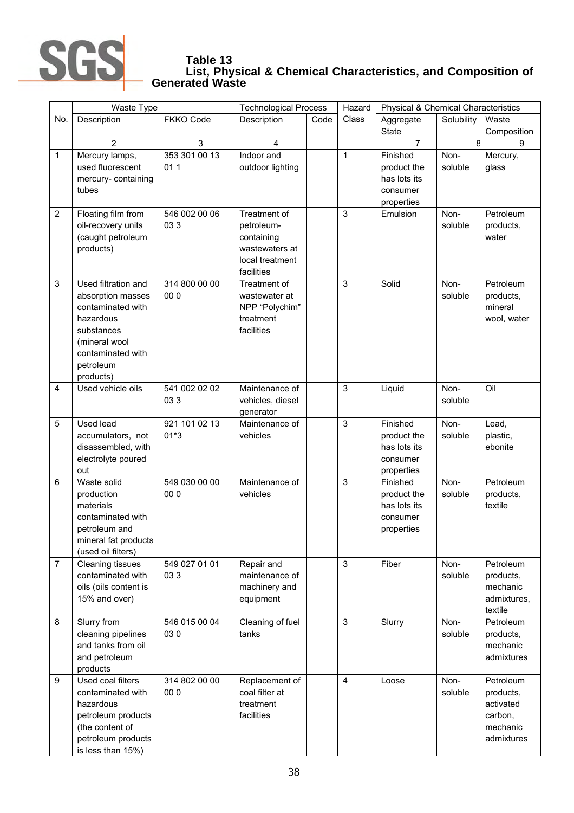

#### **Table 13 List, Physical & Chemical Characteristics, and Composition of Generated Waste**

|                | Waste Type                                                                                                                                               |                         | <b>Technological Process</b>                                                                |      | Hazard         | <b>Physical &amp; Chemical Characteristics</b>                    |                 |                                                                          |
|----------------|----------------------------------------------------------------------------------------------------------------------------------------------------------|-------------------------|---------------------------------------------------------------------------------------------|------|----------------|-------------------------------------------------------------------|-----------------|--------------------------------------------------------------------------|
| No.            | Description                                                                                                                                              | <b>FKKO Code</b>        | Description                                                                                 | Code | Class          | Aggregate                                                         | Solubility      | Waste                                                                    |
|                |                                                                                                                                                          |                         |                                                                                             |      |                | <b>State</b>                                                      |                 | Composition                                                              |
|                | $\overline{2}$                                                                                                                                           | 3                       | 4                                                                                           |      |                | $\overline{7}$                                                    |                 | 9                                                                        |
| $\mathbf{1}$   | Mercury lamps,<br>used fluorescent<br>mercury- containing<br>tubes                                                                                       | 353 301 00 13<br>011    | Indoor and<br>outdoor lighting                                                              |      | $\mathbf{1}$   | Finished<br>product the<br>has lots its<br>consumer<br>properties | Non-<br>soluble | Mercury,<br>glass                                                        |
| $\overline{2}$ | Floating film from<br>oil-recovery units<br>(caught petroleum<br>products)                                                                               | 546 002 00 06<br>033    | Treatment of<br>petroleum-<br>containing<br>wastewaters at<br>local treatment<br>facilities |      | 3              | Emulsion                                                          | Non-<br>soluble | Petroleum<br>products,<br>water                                          |
| 3              | Used filtration and<br>absorption masses<br>contaminated with<br>hazardous<br>substances<br>(mineral wool<br>contaminated with<br>petroleum<br>products) | 314 800 00 00<br>00 0   | Treatment of<br>wastewater at<br>NPP "Polychim"<br>treatment<br>facilities                  |      | 3              | Solid                                                             | Non-<br>soluble | Petroleum<br>products,<br>mineral<br>wool, water                         |
| 4              | Used vehicle oils                                                                                                                                        | 541 002 02 02<br>033    | Maintenance of<br>vehicles, diesel<br>generator                                             |      | 3              | Liquid                                                            | Non-<br>soluble | Oil                                                                      |
| 5              | Used lead<br>accumulators, not<br>disassembled, with<br>electrolyte poured<br>out                                                                        | 921 101 02 13<br>$01*3$ | Maintenance of<br>vehicles                                                                  |      | 3              | Finished<br>product the<br>has lots its<br>consumer<br>properties | Non-<br>soluble | Lead,<br>plastic,<br>ebonite                                             |
| 6              | Waste solid<br>production<br>materials<br>contaminated with<br>petroleum and<br>mineral fat products<br>(used oil filters)                               | 549 030 00 00<br>00 0   | Maintenance of<br>vehicles                                                                  |      | 3              | Finished<br>product the<br>has lots its<br>consumer<br>properties | Non-<br>soluble | Petroleum<br>products,<br>textile                                        |
| $\overline{7}$ | Cleaning tissues<br>contaminated with<br>oils (oils content is<br>15% and over)                                                                          | 549 027 01 01<br>033    | Repair and<br>maintenance of<br>machinery and<br>equipment                                  |      | 3              | Fiber                                                             | Non-<br>soluble | Petroleum<br>products,<br>mechanic<br>admixtures,<br>textile             |
| 8              | Slurry from<br>cleaning pipelines<br>and tanks from oil<br>and petroleum<br>products                                                                     | 546 015 00 04<br>030    | Cleaning of fuel<br>tanks                                                                   |      | 3              | Slurry                                                            | Non-<br>soluble | Petroleum<br>products,<br>mechanic<br>admixtures                         |
| 9              | Used coal filters<br>contaminated with<br>hazardous<br>petroleum products<br>(the content of<br>petroleum products<br>is less than 15%)                  | 314 802 00 00<br>00 0   | Replacement of<br>coal filter at<br>treatment<br>facilities                                 |      | $\overline{4}$ | Loose                                                             | Non-<br>soluble | Petroleum<br>products,<br>activated<br>carbon,<br>mechanic<br>admixtures |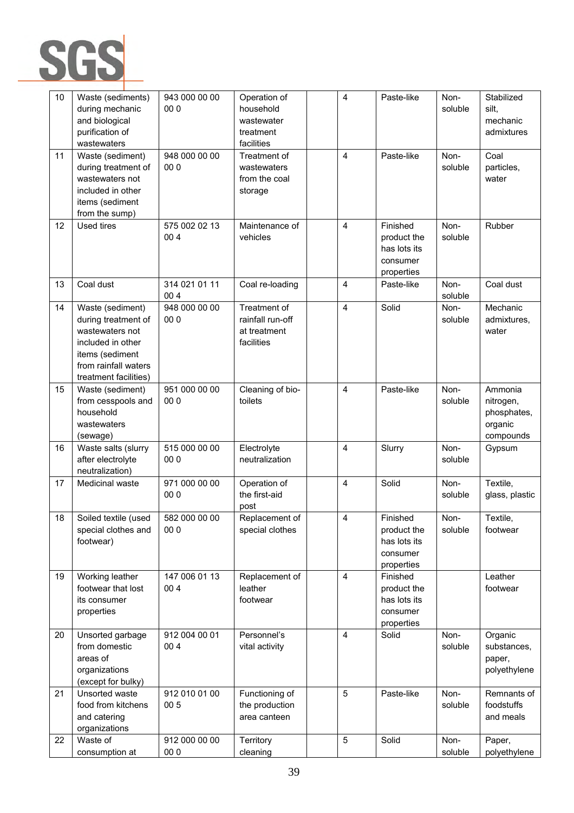

| 10 | Waste (sediments)<br>during mechanic<br>and biological<br>purification of<br>wastewaters                                                            | 943 000 00 00<br>00 0 | Operation of<br>household<br>wastewater<br>treatment<br>facilities | 4 | Paste-like                                                        | Non-<br>soluble | Stabilized<br>silt,<br>mechanic<br>admixtures               |
|----|-----------------------------------------------------------------------------------------------------------------------------------------------------|-----------------------|--------------------------------------------------------------------|---|-------------------------------------------------------------------|-----------------|-------------------------------------------------------------|
| 11 | Waste (sediment)<br>during treatment of<br>wastewaters not<br>included in other<br>items (sediment<br>from the sump)                                | 948 000 00 00<br>00 0 | Treatment of<br>wastewaters<br>from the coal<br>storage            | 4 | Paste-like                                                        | Non-<br>soluble | Coal<br>particles,<br>water                                 |
| 12 | Used tires                                                                                                                                          | 575 002 02 13<br>004  | Maintenance of<br>vehicles                                         | 4 | Finished<br>product the<br>has lots its<br>consumer<br>properties | Non-<br>soluble | Rubber                                                      |
| 13 | Coal dust                                                                                                                                           | 314 021 01 11<br>004  | Coal re-loading                                                    | 4 | Paste-like                                                        | Non-<br>soluble | Coal dust                                                   |
| 14 | Waste (sediment)<br>during treatment of<br>wastewaters not<br>included in other<br>items (sediment<br>from rainfall waters<br>treatment facilities) | 948 000 00 00<br>00 0 | Treatment of<br>rainfall run-off<br>at treatment<br>facilities     | 4 | Solid                                                             | Non-<br>soluble | Mechanic<br>admixtures,<br>water                            |
| 15 | Waste (sediment)<br>from cesspools and<br>household<br>wastewaters<br>(sewage)                                                                      | 951 000 00 00<br>00 0 | Cleaning of bio-<br>toilets                                        | 4 | Paste-like                                                        | Non-<br>soluble | Ammonia<br>nitrogen,<br>phosphates,<br>organic<br>compounds |
| 16 | Waste salts (slurry<br>after electrolyte<br>neutralization)                                                                                         | 515 000 00 00<br>00 0 | Electrolyte<br>neutralization                                      | 4 | Slurry                                                            | Non-<br>soluble | Gypsum                                                      |
| 17 | Medicinal waste                                                                                                                                     | 971 000 00 00<br>00 0 | Operation of<br>the first-aid<br>post                              | 4 | Solid                                                             | Non-<br>soluble | Textile,<br>glass, plastic                                  |
| 18 | Soiled textile (used<br>special clothes and<br>footwear)                                                                                            | 582 000 00 00<br>00 0 | Replacement of<br>special clothes                                  | 4 | Finished<br>product the<br>has lots its<br>consumer<br>properties | Non-<br>soluble | Textile,<br>footwear                                        |
| 19 | Working leather<br>footwear that lost<br>its consumer<br>properties                                                                                 | 147 006 01 13<br>004  | Replacement of<br>leather<br>footwear                              | 4 | Finished<br>product the<br>has lots its<br>consumer<br>properties |                 | Leather<br>footwear                                         |
| 20 | Unsorted garbage<br>from domestic<br>areas of<br>organizations<br>(except for bulky)                                                                | 912 004 00 01<br>004  | Personnel's<br>vital activity                                      | 4 | Solid                                                             | Non-<br>soluble | Organic<br>substances,<br>paper,<br>polyethylene            |
| 21 | Unsorted waste<br>food from kitchens<br>and catering<br>organizations                                                                               | 912 010 01 00<br>00 5 | Functioning of<br>the production<br>area canteen                   | 5 | Paste-like                                                        | Non-<br>soluble | Remnants of<br>foodstuffs<br>and meals                      |
| 22 | Waste of<br>consumption at                                                                                                                          | 912 000 00 00<br>00 0 | Territory<br>cleaning                                              | 5 | Solid                                                             | Non-<br>soluble | Paper,<br>polyethylene                                      |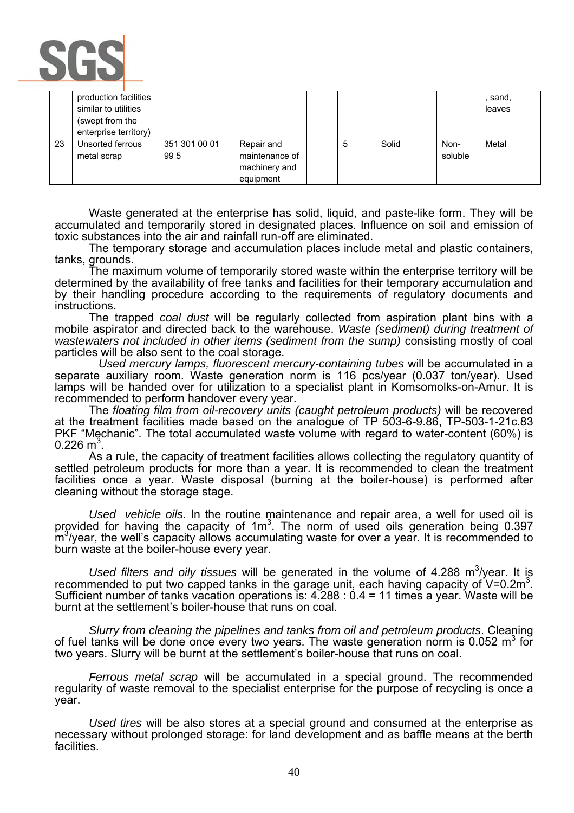

|    | production facilities<br>similar to utilities<br>(swept from the<br>enterprise territory) |                      |                                                            |   |       |                 | sand,<br>leaves |
|----|-------------------------------------------------------------------------------------------|----------------------|------------------------------------------------------------|---|-------|-----------------|-----------------|
| 23 | Unsorted ferrous<br>metal scrap                                                           | 351 301 00 01<br>995 | Repair and<br>maintenance of<br>machinery and<br>equipment | 5 | Solid | Non-<br>soluble | Metal           |

Waste generated at the enterprise has solid, liquid, and paste-like form. They will be accumulated and temporarily stored in designated places. Influence on soil and emission of toxic substances into the air and rainfall run-off are eliminated.

The temporary storage and accumulation places include metal and plastic containers, tanks, grounds.

The maximum volume of temporarily stored waste within the enterprise territory will be determined by the availability of free tanks and facilities for their temporary accumulation and by their handling procedure according to the requirements of regulatory documents and instructions.

The trapped *coal dust* will be regularly collected from aspiration plant bins with a mobile aspirator and directed back to the warehouse. *Waste (sediment) during treatment of wastewaters not included in other items (sediment from the sump)* consisting mostly of coal particles will be also sent to the coal storage.

 *Used mercury lamps, fluorescent mercury-containing tubes* will be accumulated in a separate auxiliary room. Waste generation norm is 116 pcs/year (0.037 ton/year). Used lamps will be handed over for utilization to a specialist plant in Komsomolks-on-Amur. It is recommended to perform handover every year.

The *floating film from oil-recovery units (caught petroleum products)* will be recovered at the treatment facilities made based on the analogue of TP 503-6-9.86, TP-503-1-21c.83 PKF "Mechanic". The total accumulated waste volume with regard to water-content (60%) is  $0.226$  m<sup>3</sup>.

. As a rule, the capacity of treatment facilities allows collecting the regulatory quantity of settled petroleum products for more than a year. It is recommended to clean the treatment facilities once a year. Waste disposal (burning at the boiler-house) is performed after cleaning without the storage stage.

*Used vehicle oils*. In the routine maintenance and repair area, a well for used oil is provided for having the capacity of 1m<sup>3</sup>. The norm of used oils generation being 0.397 m<sup>3</sup>/year, the well's capacity allows accumulating waste for over a year. It is recommended to burn waste at the boiler-house every year.

Used filters and oily tissues will be generated in the volume of 4.288 m<sup>3</sup>/year. It is recommended to put two capped tanks in the garage unit, each having capacity of  $V=0.2m<sup>3</sup>$ . Sufficient number of tanks vacation operations is:  $4.288 : 0.4 = 11$  times a year. Waste will be burnt at the settlement's boiler-house that runs on coal.

*Slurry from cleaning the pipelines and tanks from oil and petroleum products*. Cleaning of fuel tanks will be done once every two years. The waste generation norm is 0.052 m<sup>3</sup> for two years. Slurry will be burnt at the settlement's boiler-house that runs on coal.

*Ferrous metal scrap* will be accumulated in a special ground. The recommended regularity of waste removal to the specialist enterprise for the purpose of recycling is once a year.

*Used tires* will be also stores at a special ground and consumed at the enterprise as necessary without prolonged storage: for land development and as baffle means at the berth facilities.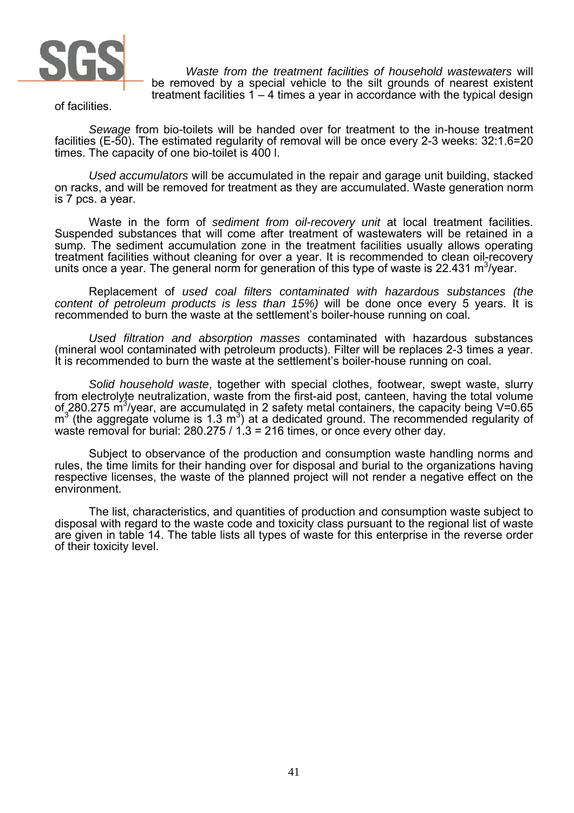

*Waste from the treatment facilities of household wastewaters* will be removed by a special vehicle to the silt grounds of nearest existent treatment facilities 1 – 4 times a year in accordance with the typical design

of facilities.

*Sewage* from bio-toilets will be handed over for treatment to the in-house treatment facilities (E-50). The estimated regularity of removal will be once every 2-3 weeks: 32:1.6=20 times. The capacity of one bio-toilet is 400 l.

*Used accumulators* will be accumulated in the repair and garage unit building, stacked on racks, and will be removed for treatment as they are accumulated. Waste generation norm is 7 pcs. a year.

Waste in the form of *sediment from oil-recovery unit* at local treatment facilities. Suspended substances that will come after treatment of wastewaters will be retained in a sump. The sediment accumulation zone in the treatment facilities usually allows operating treatment facilities without cleaning for over a year. It is recommended to clean oil-recovery units once a year. The general norm for generation of this type of waste is 22.431 m<sup>3</sup>/year.

Replacement of *used coal filters contaminated with hazardous substances (the content of petroleum products is less than 15%)* will be done once every 5 years. It is recommended to burn the waste at the settlement's boiler-house running on coal.

*Used filtration and absorption masses* contaminated with hazardous substances (mineral wool contaminated with petroleum products). Filter will be replaces 2-3 times a year. It is recommended to burn the waste at the settlement's boiler-house running on coal.

*Solid household waste*, together with special clothes, footwear, swept waste, slurry from electrolyte neutralization, waste from the first-aid post, canteen, having the total volume of 280.275 m<sup>3</sup>/year, are accumulated in 2 safety metal containers, the capacity being V=0.65  $\text{m}^3$  (the aggregate volume is 1.3  $\text{m}^3$ ) at a dedicated ground. The recommended regularity of waste removal for burial: 280.275 / 1.3 = 216 times, or once every other day.

Subject to observance of the production and consumption waste handling norms and rules, the time limits for their handing over for disposal and burial to the organizations having respective licenses, the waste of the planned project will not render a negative effect on the environment.

The list, characteristics, and quantities of production and consumption waste subject to disposal with regard to the waste code and toxicity class pursuant to the regional list of waste are given in table 14. The table lists all types of waste for this enterprise in the reverse order of their toxicity level.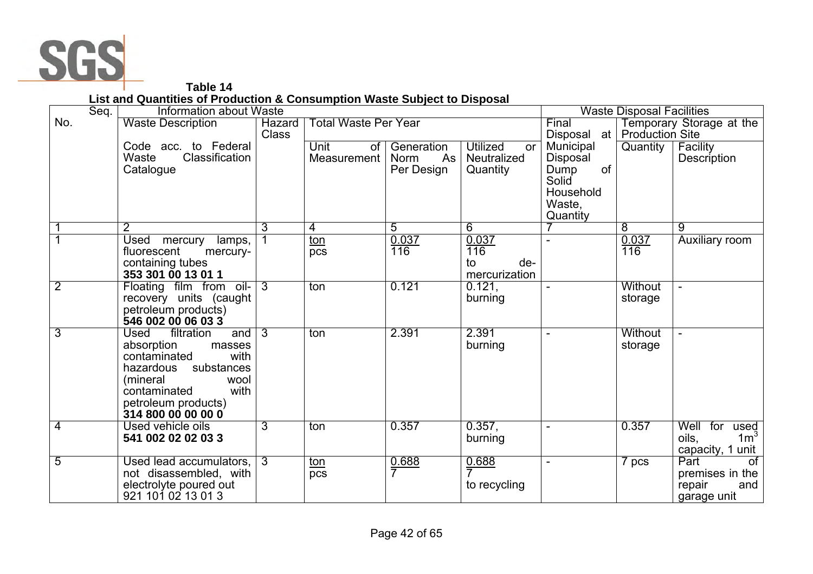

**Table 14 List and Quantities of Production & Consumption Waste Subject to Disposal** 

| Seq.           | Information about Waste                      |                 |                             |                   |                              | <b>Waste Disposal Facilities</b> |                        |                          |
|----------------|----------------------------------------------|-----------------|-----------------------------|-------------------|------------------------------|----------------------------------|------------------------|--------------------------|
| No.            | <b>Waste Description</b>                     | <b>Hazard</b>   | <b>Total Waste Per Year</b> |                   |                              | Final                            |                        | Temporary Storage at the |
|                |                                              | <b>Class</b>    |                             |                   |                              | Disposal at                      | <b>Production Site</b> |                          |
|                | Code acc. to Federal                         |                 | Unit<br>0f                  | Generation        | <b>Utilized</b><br><b>or</b> | Municipal                        | Quantity               | Facility                 |
|                | Waste<br>Classification                      |                 | Measurement                 | Norm<br>As        | <b>Neutralized</b>           | Disposal                         |                        | Description              |
|                | Catalogue                                    |                 |                             | Per Design        | Quantity                     | of<br>Dump                       |                        |                          |
|                |                                              |                 |                             |                   |                              | Solid                            |                        |                          |
|                |                                              |                 |                             |                   |                              | Household                        |                        |                          |
|                |                                              |                 |                             |                   |                              | Waste,                           |                        |                          |
|                |                                              |                 |                             |                   |                              | Quantity                         |                        |                          |
|                | $\overline{2}$                               | 3               | 4                           | 5                 | 6                            |                                  | $\overline{8}$         | $\overline{9}$           |
|                | Used mercury<br>lamps,                       |                 | <u>ton</u>                  | 0.037             | 0.037                        |                                  | 0.037                  | Auxiliary room           |
|                | fluorescent<br>mercury-                      |                 | pcs                         | 116               | 116                          |                                  | 116                    |                          |
|                | containing tubes<br>353 301 00 13 01 1       |                 |                             |                   | to<br>de-<br>mercurization   |                                  |                        |                          |
| $\overline{2}$ | Floating film from oil- 3                    |                 | ton                         | 0.121             | 0.121,                       |                                  | Without                |                          |
|                | recovery units (caught                       |                 |                             |                   | burning                      |                                  | storage                |                          |
|                | petroleum products)                          |                 |                             |                   |                              |                                  |                        |                          |
|                | 546 002 00 06 03 3                           |                 |                             |                   |                              |                                  |                        |                          |
| 3              | filtration<br><b>Used</b><br>and             | $\overline{13}$ | ton                         | 2.391             | 2.391                        |                                  | <b>Without</b>         |                          |
|                | absorption<br>masses                         |                 |                             |                   | burning                      |                                  | storage                |                          |
|                | contaminated<br>with                         |                 |                             |                   |                              |                                  |                        |                          |
|                | hazardous substances                         |                 |                             |                   |                              |                                  |                        |                          |
|                | (mineral<br>wool                             |                 |                             |                   |                              |                                  |                        |                          |
|                | with<br>contaminated                         |                 |                             |                   |                              |                                  |                        |                          |
|                | petroleum products)                          |                 |                             |                   |                              |                                  |                        |                          |
|                | 314 800 00 00 00 0                           |                 |                             |                   |                              |                                  |                        |                          |
| 4              | Used vehicle oils                            | 3               | ton                         | 0.357             | 0.357,                       | $\overline{\phantom{0}}$         | 0.357                  | Well<br>for<br>used      |
|                | 541 002 02 02 03 3                           |                 |                             |                   | burning                      |                                  |                        | 1 <sup>3</sup><br>oils,  |
|                |                                              |                 |                             |                   |                              |                                  |                        | capacity, 1 unit         |
| 5              | Used lead accumulators, 3                    |                 | <u>ton</u>                  | $\frac{0.688}{7}$ | 0.688                        |                                  | 7 pcs                  | Part<br>$\overline{of}$  |
|                | not disassembled, with                       |                 | $\overline{pcs}$            |                   |                              |                                  |                        | premises in the          |
|                | electrolyte poured out<br>921 101 02 13 01 3 |                 |                             |                   | to recycling                 |                                  |                        | repair<br>and            |
|                |                                              |                 |                             |                   |                              |                                  |                        | garage unit              |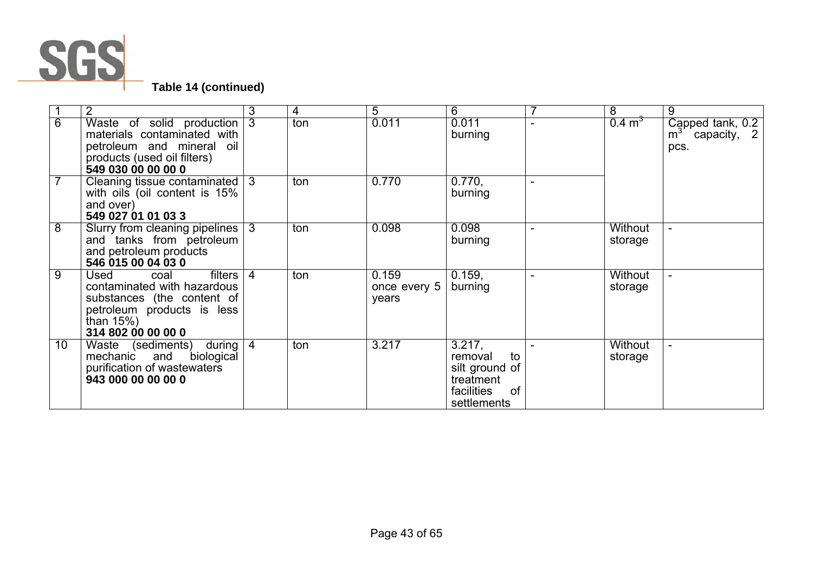

|                | 2                                                                                                                                                         | 3              | 4   | 5                              | 6                                                                                         |                | 8                  | 9                                            |
|----------------|-----------------------------------------------------------------------------------------------------------------------------------------------------------|----------------|-----|--------------------------------|-------------------------------------------------------------------------------------------|----------------|--------------------|----------------------------------------------|
| 6              | Waste of solid production<br>materials contaminated with<br>petroleum and mineral oil<br>products (used oil filters)<br>549 030 00 00 00 0                | $\overline{3}$ | ton | 0.011                          | 0.011<br>burning                                                                          |                | $0.4 \text{ m}^3$  | Capped tank, 0.2<br>$m3$ capacity, 2<br>pcs. |
| $\overline{7}$ | Cleaning tissue contaminated<br>with oils (oil content is 15%<br>and over)<br>549 027 01 01 03 3                                                          | $\overline{3}$ | ton | 0.770                          | 0.770,<br>burning                                                                         | $\blacksquare$ |                    |                                              |
| 8              | Slurry from cleaning pipelines  <br>and tanks from petroleum<br>and petroleum products<br>546 015 00 04 03 0                                              | 3              | ton | 0.098                          | 0.098<br>burning                                                                          | $\blacksquare$ | Without<br>storage |                                              |
| $\overline{9}$ | filters<br>Used<br>coal<br>contaminated with hazardous<br>substances (the content of<br>petroleum products is less<br>than $15\%$ )<br>314 802 00 00 00 0 | $\overline{4}$ | ton | 0.159<br>once every 5<br>years | 0.159,<br>burning                                                                         |                | Without<br>storage |                                              |
| 10             | Waste (sediments) during<br>biological<br>mechanic and<br>purification of wastewaters<br>943 000 00 00 00 0                                               | $\overline{4}$ | ton | 3.217                          | 3.217,<br>removal<br>to<br>silt ground of<br>treatment<br>facilities<br>of<br>settlements |                | Without<br>storage |                                              |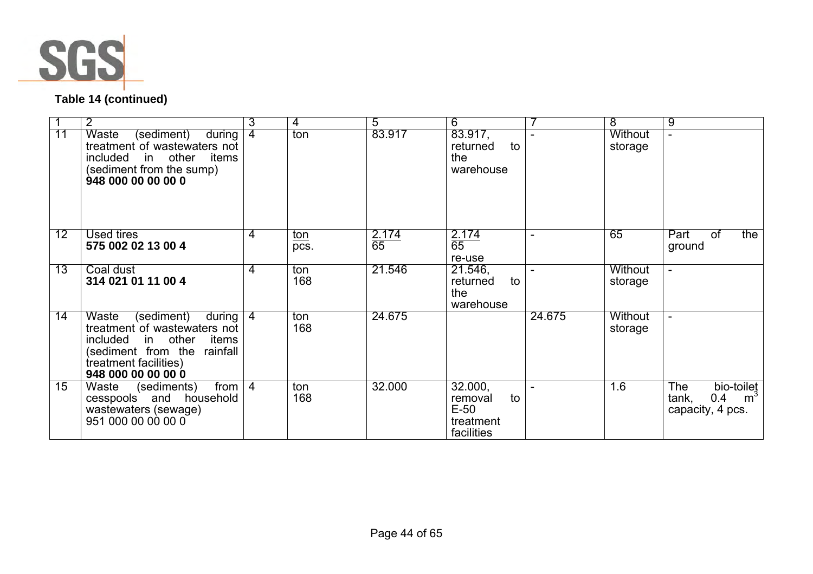

# **Table 14 (continued)**

|    | 2                                                                                                                                                                         | 3              | 4                  | 5                  | 6                                                             |                | 8                         | 9                                                                              |
|----|---------------------------------------------------------------------------------------------------------------------------------------------------------------------------|----------------|--------------------|--------------------|---------------------------------------------------------------|----------------|---------------------------|--------------------------------------------------------------------------------|
| 11 | Waste<br>(sediment)<br>during<br>treatment of wastewaters not<br>included in other<br>items<br>(sediment from the sump)<br>948 000 00 00 00 0                             | 4              | ton                | 83.917             | 83.917,<br>to<br>returned<br>the<br>warehouse                 | $\blacksquare$ | <b>Without</b><br>storage |                                                                                |
| 12 | Used tires<br>575 002 02 13 00 4                                                                                                                                          | 4              | <u>ton</u><br>pcs. | $\frac{2.174}{65}$ | 2.174<br>65<br>re-use                                         | $\blacksquare$ | 65                        | Part<br>the<br>0f<br>ground                                                    |
| 13 | Coal dust<br>314 021 01 11 00 4                                                                                                                                           | 4              | ton<br>168         | 21.546             | 21.546,<br>returned<br>to<br>the<br>warehouse                 | $\blacksquare$ | <b>Without</b><br>storage |                                                                                |
| 14 | Waste<br>(sediment)<br>during<br>treatment of wastewaters not<br>included in other<br>items<br>(sediment from the rainfall<br>treatment facilities)<br>948 000 00 00 00 0 | 4              | ton<br>168         | 24.675             |                                                               | 24.675         | <b>Without</b><br>storage | $\sim$                                                                         |
| 15 | Waste<br>(sediments)<br>from  <br>cesspools and household<br>wastewaters (sewage)<br>951 000 00 00 00 0                                                                   | $\overline{4}$ | ton<br>168         | 32.000             | 32.000,<br>to<br>removal<br>$E-50$<br>treatment<br>facilities | $\blacksquare$ | 1.6                       | <b>The</b><br>bio-toilet<br>m <sup>3</sup><br>0.4<br>tank,<br>capacity, 4 pcs. |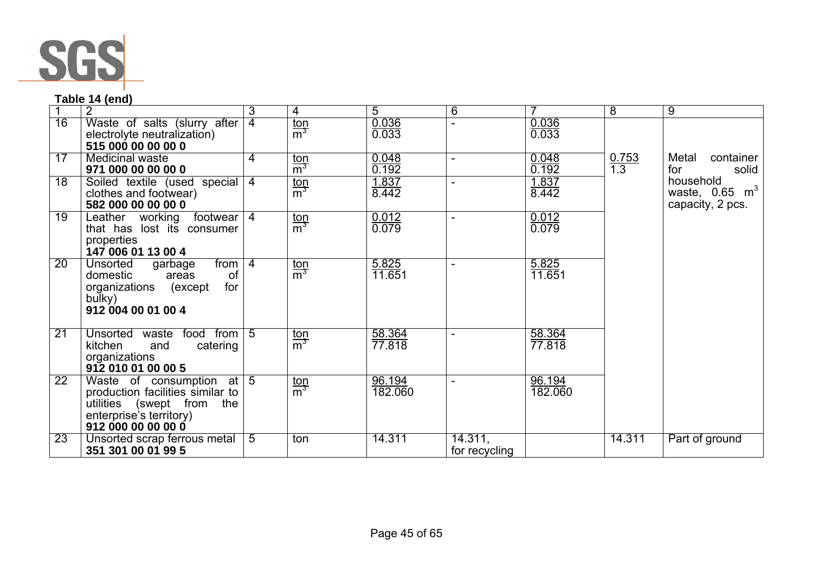

# **Table 14 (end)**

|                 | $\overline{2}$                                                                                                                                    | 3              | 4                               | 5                 | $\overline{6}$           |                   | $\overline{8}$      | $\overline{9}$                                             |
|-----------------|---------------------------------------------------------------------------------------------------------------------------------------------------|----------------|---------------------------------|-------------------|--------------------------|-------------------|---------------------|------------------------------------------------------------|
| $\overline{16}$ | Waste of salts (slurry after<br>electrolyte neutralization)<br>515 000 00 00 00 0                                                                 | $\overline{4}$ | $\frac{\text{top}}{\text{m}^3}$ | 0.036<br>0.033    |                          | 0.036<br>0.033    |                     |                                                            |
| 17              | <b>Medicinal waste</b><br>971 000 00 00 00 0                                                                                                      | 4              | $\frac{\text{ton}}{\text{m}^3}$ | 0.048<br>0.192    | $\blacksquare$           | 0.048<br>0.192    | $\frac{0.753}{1.3}$ | Metal<br>container<br>for<br>solid                         |
| $\overline{18}$ | Soiled textile (used special<br>clothes and footwear)<br>582 000 00 00 00 0                                                                       | $\overline{4}$ | $\frac{\text{top}}{\text{m}^3}$ | 1.837<br>8.442    | $\blacksquare$           | 1.837<br>8.442    |                     | household<br>waste, $0.65 \text{ m}^3$<br>capacity, 2 pcs. |
| 19              | Leather working<br>footwear  <br>that has lost its consumer<br>properties<br>147 006 01 13 00 4                                                   | $\overline{4}$ | $\frac{\text{ton}}{\text{m}^3}$ | 0.012<br>0.079    | $\blacksquare$           | 0.012<br>0.079    |                     |                                                            |
| 20              | from $ 4 $<br><b>Unsorted</b><br>garbage<br>of<br>domestic<br>areas<br>for<br>organizations (except<br>bulky)<br>912 004 00 01 00 4               |                | $\frac{\text{ton}}{\text{m}^3}$ | 5.825<br>11.651   | $\blacksquare$           | 5.825<br>11.651   |                     |                                                            |
| $\overline{21}$ | food from 5<br>Unsorted waste<br>catering<br>kitchen<br>and<br>organizations<br>912 010 01 00 00 5                                                |                | $\frac{\text{top}}{\text{m}^3}$ | 58.364<br>77.818  | $\overline{\phantom{a}}$ | 58.364<br>77.818  |                     |                                                            |
| 22              | Waste of consumption<br>at l<br>production facilities similar to<br>utilities (swept from<br>the<br>enterprise's territory)<br>912 000 00 00 00 0 | $\overline{5}$ | $\frac{\text{ton}}{\text{m}^3}$ | 96.194<br>182.060 | $\blacksquare$           | 96.194<br>182.060 |                     |                                                            |
| 23              | Unsorted scrap ferrous metal<br>351 301 00 01 99 5                                                                                                | 5              | ton                             | 14.311            | 14.311,<br>for recycling |                   | 14.311              | Part of ground                                             |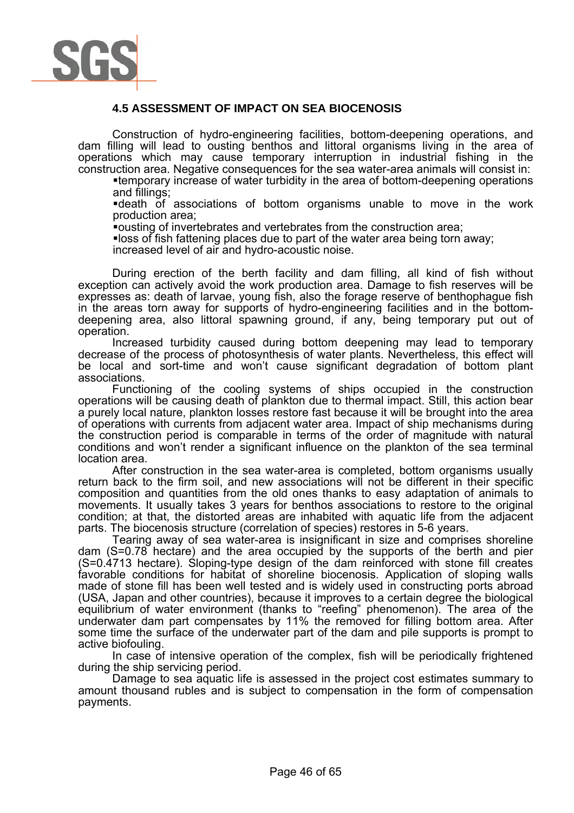

# **4.5 ASSESSMENT OF IMPACT ON SEA BIOCENOSIS**

Construction of hydro-engineering facilities, bottom-deepening operations, and dam filling will lead to ousting benthos and littoral organisms living in the area of operations which may cause temporary interruption in industrial fishing in the construction area. Negative consequences for the sea water-area animals will consist in:

temporary increase of water turbidity in the area of bottom-deepening operations and fillings;

death of associations of bottom organisms unable to move in the work production area;

ousting of invertebrates and vertebrates from the construction area;

loss of fish fattening places due to part of the water area being torn away;

increased level of air and hydro-acoustic noise.

During erection of the berth facility and dam filling, all kind of fish without exception can actively avoid the work production area. Damage to fish reserves will be expresses as: death of larvae, young fish, also the forage reserve of benthophague fish in the areas torn away for supports of hydro-engineering facilities and in the bottomdeepening area, also littoral spawning ground, if any, being temporary put out of operation.

Increased turbidity caused during bottom deepening may lead to temporary decrease of the process of photosynthesis of water plants. Nevertheless, this effect will be local and sort-time and won't cause significant degradation of bottom plant associations.

Functioning of the cooling systems of ships occupied in the construction operations will be causing death of plankton due to thermal impact. Still, this action bear a purely local nature, plankton losses restore fast because it will be brought into the area of operations with currents from adjacent water area. Impact of ship mechanisms during the construction period is comparable in terms of the order of magnitude with natural conditions and won't render a significant influence on the plankton of the sea terminal location area.

After construction in the sea water-area is completed, bottom organisms usually return back to the firm soil, and new associations will not be different in their specific composition and quantities from the old ones thanks to easy adaptation of animals to movements. It usually takes 3 years for benthos associations to restore to the original condition; at that, the distorted areas are inhabited with aquatic life from the adjacent parts. The biocenosis structure (correlation of species) restores in 5-6 years.

Tearing away of sea water-area is insignificant in size and comprises shoreline dam (S=0.78 hectare) and the area occupied by the supports of the berth and pier (S=0.4713 hectare). Sloping-type design of the dam reinforced with stone fill creates favorable conditions for habitat of shoreline biocenosis. Application of sloping walls made of stone fill has been well tested and is widely used in constructing ports abroad (USA, Japan and other countries), because it improves to a certain degree the biological equilibrium of water environment (thanks to "reefing" phenomenon). The area of the underwater dam part compensates by 11% the removed for filling bottom area. After some time the surface of the underwater part of the dam and pile supports is prompt to active biofouling.

In case of intensive operation of the complex, fish will be periodically frightened during the ship servicing period.

Damage to sea aquatic life is assessed in the project cost estimates summary to amount thousand rubles and is subject to compensation in the form of compensation payments.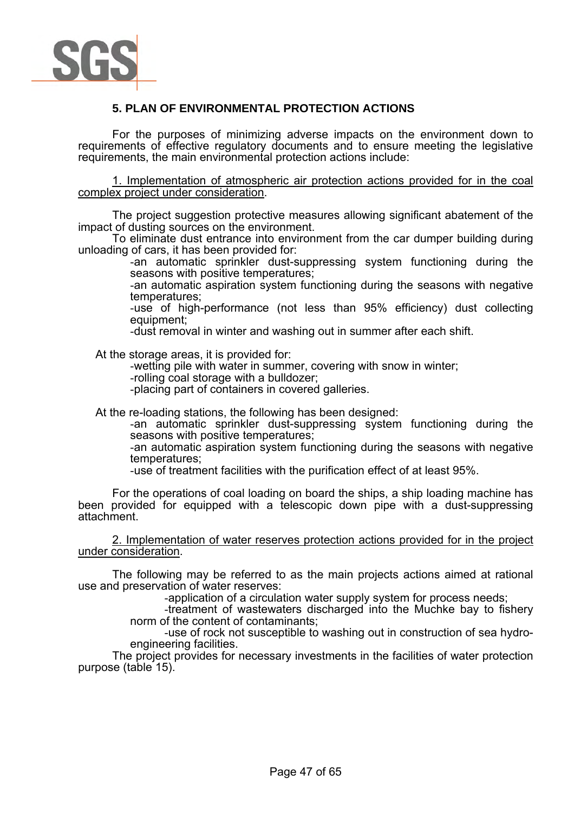

# **5. PLAN OF ENVIRONMENTAL PROTECTION ACTIONS**

For the purposes of minimizing adverse impacts on the environment down to requirements of effective regulatory documents and to ensure meeting the legislative requirements, the main environmental protection actions include:

1. Implementation of atmospheric air protection actions provided for in the coal complex project under consideration.

The project suggestion protective measures allowing significant abatement of the impact of dusting sources on the environment.

To eliminate dust entrance into environment from the car dumper building during unloading of cars, it has been provided for:

-an automatic sprinkler dust-suppressing system functioning during the seasons with positive temperatures;

-an automatic aspiration system functioning during the seasons with negative temperatures;

-use of high-performance (not less than 95% efficiency) dust collecting equipment;

-dust removal in winter and washing out in summer after each shift.

At the storage areas, it is provided for:

-wetting pile with water in summer, covering with snow in winter;

-rolling coal storage with a bulldozer;

-placing part of containers in covered galleries.

At the re-loading stations, the following has been designed:

-an automatic sprinkler dust-suppressing system functioning during the seasons with positive temperatures;

-an automatic aspiration system functioning during the seasons with negative temperatures;

-use of treatment facilities with the purification effect of at least 95%.

For the operations of coal loading on board the ships, a ship loading machine has been provided for equipped with a telescopic down pipe with a dust-suppressing attachment.

2. Implementation of water reserves protection actions provided for in the project under consideration.

The following may be referred to as the main projects actions aimed at rational use and preservation of water reserves:

-application of a circulation water supply system for process needs;

-treatment of wastewaters discharged into the Muchke bay to fishery norm of the content of contaminants;

-use of rock not susceptible to washing out in construction of sea hydroengineering facilities.

The project provides for necessary investments in the facilities of water protection purpose (table 15).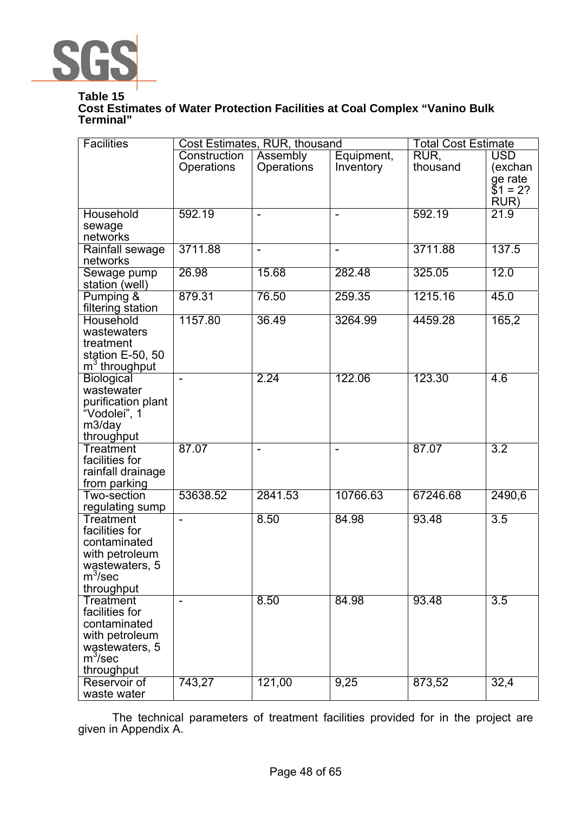

# **Table 15**

# **Cost Estimates of Water Protection Facilities at Coal Complex "Vanino Bulk Terminal"**

| <b>Facilities</b>                  |                          | Cost Estimates, RUR, thousand |                          | <b>Total Cost Estimate</b> |                  |
|------------------------------------|--------------------------|-------------------------------|--------------------------|----------------------------|------------------|
|                                    | Construction             | Assembly                      | Equipment,               | RUR.                       | <b>USD</b>       |
|                                    | Operations               | <b>Operations</b>             | Inventory                | thousand                   | (exchan          |
|                                    |                          |                               |                          |                            | ge rate          |
|                                    |                          |                               |                          |                            | $$1 = 2?$        |
|                                    |                          |                               |                          |                            | RUR)             |
| <b>Household</b>                   | 592.19                   | $\overline{\phantom{0}}$      | $\overline{a}$           | 592.19                     | 21.9             |
| sewage<br>networks                 |                          |                               |                          |                            |                  |
| Rainfall sewage                    | 3711.88                  | $\qquad \qquad -$             | $\overline{\phantom{a}}$ | 3711.88                    | 137.5            |
| networks                           |                          |                               |                          |                            |                  |
| Sewage pump                        | 26.98                    | 15.68                         | 282.48                   | 325.05                     | 12.0             |
| station (well)                     |                          |                               |                          |                            |                  |
| Pumping &                          | 879.31                   | 76.50                         | 259.35                   | 1215.16                    | 45.0             |
| filtering station                  |                          |                               |                          |                            |                  |
| <b>Household</b>                   | 1157.80                  | 36.49                         | 3264.99                  | 4459.28                    | 165,2            |
| wastewaters                        |                          |                               |                          |                            |                  |
| treatment                          |                          |                               |                          |                            |                  |
| station E-50, 50                   |                          |                               |                          |                            |                  |
| m <sup>3</sup> throughput          |                          |                               |                          |                            |                  |
| <b>Biological</b>                  |                          | 2.24                          | 122.06                   | 123.30                     | 4.6              |
| wastewater                         |                          |                               |                          |                            |                  |
| purification plant<br>"Vodolei", 1 |                          |                               |                          |                            |                  |
| m3/day                             |                          |                               |                          |                            |                  |
| throughput                         |                          |                               |                          |                            |                  |
| <b>Treatment</b>                   | 87.07                    | $\overline{\phantom{0}}$      |                          | 87.07                      | $\overline{3.2}$ |
| facilities for                     |                          |                               |                          |                            |                  |
| rainfall drainage                  |                          |                               |                          |                            |                  |
| from parking                       |                          |                               |                          |                            |                  |
| Two-section                        | 53638.52                 | 2841.53                       | 10766.63                 | 67246.68                   | 2490,6           |
| regulating sump                    |                          |                               |                          |                            |                  |
| Treatment                          |                          | 8.50                          | 84.98                    | 93.48                      | 3.5              |
| facilities for                     |                          |                               |                          |                            |                  |
| contaminated                       |                          |                               |                          |                            |                  |
| with petroleum                     |                          |                               |                          |                            |                  |
| wastewaters, 5<br>$m^3$ /sec       |                          |                               |                          |                            |                  |
| throughput                         |                          |                               |                          |                            |                  |
| <b>Treatment</b>                   | $\overline{\phantom{a}}$ | 8.50                          | 84.98                    | 93.48                      | $\overline{3.5}$ |
| facilities for                     |                          |                               |                          |                            |                  |
| contaminated                       |                          |                               |                          |                            |                  |
| with petroleum                     |                          |                               |                          |                            |                  |
| wastewaters, 5                     |                          |                               |                          |                            |                  |
| $m^3$ /sec                         |                          |                               |                          |                            |                  |
| throughput                         |                          |                               |                          |                            |                  |
| Reservoir of                       | 743,27                   | 121,00                        | 9,25                     | 873,52                     | 32,4             |
| waste water                        |                          |                               |                          |                            |                  |

The technical parameters of treatment facilities provided for in the project are given in Appendix A.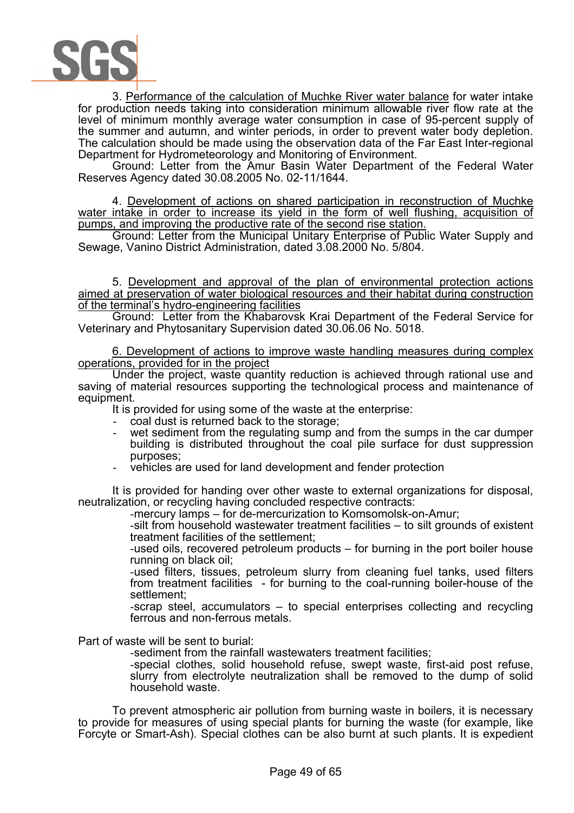

3. Performance of the calculation of Muchke River water balance for water intake for production needs taking into consideration minimum allowable river flow rate at the level of minimum monthly average water consumption in case of 95-percent supply of the summer and autumn, and winter periods, in order to prevent water body depletion. The calculation should be made using the observation data of the Far East Inter-regional Department for Hydrometeorology and Monitoring of Environment.

Ground: Letter from the Amur Basin Water Department of the Federal Water Reserves Agency dated 30.08.2005 No. 02-11/1644.

4. Development of actions on shared participation in reconstruction of Muchke water intake in order to increase its yield in the form of well flushing, acquisition of pumps, and improving the productive rate of the second rise station.

Ground: Letter from the Municipal Unitary Enterprise of Public Water Supply and Sewage, Vanino District Administration, dated 3.08.2000 No. 5/804.

5. Development and approval of the plan of environmental protection actions aimed at preservation of water biological resources and their habitat during construction of the terminal's hydro-engineering facilities

Ground: Letter from the Khabarovsk Krai Department of the Federal Service for Veterinary and Phytosanitary Supervision dated 30.06.06 No. 5018.

6. Development of actions to improve waste handling measures during complex operations, provided for in the project

Under the project, waste quantity reduction is achieved through rational use and saving of material resources supporting the technological process and maintenance of equipment.

It is provided for using some of the waste at the enterprise:

- coal dust is returned back to the storage;
- wet sediment from the regulating sump and from the sumps in the car dumper building is distributed throughout the coal pile surface for dust suppression purposes;
- vehicles are used for land development and fender protection

It is provided for handing over other waste to external organizations for disposal, neutralization, or recycling having concluded respective contracts:

-mercury lamps – for de-mercurization to Komsomolsk-on-Amur;

-silt from household wastewater treatment facilities – to silt grounds of existent treatment facilities of the settlement;

-used oils, recovered petroleum products – for burning in the port boiler house running on black oil;

-used filters, tissues, petroleum slurry from cleaning fuel tanks, used filters from treatment facilities - for burning to the coal-running boiler-house of the settlement;

-scrap steel, accumulators – to special enterprises collecting and recycling ferrous and non-ferrous metals.

Part of waste will be sent to burial:

-sediment from the rainfall wastewaters treatment facilities;

-special clothes, solid household refuse, swept waste, first-aid post refuse, slurry from electrolyte neutralization shall be removed to the dump of solid household waste.

To prevent atmospheric air pollution from burning waste in boilers, it is necessary to provide for measures of using special plants for burning the waste (for example, like Forcyte or Smart-Ash). Special clothes can be also burnt at such plants. It is expedient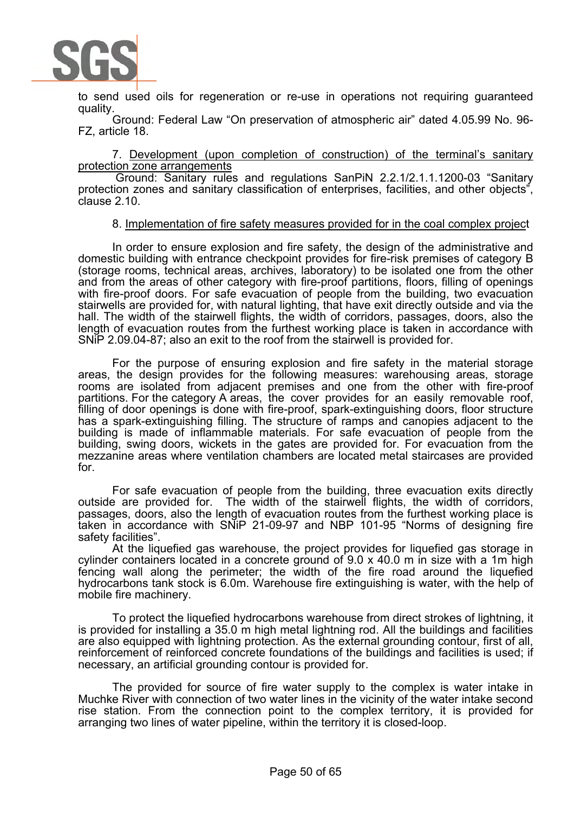

to send used oils for regeneration or re-use in operations not requiring guaranteed quality.

Ground: Federal Law "On preservation of atmospheric air" dated 4.05.99 No. 96- FZ, article 18.

7. Development (upon completion of construction) of the terminal's sanitary protection zone arrangements

 Ground: Sanitary rules and regulations SanPiN 2.2.1/2.1.1.1200-03 "Sanitary protection zones and sanitary classification of enterprises, facilities, and other objects", clause 2.10.

#### 8. Implementation of fire safety measures provided for in the coal complex project

In order to ensure explosion and fire safety, the design of the administrative and domestic building with entrance checkpoint provides for fire-risk premises of category B (storage rooms, technical areas, archives, laboratory) to be isolated one from the other and from the areas of other category with fire-proof partitions, floors, filling of openings with fire-proof doors. For safe evacuation of people from the building, two evacuation stairwells are provided for, with natural lighting, that have exit directly outside and via the hall. The width of the stairwell flights, the width of corridors, passages, doors, also the length of evacuation routes from the furthest working place is taken in accordance with SNiP 2.09.04-87; also an exit to the roof from the stairwell is provided for.

For the purpose of ensuring explosion and fire safety in the material storage areas, the design provides for the following measures: warehousing areas, storage rooms are isolated from adjacent premises and one from the other with fire-proof partitions. For the category A areas, the cover provides for an easily removable roof, filling of door openings is done with fire-proof, spark-extinguishing doors, floor structure has a spark-extinguishing filling. The structure of ramps and canopies adjacent to the building is made of inflammable materials. For safe evacuation of people from the building, swing doors, wickets in the gates are provided for. For evacuation from the mezzanine areas where ventilation chambers are located metal staircases are provided for.

For safe evacuation of people from the building, three evacuation exits directly outside are provided for. The width of the stairwell flights, the width of corridors, passages, doors, also the length of evacuation routes from the furthest working place is taken in accordance with SNiP 21-09-97 and NBP 101-95 "Norms of designing fire safety facilities".

At the liquefied gas warehouse, the project provides for liquefied gas storage in cylinder containers located in a concrete ground of 9.0 x 40.0 m in size with a 1m high fencing wall along the perimeter; the width of the fire road around the liquefied hydrocarbons tank stock is 6.0m. Warehouse fire extinguishing is water, with the help of mobile fire machinery.

To protect the liquefied hydrocarbons warehouse from direct strokes of lightning, it is provided for installing a 35.0 m high metal lightning rod. All the buildings and facilities are also equipped with lightning protection. As the external grounding contour, first of all, reinforcement of reinforced concrete foundations of the buildings and facilities is used; if necessary, an artificial grounding contour is provided for.

The provided for source of fire water supply to the complex is water intake in Muchke River with connection of two water lines in the vicinity of the water intake second rise station. From the connection point to the complex territory, it is provided for arranging two lines of water pipeline, within the territory it is closed-loop.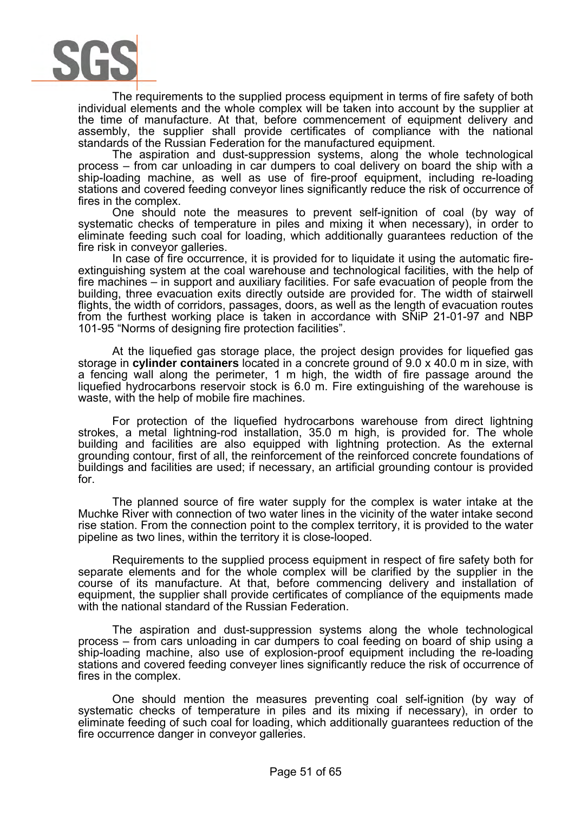

The requirements to the supplied process equipment in terms of fire safety of both individual elements and the whole complex will be taken into account by the supplier at the time of manufacture. At that, before commencement of equipment delivery and assembly, the supplier shall provide certificates of compliance with the national standards of the Russian Federation for the manufactured equipment.

The aspiration and dust-suppression systems, along the whole technological process – from car unloading in car dumpers to coal delivery on board the ship with a ship-loading machine, as well as use of fire-proof equipment, including re-loading stations and covered feeding conveyor lines significantly reduce the risk of occurrence of fires in the complex.

One should note the measures to prevent self-ignition of coal (by way of systematic checks of temperature in piles and mixing it when necessary), in order to eliminate feeding such coal for loading, which additionally guarantees reduction of the fire risk in conveyor galleries.

In case of fire occurrence, it is provided for to liquidate it using the automatic fireextinguishing system at the coal warehouse and technological facilities, with the help of fire machines  $-$  in support and auxiliary facilities. For safe evacuation of people from the building, three evacuation exits directly outside are provided for. The width of stairwell flights, the width of corridors, passages, doors, as well as the length of evacuation routes from the furthest working place is taken in accordance with SNiP 21-01-97 and NBP 101-95 "Norms of designing fire protection facilities".

At the liquefied gas storage place, the project design provides for liquefied gas storage in **cylinder containers** located in a concrete ground of 9.0 x 40.0 m in size, with a fencing wall along the perimeter, 1 m high, the width of fire passage around the liquefied hydrocarbons reservoir stock is 6.0 m. Fire extinguishing of the warehouse is waste, with the help of mobile fire machines.

For protection of the liquefied hydrocarbons warehouse from direct lightning strokes, a metal lightning-rod installation, 35.0 m high, is provided for. The whole building and facilities are also equipped with lightning protection. As the external grounding contour, first of all, the reinforcement of the reinforced concrete foundations of buildings and facilities are used; if necessary, an artificial grounding contour is provided for.

The planned source of fire water supply for the complex is water intake at the Muchke River with connection of two water lines in the vicinity of the water intake second rise station. From the connection point to the complex territory, it is provided to the water pipeline as two lines, within the territory it is close-looped.

Requirements to the supplied process equipment in respect of fire safety both for separate elements and for the whole complex will be clarified by the supplier in the course of its manufacture. At that, before commencing delivery and installation of equipment, the supplier shall provide certificates of compliance of the equipments made with the national standard of the Russian Federation.

The aspiration and dust-suppression systems along the whole technological process – from cars unloading in car dumpers to coal feeding on board of ship using a ship-loading machine, also use of explosion-proof equipment including the re-loading stations and covered feeding conveyer lines significantly reduce the risk of occurrence of fires in the complex.

One should mention the measures preventing coal self-ignition (by way of systematic checks of temperature in piles and its mixing if necessary), in order to eliminate feeding of such coal for loading, which additionally guarantees reduction of the fire occurrence danger in conveyor galleries.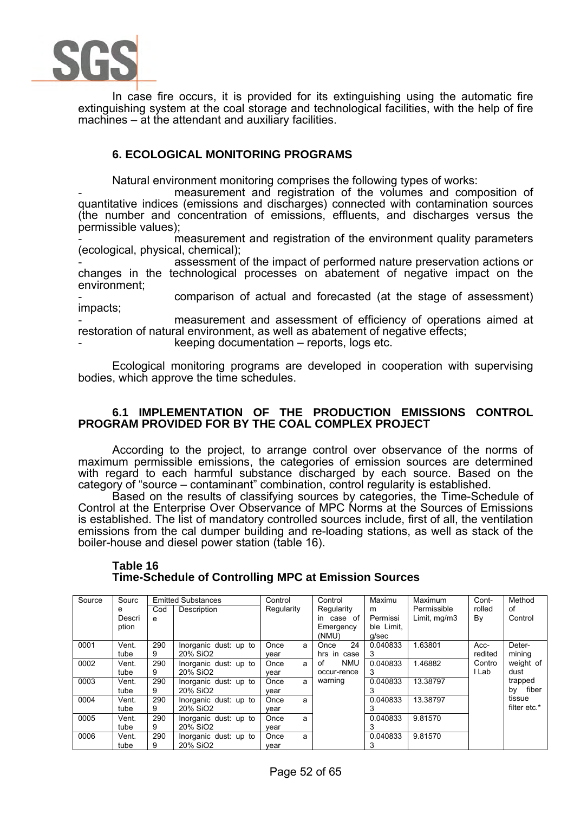

In case fire occurs, it is provided for its extinguishing using the automatic fire extinguishing system at the coal storage and technological facilities, with the help of fire machines – at the attendant and auxiliary facilities.

# **6. ECOLOGICAL MONITORING PROGRAMS**

Natural environment monitoring comprises the following types of works:

measurement and registration of the volumes and composition of quantitative indices (emissions and discharges) connected with contamination sources (the number and concentration of emissions, effluents, and discharges versus the permissible values);

measurement and registration of the environment quality parameters (ecological, physical, chemical);

assessment of the impact of performed nature preservation actions or changes in the technological processes on abatement of negative impact on the environment;

- comparison of actual and forecasted (at the stage of assessment) impacts;

measurement and assessment of efficiency of operations aimed at restoration of natural environment, as well as abatement of negative effects;

 $keeping documentation - reports, logs etc.$ 

Ecological monitoring programs are developed in cooperation with supervising bodies, which approve the time schedules.

### **6.1 IMPLEMENTATION OF THE PRODUCTION EMISSIONS CONTROL PROGRAM PROVIDED FOR BY THE COAL COMPLEX PROJECT**

According to the project, to arrange control over observance of the norms of maximum permissible emissions, the categories of emission sources are determined with regard to each harmful substance discharged by each source. Based on the category of "source – contaminant" combination, control regularity is established.

Based on the results of classifying sources by categories, the Time-Schedule of Control at the Enterprise Over Observance of MPC Norms at the Sources of Emissions is established. The list of mandatory controlled sources include, first of all, the ventilation emissions from the cal dumper building and re-loading stations, as well as stack of the boiler-house and diesel power station (table 16).

| Source | Sourc  |     | <b>Emitted Substances</b> | Control    | Control          | Maximu     | Maximum      | Cont-   | Method       |
|--------|--------|-----|---------------------------|------------|------------------|------------|--------------|---------|--------------|
|        | е      | Cod | Description               | Regularity | Regularity       | m          | Permissible  | rolled  | of           |
|        | Descri | е   |                           |            | in case of       | Permissi   | Limit, mg/m3 | By      | Control      |
|        | ption  |     |                           |            | Emergency        | ble Limit. |              |         |              |
|        |        |     |                           |            | (NMU)            | g/sec      |              |         |              |
| 0001   | Vent.  | 290 | Inorganic dust: up to     | Once<br>a  | 24<br>Once       | 0.040833   | 1.63801      | Acc-    | Deter-       |
|        | tube   | 9   | 20% SiO2                  | vear       | hrs in case      | 3          |              | redited | mining       |
| 0002   | Vent.  | 290 | Inorganic dust: up to     | Once<br>a  | <b>NMU</b><br>οf | 0.040833   | 1.46882      | Contro  | weight of    |
|        | tube   | 9   | 20% SiO <sub>2</sub>      | vear       | occur-rence      | З          |              | l Lab   | dust         |
| 0003   | Vent.  | 290 | Inorganic dust: up to     | Once<br>a  | warning          | 0.040833   | 13.38797     |         | trapped      |
|        | tube   | 9   | 20% SiO <sub>2</sub>      | vear       |                  | 3          |              |         | fiber<br>bv  |
| 0004   | Vent.  | 290 | Inorganic dust: up to     | Once<br>a  |                  | 0.040833   | 13.38797     |         | tissue       |
|        | tube   | 9   | 20% SiO <sub>2</sub>      | vear       |                  |            |              |         | filter etc.* |
| 0005   | Vent.  | 290 | Inorganic dust: up to     | Once<br>a  |                  | 0.040833   | 9.81570      |         |              |
|        | tube   | 9   | 20% SiO2                  | vear       |                  |            |              |         |              |
| 0006   | Vent.  | 290 | Inorganic dust: up to     | Once<br>a  |                  | 0.040833   | 9.81570      |         |              |
|        | tube   | 9   | 20% SiO <sub>2</sub>      | vear       |                  | 3          |              |         |              |

#### **Table 16 Time-Schedule of Controlling MPC at Emission Sources**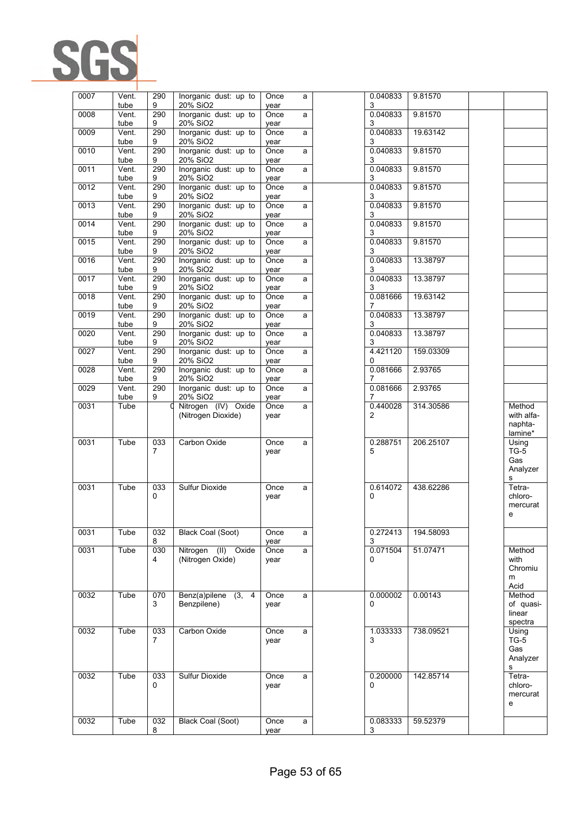

| 0007 | Vent.<br>tube               | 290<br>9              | Inorganic dust: up to<br>20% SiO2             | Once<br>vear | a | 0.040833<br>3        | 9.81570   |                                          |
|------|-----------------------------|-----------------------|-----------------------------------------------|--------------|---|----------------------|-----------|------------------------------------------|
| 0008 | Vent.                       | 290                   | Inorganic dust: up to                         | Once         | a | 0.040833             | 9.81570   |                                          |
| 0009 | tube<br>Vent.               | 9<br>290              | 20% SiO2<br>Inorganic dust: up to             | year<br>Once | a | 3<br>0.040833        | 19.63142  |                                          |
| 0010 | tube<br>Vent.               | 9<br>290              | 20% SiO2<br>Inorganic dust: up to             | year<br>Once | a | 3<br>0.040833        | 9.81570   |                                          |
|      | tube                        | 9                     | 20% SiO2                                      | year         |   | 3                    |           |                                          |
| 0011 | $\overline{V}$ ent.<br>tube | 290<br>9              | Inorganic dust: up to<br>20% SiO2             | Once<br>year | a | 0.040833<br>3        | 9.81570   |                                          |
| 0012 | Vent.<br>tube               | 290<br>9              | Inorganic dust: up to<br>20% SiO2             | Once<br>year | a | 0.040833<br>3        | 9.81570   |                                          |
| 0013 | Vent.<br>tube               | 290<br>9              | Inorganic dust: up to<br>20% SiO2             | Once<br>year | a | 0.040833<br>3        | 9.81570   |                                          |
| 0014 | Vent.                       | 290                   | Inorganic dust: up to                         | Once         | a | 0.040833             | 9.81570   |                                          |
| 0015 | tube<br>Vent.               | 9<br>290              | 20% SiO2<br>Inorganic dust: up to             | year<br>Once | a | 3<br>0.040833        | 9.81570   |                                          |
| 0016 | tube<br>Vent.               | 9<br>290              | 20% SiO2<br>Inorganic dust: up to             | year<br>Once | a | 3<br>0.040833        | 13.38797  |                                          |
| 0017 | tube<br>Vent.               | 9<br>290              | 20% SiO2<br>Inorganic dust: up to             | year<br>Once | a | 3<br>0.040833        | 13.38797  |                                          |
| 0018 | tube<br>Vent.               | 9<br>290              | 20% SiO2<br>Inorganic dust: up to             | year         |   | 3<br>0.081666        | 19.63142  |                                          |
|      | tube                        | 9                     | 20% SiO2                                      | Once<br>year | a | 7                    |           |                                          |
| 0019 | Vent.<br>tube               | 290<br>9              | Inorganic dust: up to<br>20% SiO2             | Once<br>year | a | 0.040833<br>3        | 13.38797  |                                          |
| 0020 | Vent.<br>tube               | 290<br>9              | Inorganic dust: up to<br>20% SiO2             | Once<br>year | a | 0.040833<br>3        | 13.38797  |                                          |
| 0027 | Vent.                       | 290                   | Inorganic dust: up to<br>20% SiO <sub>2</sub> | Once         | a | 4.421120<br>0        | 159.03309 |                                          |
| 0028 | tube<br>Vent.               | 9<br>290              | Inorganic dust: up to                         | year<br>Once | a | 0.081666             | 2.93765   |                                          |
| 0029 | tube<br>Vent.               | 9<br>290              | 20% SiO2<br>Inorganic dust: up to             | year<br>Once | a | 7<br>0.081666        | 2.93765   |                                          |
| 0031 | tube<br>Tube                | 9                     | 20% SiO2<br>Nitrogen (IV) Oxide               | year<br>Once | a | 7<br>0.440028        | 314.30586 | Method                                   |
|      |                             |                       | (Nitrogen Dioxide)                            | year         |   | 2                    |           | with alfa-<br>naphta-<br>lamine*         |
| 0031 | Tube                        | 033<br>7              | Carbon Oxide                                  | Once<br>year | a | 0.288751<br>5        | 206.25107 | Using<br>$TG-5$<br>Gas<br>Analyzer<br>s  |
| 0031 | Tube                        | 033<br>0              | Sulfur Dioxide                                | Once<br>year | a | 0.614072<br>0        | 438.62286 | Tetra-<br>chloro-<br>mercurat<br>е       |
| 0031 | Tube                        | 032<br>8              | <b>Black Coal (Soot)</b>                      | Once<br>year | a | 0.272413<br>3        | 194.58093 |                                          |
| 0031 | Tube                        | 030<br>4              | Nitrogen (II) Oxide<br>(Nitrogen Oxide)       | Once<br>year | a | 0.071504<br>0        | 51.07471  | Method<br>with<br>Chromiu<br>m<br>Acid   |
| 0032 | Tube                        | 070<br>3              | Benz(a)pilene (3, 4<br>Benzpilene)            | Once<br>year | a | 0.000002<br>$\Omega$ | 0.00143   | Method<br>of quasi-<br>linear<br>spectra |
| 0032 | Tube                        | 033<br>$\overline{7}$ | Carbon Oxide                                  | Once<br>year | a | 1.033333<br>3        | 738.09521 | Using<br>$TG-5$<br>Gas<br>Analyzer<br>s  |
| 0032 | Tube                        | 033<br>0              | Sulfur Dioxide                                | Once<br>year | a | 0.200000<br>0        | 142.85714 | Tetra-<br>chloro-<br>mercurat<br>е       |
| 0032 | Tube                        | 032                   | <b>Black Coal (Soot)</b>                      | Once         | a | 0.083333             | 59.52379  |                                          |
|      |                             | 8                     |                                               | year         |   | 3                    |           |                                          |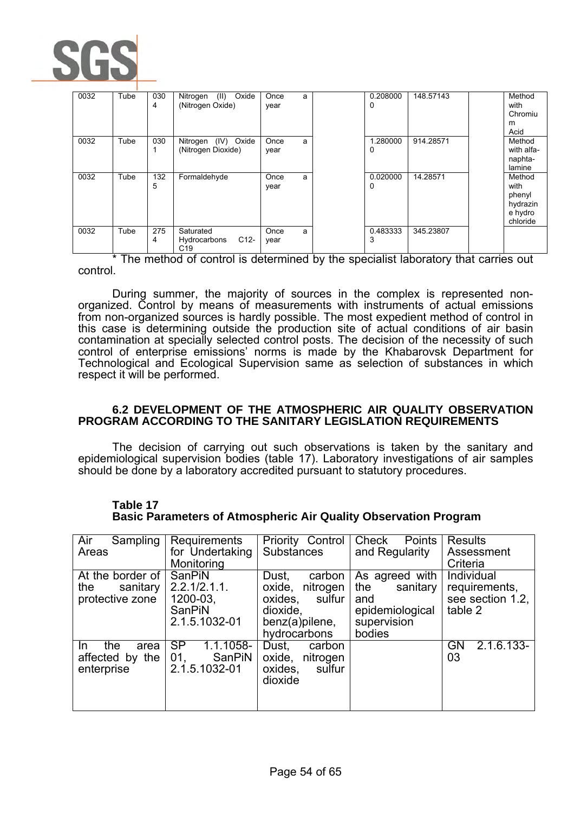

| 0032 | Tube | 030<br>4 | Oxide<br>(II)<br>Nitrogen<br>(Nitrogen Oxide)          | Once<br>year | a | 0.208000<br>0 | 148.57143 | Method<br>with<br>Chromiu<br>m<br>Acid                      |
|------|------|----------|--------------------------------------------------------|--------------|---|---------------|-----------|-------------------------------------------------------------|
| 0032 | Tube | 030      | Nitrogen (IV) Oxide<br>(Nitrogen Dioxide)              | Once<br>year | a | 1.280000<br>0 | 914.28571 | Method<br>with alfa-<br>naphta-<br>lamine                   |
| 0032 | Tube | 132<br>5 | Formaldehyde                                           | Once<br>year | a | 0.020000<br>0 | 14.28571  | Method<br>with<br>phenyl<br>hydrazin<br>e hydro<br>chloride |
| 0032 | Tube | 275<br>4 | Saturated<br>$C12-$<br>Hydrocarbons<br>C <sub>19</sub> | Once<br>year | a | 0.483333<br>3 | 345.23807 |                                                             |

\* The method of control is determined by the specialist laboratory that carries out control.

During summer, the majority of sources in the complex is represented nonorganized. Control by means of measurements with instruments of actual emissions from non-organized sources is hardly possible. The most expedient method of control in this case is determining outside the production site of actual conditions of air basin contamination at specially selected control posts. The decision of the necessity of such control of enterprise emissions' norms is made by the Khabarovsk Department for Technological and Ecological Supervision same as selection of substances in which respect it will be performed.

### **6.2 DEVELOPMENT OF THE ATMOSPHERIC AIR QUALITY OBSERVATION PROGRAM ACCORDING TO THE SANITARY LEGISLATION REQUIREMENTS**

The decision of carrying out such observations is taken by the sanitary and epidemiological supervision bodies (table 17). Laboratory investigations of air samples should be done by a laboratory accredited pursuant to statutory procedures.

| Air<br>Sampling    | Requirements           | Priority Control   | <b>Points</b><br>Check | <b>Results</b>     |
|--------------------|------------------------|--------------------|------------------------|--------------------|
| Areas              | for Undertaking        | <b>Substances</b>  | and Regularity         | Assessment         |
|                    | Monitoring             |                    |                        | Criteria           |
| At the border of   | SanPiN                 | carbon<br>Dust.    | As agreed with         | Individual         |
| the<br>sanitary    | $2.2.1/2.1.1$ .        | oxide,<br>nitrogen | the<br>sanitary        | requirements,      |
| protective zone    | $1200-03,$             | oxides, sulfur     | and                    | see section 1.2,   |
|                    |                        |                    |                        |                    |
|                    | <b>SanPiN</b>          | dioxide,           | epidemiological        | table 2            |
|                    | 2.1.5.1032-01          | benz(a)pilene,     | supervision            |                    |
|                    |                        | hydrocarbons       | bodies                 |                    |
| the<br>area<br>In. | <b>SP</b><br>1.1.1058- | Dust.<br>carbon    |                        | $2.1.6.133-$<br>GN |
| affected by the    | 01.<br>SanPiN          | oxide, nitrogen    |                        | 03                 |
| enterprise         | 2.1.5.1032-01          | oxides,<br>sulfur  |                        |                    |
|                    |                        |                    |                        |                    |
|                    |                        | dioxide            |                        |                    |
|                    |                        |                    |                        |                    |
|                    |                        |                    |                        |                    |

#### **Table 17 Basic Parameters of Atmospheric Air Quality Observation Program**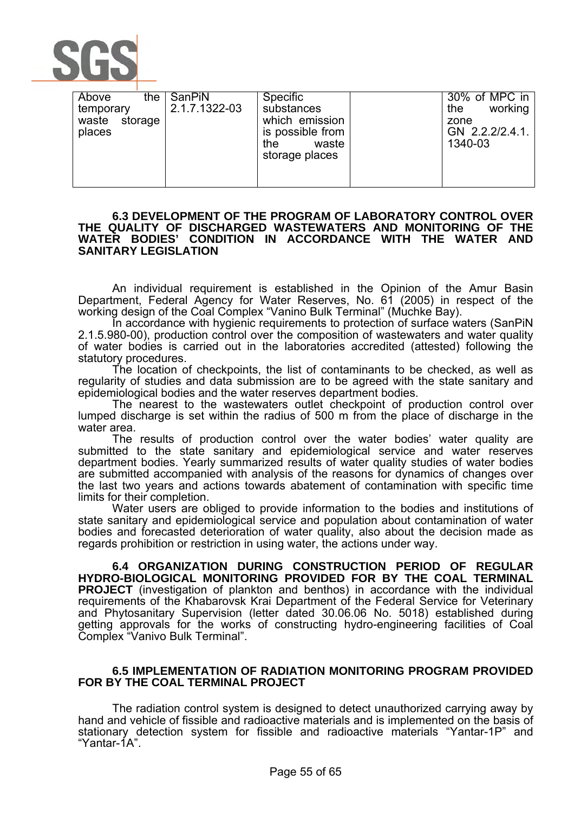

| Above<br>the     | SanPiN        | <b>Specific</b>  | 30% of MPC in  |
|------------------|---------------|------------------|----------------|
| temporary        | 2.1.7.1322-03 | substances       | working<br>the |
| storage<br>waste |               | which emission   | zone           |
| places           |               | is possible from | GN 2.2.2/2.4.1 |
|                  |               | the<br>waste     | 1340-03        |
|                  |               | storage places   |                |
|                  |               |                  |                |
|                  |               |                  |                |

#### **6.3 DEVELOPMENT OF THE PROGRAM OF LABORATORY CONTROL OVER THE QUALITY OF DISCHARGED WASTEWATERS AND MONITORING OF THE WATER BODIES' CONDITION IN ACCORDANCE WITH THE WATER AND SANITARY LEGISLATION**

An individual requirement is established in the Opinion of the Amur Basin Department, Federal Agency for Water Reserves, No. 61 (2005) in respect of the working design of the Coal Complex "Vanino Bulk Terminal" (Muchke Bay).

In accordance with hygienic requirements to protection of surface waters (SanPiN 2.1.5.980-00), production control over the composition of wastewaters and water quality of water bodies is carried out in the laboratories accredited (attested) following the statutory procedures.

The location of checkpoints, the list of contaminants to be checked, as well as regularity of studies and data submission are to be agreed with the state sanitary and epidemiological bodies and the water reserves department bodies.

The nearest to the wastewaters outlet checkpoint of production control over lumped discharge is set within the radius of 500 m from the place of discharge in the water area.

The results of production control over the water bodies' water quality are submitted to the state sanitary and epidemiological service and water reserves department bodies. Yearly summarized results of water quality studies of water bodies are submitted accompanied with analysis of the reasons for dynamics of changes over the last two years and actions towards abatement of contamination with specific time limits for their completion.

Water users are obliged to provide information to the bodies and institutions of state sanitary and epidemiological service and population about contamination of water bodies and forecasted deterioration of water quality, also about the decision made as regards prohibition or restriction in using water, the actions under way.

**6.4 ORGANIZATION DURING CONSTRUCTION PERIOD OF REGULAR HYDRO-BIOLOGICAL MONITORING PROVIDED FOR BY THE COAL TERMINAL PROJECT** (investigation of plankton and benthos) in accordance with the individual requirements of the Khabarovsk Krai Department of the Federal Service for Veterinary and Phytosanitary Supervision (letter dated 30.06.06 No. 5018) established during getting approvals for the works of constructing hydro-engineering facilities of Coal Complex "Vanivo Bulk Terminal".

### **6.5 IMPLEMENTATION OF RADIATION MONITORING PROGRAM PROVIDED FOR BY THE COAL TERMINAL PROJECT**

The radiation control system is designed to detect unauthorized carrying away by hand and vehicle of fissible and radioactive materials and is implemented on the basis of stationary detection system for fissible and radioactive materials "Yantar-1P" and "Yantar-1A".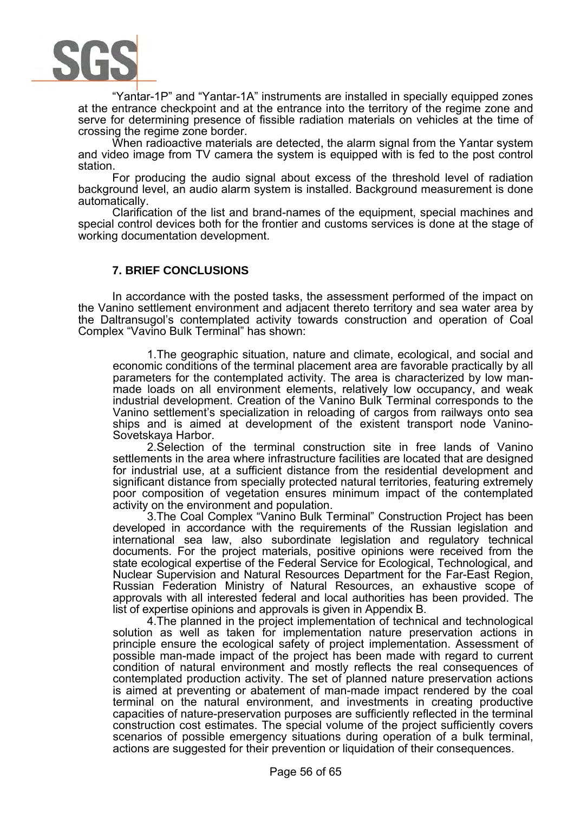

"Yantar-1P" and "Yantar-1A" instruments are installed in specially equipped zones at the entrance checkpoint and at the entrance into the territory of the regime zone and serve for determining presence of fissible radiation materials on vehicles at the time of crossing the regime zone border.

When radioactive materials are detected, the alarm signal from the Yantar system and video image from TV camera the system is equipped with is fed to the post control station.

For producing the audio signal about excess of the threshold level of radiation background level, an audio alarm system is installed. Background measurement is done automatically.

Clarification of the list and brand-names of the equipment, special machines and special control devices both for the frontier and customs services is done at the stage of working documentation development.

## **7. BRIEF CONCLUSIONS**

In accordance with the posted tasks, the assessment performed of the impact on the Vanino settlement environment and adjacent thereto territory and sea water area by the Daltransugol's contemplated activity towards construction and operation of Coal Complex "Vavino Bulk Terminal" has shown:

1.The geographic situation, nature and climate, ecological, and social and economic conditions of the terminal placement area are favorable practically by all parameters for the contemplated activity. The area is characterized by low manmade loads on all environment elements, relatively low occupancy, and weak industrial development. Creation of the Vanino Bulk Terminal corresponds to the Vanino settlement's specialization in reloading of cargos from railways onto sea ships and is aimed at development of the existent transport node Vanino-Sovetskaya Harbor.

2.Selection of the terminal construction site in free lands of Vanino settlements in the area where infrastructure facilities are located that are designed for industrial use, at a sufficient distance from the residential development and significant distance from specially protected natural territories, featuring extremely poor composition of vegetation ensures minimum impact of the contemplated activity on the environment and population.

3.The Coal Complex "Vanino Bulk Terminal" Construction Project has been developed in accordance with the requirements of the Russian legislation and international sea law, also subordinate legislation and regulatory technical documents. For the project materials, positive opinions were received from the state ecological expertise of the Federal Service for Ecological, Technological, and Nuclear Supervision and Natural Resources Department for the Far-East Region, Russian Federation Ministry of Natural Resources, an exhaustive scope of approvals with all interested federal and local authorities has been provided. The list of expertise opinions and approvals is given in Appendix B.

4.The planned in the project implementation of technical and technological solution as well as taken for implementation nature preservation actions in principle ensure the ecological safety of project implementation. Assessment of possible man-made impact of the project has been made with regard to current condition of natural environment and mostly reflects the real consequences of contemplated production activity. The set of planned nature preservation actions is aimed at preventing or abatement of man-made impact rendered by the coal terminal on the natural environment, and investments in creating productive capacities of nature-preservation purposes are sufficiently reflected in the terminal construction cost estimates. The special volume of the project sufficiently covers scenarios of possible emergency situations during operation of a bulk terminal, actions are suggested for their prevention or liquidation of their consequences.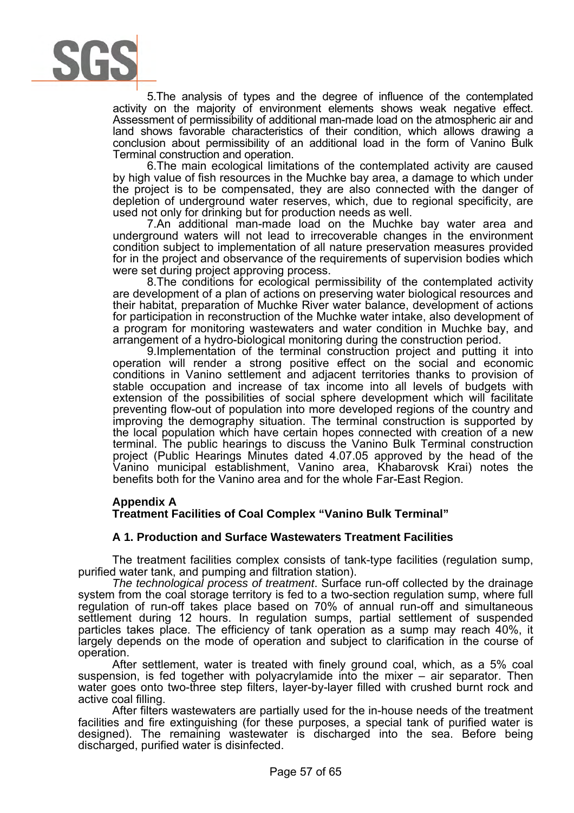

5.The analysis of types and the degree of influence of the contemplated activity on the majority of environment elements shows weak negative effect. Assessment of permissibility of additional man-made load on the atmospheric air and land shows favorable characteristics of their condition, which allows drawing a conclusion about permissibility of an additional load in the form of Vanino Bulk Terminal construction and operation.

6.The main ecological limitations of the contemplated activity are caused by high value of fish resources in the Muchke bay area, a damage to which under the project is to be compensated, they are also connected with the danger of depletion of underground water reserves, which, due to regional specificity, are used not only for drinking but for production needs as well.

7.An additional man-made load on the Muchke bay water area and underground waters will not lead to irrecoverable changes in the environment condition subject to implementation of all nature preservation measures provided for in the project and observance of the requirements of supervision bodies which were set during project approving process.

8.The conditions for ecological permissibility of the contemplated activity are development of a plan of actions on preserving water biological resources and their habitat, preparation of Muchke River water balance, development of actions for participation in reconstruction of the Muchke water intake, also development of a program for monitoring wastewaters and water condition in Muchke bay, and arrangement of a hydro-biological monitoring during the construction period.

9.Implementation of the terminal construction project and putting it into operation will render a strong positive effect on the social and economic conditions in Vanino settlement and adjacent territories thanks to provision of stable occupation and increase of tax income into all levels of budgets with extension of the possibilities of social sphere development which will facilitate preventing flow-out of population into more developed regions of the country and improving the demography situation. The terminal construction is supported by the local population which have certain hopes connected with creation of a new terminal. The public hearings to discuss the Vanino Bulk Terminal construction project (Public Hearings Minutes dated 4.07.05 approved by the head of the Vanino municipal establishment, Vanino area, Khabarovsk Krai) notes the benefits both for the Vanino area and for the whole Far-East Region.

### **Appendix A**

**Treatment Facilities of Coal Complex "Vanino Bulk Terminal"** 

### **A 1. Production and Surface Wastewaters Treatment Facilities**

The treatment facilities complex consists of tank-type facilities (regulation sump, purified water tank, and pumping and filtration station).

*The technological process of treatment*. Surface run-off collected by the drainage system from the coal storage territory is fed to a two-section regulation sump, where full regulation of run-off takes place based on 70% of annual run-off and simultaneous settlement during 12 hours. In regulation sumps, partial settlement of suspended particles takes place. The efficiency of tank operation as a sump may reach 40%, it largely depends on the mode of operation and subject to clarification in the course of operation.

After settlement, water is treated with finely ground coal, which, as a 5% coal suspension, is fed together with polyacrylamide into the mixer – air separator. Then water goes onto two-three step filters, layer-by-layer filled with crushed burnt rock and active coal filling.

After filters wastewaters are partially used for the in-house needs of the treatment facilities and fire extinguishing (for these purposes, a special tank of purified water is designed). The remaining wastewater is discharged into the sea. Before being discharged, purified water is disinfected.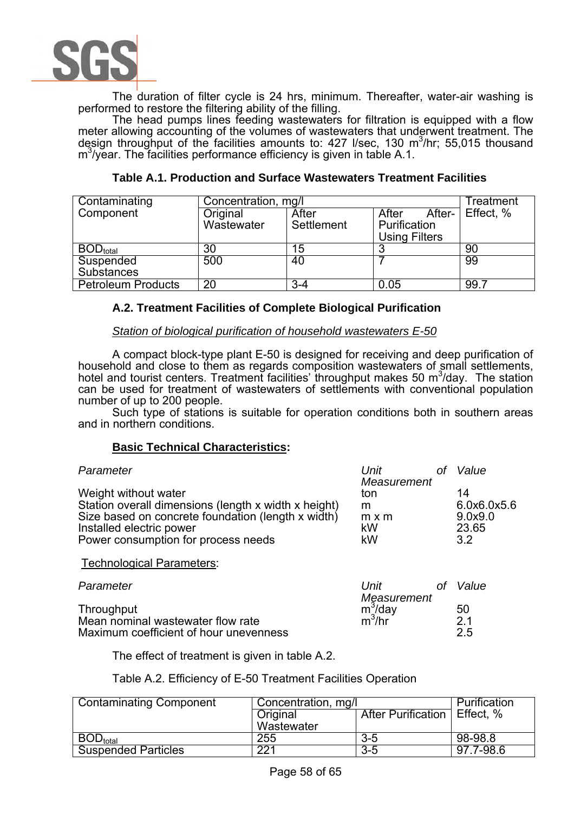

The duration of filter cycle is 24 hrs, minimum. Thereafter, water-air washing is performed to restore the filtering ability of the filling.

The head pumps lines feeding wastewaters for filtration is equipped with a flow meter allowing accounting of the volumes of wastewaters that underwent treatment. The design throughput of the facilities amounts to:  $427$  I/sec,  $130 \text{ m}^3/\text{hr}$ ; 55,015 thousand  $\text{m}^3$ /year. The facilities performance efficiency is given in table A.1.

| Contaminating             | Concentration, mg/l | Treatment  |                      |           |
|---------------------------|---------------------|------------|----------------------|-----------|
| Component                 | Original            | After      | After-<br>After      | Effect, % |
|                           | Wastewater          | Settlement | Purification         |           |
|                           |                     |            | <b>Using Filters</b> |           |
| $BOD_{total}$             | 30                  | 15         |                      | 90        |
| Suspended                 | 500                 | 40         |                      | 99        |
| <b>Substances</b>         |                     |            |                      |           |
| <b>Petroleum Products</b> | 20                  | $3 - 4$    | 0.05                 | 99.7      |

# **Table A.1. Production and Surface Wastewaters Treatment Facilities**

# **A.2. Treatment Facilities of Complete Biological Purification**

### *Station of biological purification of household wastewaters E-50*

A compact block-type plant E-50 is designed for receiving and deep purification of household and close to them as regards composition wastewaters of small settlements, hotel and tourist centers. Treatment facilities' throughput makes 50  $m^3/day$ . The station can be used for treatment of wastewaters of settlements with conventional population number of up to 200 people.

Such type of stations is suitable for operation conditions both in southern areas and in northern conditions.

### **Basic Technical Characteristics:**

| Parameter                                            | Unit         | <sub>Of</sub> | Value       |
|------------------------------------------------------|--------------|---------------|-------------|
|                                                      | Measurement  |               |             |
| Weight without water                                 | ton          |               | 14          |
| Station overall dimensions (length x width x height) | m            |               | 6.0x6.0x5.6 |
| Size based on concrete foundation (length x width)   | $m \times m$ |               | 9.0x9.0     |
| Installed electric power                             | kW           |               | 23.65       |
| Power consumption for process needs                  | kW           |               | 3.2         |
| <b>Technological Parameters:</b>                     |              |               |             |
| Parameter                                            | Unit         | Ωt            | Value       |
|                                                      | Measurement  |               |             |
| Throughput                                           | $m^3$ /day   |               | 50          |
| Mean nominal wastewater flow rate                    | $m^3$ /hr    |               | 2.1         |
| Maximum coefficient of hour unevenness               |              |               | 2.5         |

The effect of treatment is given in table A.2.

### Table A.2. Efficiency of E-50 Treatment Facilities Operation

| <b>Contaminating Component</b> | Concentration, mg/l | Purification                 |           |
|--------------------------------|---------------------|------------------------------|-----------|
|                                | Original            | After Purification Effect. % |           |
|                                | Wastewater          |                              |           |
| $\mathsf{BOD}_\mathsf{total}$  | 255                 | $3 - 5$                      | 98-98.8   |
| <b>Suspended Particles</b>     | 221                 | $3-5$                        | 97.7-98.6 |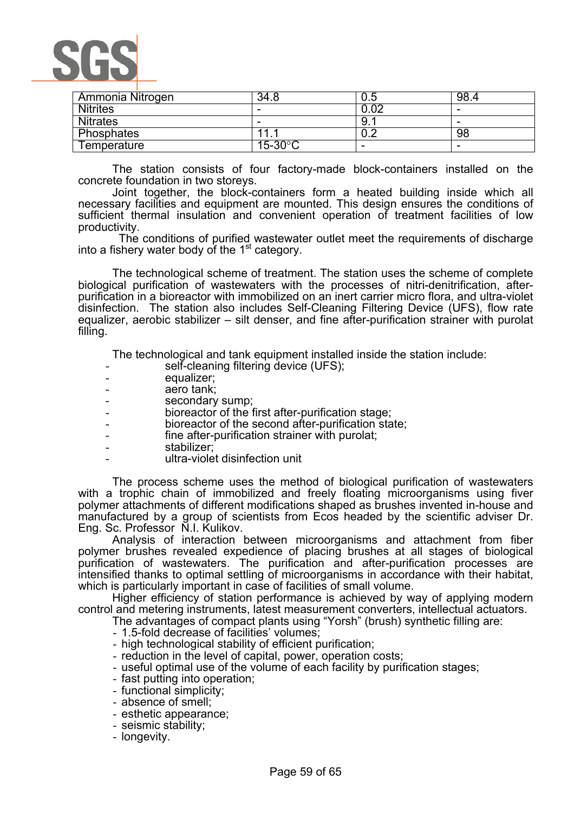

| Ammonia Nitrogen | 34.8                | 0.5  | 98.4                     |
|------------------|---------------------|------|--------------------------|
| <b>Nitrites</b>  | -                   | 0.02 | -                        |
| <b>Nitrates</b>  |                     | 9.   | -                        |
| Phosphates       | 44                  | U.Z  | 98                       |
| Temperature      | $15 - 30^{\circ}$ C | -    | $\overline{\phantom{0}}$ |

The station consists of four factory-made block-containers installed on the concrete foundation in two storeys.

Joint together, the block-containers form a heated building inside which all necessary facilities and equipment are mounted. This design ensures the conditions of sufficient thermal insulation and convenient operation of treatment facilities of low productivity.

 The conditions of purified wastewater outlet meet the requirements of discharge into a fishery water body of the  $1<sup>st</sup>$  category.

The technological scheme of treatment. The station uses the scheme of complete biological purification of wastewaters with the processes of nitri-denitrification, afterpurification in a bioreactor with immobilized on an inert carrier micro flora, and ultra-violet disinfection. The station also includes Self-Cleaning Filtering Device (UFS), flow rate equalizer, aerobic stabilizer – silt denser, and fine after-purification strainer with purolat filling.

The technological and tank equipment installed inside the station include:

- self-cleaning filtering device (UFS);
- equalizer;
- aero tank;
- secondary sump;
- bioreactor of the first after-purification stage;
- bioreactor of the second after-purification state;
- fine after-purification strainer with purolat;
- stabilizer:
- ultra-violet disinfection unit

The process scheme uses the method of biological purification of wastewaters with a trophic chain of immobilized and freely floating microorganisms using fiver polymer attachments of different modifications shaped as brushes invented in-house and manufactured by a group of scientists from Ecos headed by the scientific adviser Dr. Eng. Sc. Professor N.I. Kulikov.

Analysis of interaction between microorganisms and attachment from fiber polymer brushes revealed expedience of placing brushes at all stages of biological purification of wastewaters. The purification and after-purification processes are intensified thanks to optimal settling of microorganisms in accordance with their habitat, which is particularly important in case of facilities of small volume.

Higher efficiency of station performance is achieved by way of applying modern control and metering instruments, latest measurement converters, intellectual actuators.

The advantages of compact plants using "Yorsh" (brush) synthetic filling are:

- 
- 1.5-fold decrease of facilities' volumes;<br>- high technological stability of efficient purification;
- 
- reduction in the level of capital, power, operation costs;<br>- useful optimal use of the volume of each facility by purification stages;<br>- fast putting into operation;
- 
- functional simplicity;
- absence of smell;
- esthetic appearance;
- seismic stability;
- longevity.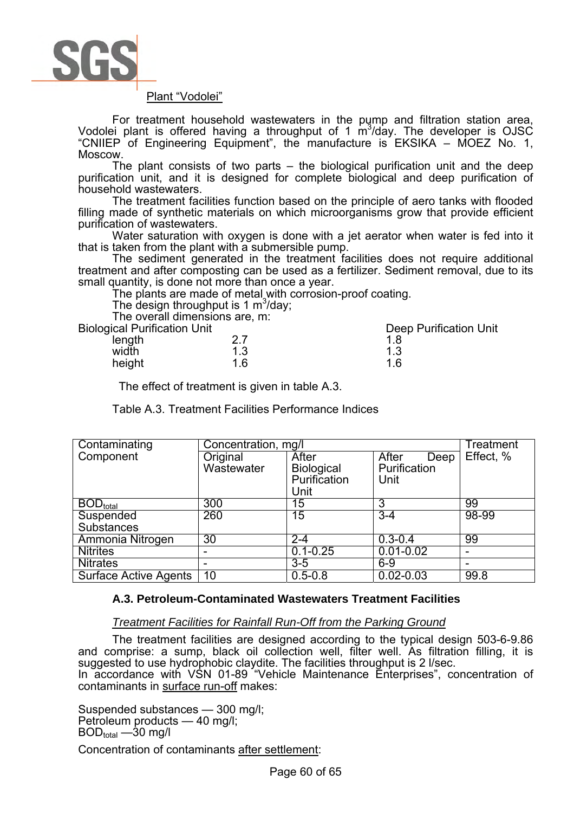

### Plant "Vodolei"

For treatment household wastewaters in the pump and filtration station area, Vodolei plant is offered having a throughput of 1  $\text{m}^3$ /day. The developer is OJSC "CNIIEP of Engineering Equipment", the manufacture is EKSIKA – MOEZ No. 1, Moscow.

The plant consists of two parts – the biological purification unit and the deep purification unit, and it is designed for complete biological and deep purification of household wastewaters.

The treatment facilities function based on the principle of aero tanks with flooded filling made of synthetic materials on which microorganisms grow that provide efficient purification of wastewaters.

Water saturation with oxygen is done with a jet aerator when water is fed into it that is taken from the plant with a submersible pump.

The sediment generated in the treatment facilities does not require additional treatment and after composting can be used as a fertilizer. Sediment removal, due to its small quantity, is done not more than once a year.

The plants are made of metal with corrosion-proof coating.

The design throughput is 1  $\text{m}^3$ /day;

The overall dimensions are, m:

| <b>Biological Purification Unit</b> |     | Deep Purification Unit |
|-------------------------------------|-----|------------------------|
| length                              |     |                        |
| width                               | 1.3 | 1.3                    |
| height                              | 1.6 | 1 6                    |

The effect of treatment is given in table A.3.

Table A.3. Treatment Facilities Performance Indices

| Contaminating                | Concentration, mg/l |              | Treatment     |           |
|------------------------------|---------------------|--------------|---------------|-----------|
| Component                    | Original            | After        | After<br>Deep | Effect, % |
|                              | Wastewater          | Biological   | Purification  |           |
|                              |                     | Purification | Unit          |           |
|                              |                     | Unit         |               |           |
| $BOD_{total}$                | 300                 | 15           | 3             | 99        |
| Suspended                    | 260                 | 15           | $3 - 4$       | 98-99     |
| <b>Substances</b>            |                     |              |               |           |
| Ammonia Nitrogen             | 30                  | $2 - 4$      | $0.3 - 0.4$   | 99        |
| <b>Nitrites</b>              |                     | $0.1 - 0.25$ | $0.01 - 0.02$ |           |
| <b>Nitrates</b>              |                     | $3 - 5$      | $6-9$         |           |
| <b>Surface Active Agents</b> | 10                  | $0.5 - 0.8$  | $0.02 - 0.03$ | 99.8      |

# **A.3. Petroleum-Contaminated Wastewaters Treatment Facilities**

# *Treatment Facilities for Rainfall Run-Off from the Parking Ground*

The treatment facilities are designed according to the typical design 503-6-9.86 and comprise: a sump, black oil collection well, filter well. As filtration filling, it is suggested to use hydrophobic claydite. The facilities throughput is 2 l/sec. In accordance with VSN 01-89 "Vehicle Maintenance Enterprises", concentration of contaminants in surface run-off makes:

Suspended substances — 300 mg/l; Petroleum products — 40 mg/l;  $BOD<sub>total</sub> - 30$  mg/l

Concentration of contaminants after settlement: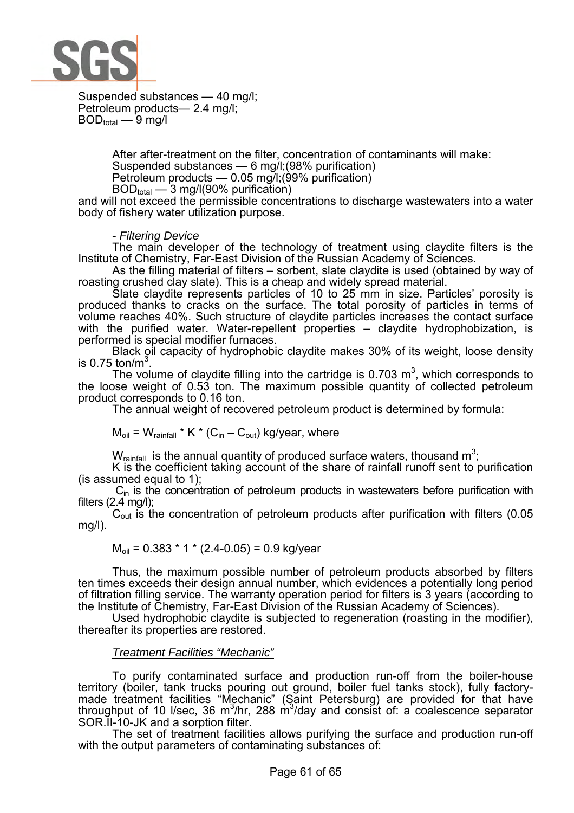

Suspended substances — 40 mg/l; Petroleum products— 2.4 mg/l;  $BOD_{total}$  — 9 mg/l

> After after-treatment on the filter, concentration of contaminants will make: Suspended substances — 6 mg/l;(98% purification) Petroleum products  $-$  0.05 mg/l;(99% purification) BODtotal — 3 mg/l(90% purification)

and will not exceed the permissible concentrations to discharge wastewaters into a water body of fishery water utilization purpose.

- *Filtering Device* 

The main developer of the technology of treatment using claydite filters is the Institute of Chemistry, Far-East Division of the Russian Academy of Sciences.

As the filling material of filters – sorbent, slate claydite is used (obtained by way of roasting crushed clay slate). This is a cheap and widely spread material.

Slate claydite represents particles of 10 to 25 mm in size. Particles' porosity is produced thanks to cracks on the surface. The total porosity of particles in terms of volume reaches 40%. Such structure of claydite particles increases the contact surface with the purified water. Water-repellent properties – claydite hydrophobization, is performed is special modifier furnaces.

Black oil capacity of hydrophobic claydite makes 30% of its weight, loose density is 0.75 ton/m $^3$ .

The volume of claydite filling into the cartridge is 0.703  $m^3$ , which corresponds to the loose weight of 0.53 ton. The maximum possible quantity of collected petroleum product corresponds to 0.16 ton.

The annual weight of recovered petroleum product is determined by formula:

 $M_{\text{oil}} = W_{\text{rainfall}} * K * (C_{\text{in}} - C_{\text{out}})$  kg/year, where

 $W_{\text{rainfall}}$  is the annual quantity of produced surface waters, thousand  $\text{m}^3$ ;

K is the coefficient taking account of the share of rainfall runoff sent to purification (is assumed equal to 1);

 $C_{\text{in}}$  is the concentration of petroleum products in wastewaters before purification with filters  $(2.4 \text{ mg/l})$ ;

 $C<sub>out</sub>$  is the concentration of petroleum products after purification with filters (0.05 mg/l).

$$
M_{\text{oil}} = 0.383 * 1 * (2.4 - 0.05) = 0.9 \text{ kg/year}
$$

Thus, the maximum possible number of petroleum products absorbed by filters ten times exceeds their design annual number, which evidences a potentially long period of filtration filling service. The warranty operation period for filters is 3 years (according to the Institute of Chemistry, Far-East Division of the Russian Academy of Sciences).

Used hydrophobic claydite is subjected to regeneration (roasting in the modifier), thereafter its properties are restored.

### *Treatment Facilities "Mechanic"*

To purify contaminated surface and production run-off from the boiler-house territory (boiler, tank trucks pouring out ground, boiler fuel tanks stock), fully factorymade treatment facilities "Mechanic" (Saint Petersburg) are provided for that have throughput of 10 I/sec, 36 m<sup>3</sup>/hr, 288 m<sup>3</sup>/day and consist of: a coalescence separator SOR.II-10-JK and a sorption filter.

The set of treatment facilities allows purifying the surface and production run-off with the output parameters of contaminating substances of: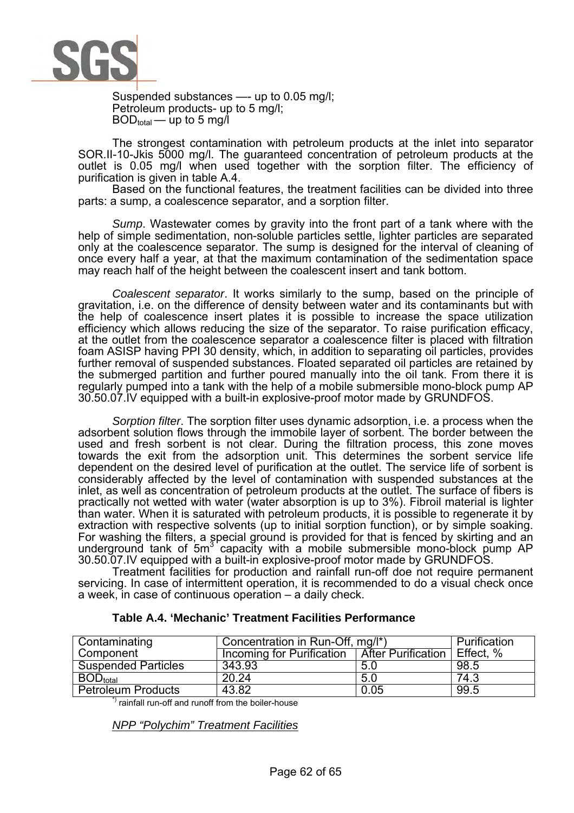

Suspended substances —- up to 0.05 mg/l; Petroleum products- up to 5 mg/l;  $BOD_{total}$  — up to 5 mg/l

The strongest contamination with petroleum products at the inlet into separator SOR.II-10-Jkis 5000 mg/l. The guaranteed concentration of petroleum products at the outlet is 0.05 mg/l when used together with the sorption filter. The efficiency of purification is given in table A.4.

Based on the functional features, the treatment facilities can be divided into three parts: a sump, a coalescence separator, and a sorption filter.

*Sump*. Wastewater comes by gravity into the front part of a tank where with the help of simple sedimentation, non-soluble particles settle, lighter particles are separated only at the coalescence separator. The sump is designed for the interval of cleaning of once every half a year, at that the maximum contamination of the sedimentation space may reach half of the height between the coalescent insert and tank bottom.

*Coalescent separator*. It works similarly to the sump, based on the principle of gravitation, i.e. on the difference of density between water and its contaminants but with the help of coalescence insert plates it is possible to increase the space utilization efficiency which allows reducing the size of the separator. To raise purification efficacy, at the outlet from the coalescence separator a coalescence filter is placed with filtration foam ASISP having PPI 30 density, which, in addition to separating oil particles, provides further removal of suspended substances. Floated separated oil particles are retained by the submerged partition and further poured manually into the oil tank. From there it is regularly pumped into a tank with the help of a mobile submersible mono-block pump AP 30.50.07.IV equipped with a built-in explosive-proof motor made by GRUNDFOS.

*Sorption filter*. The sorption filter uses dynamic adsorption, i.e. a process when the adsorbent solution flows through the immobile layer of sorbent. The border between the used and fresh sorbent is not clear. During the filtration process, this zone moves towards the exit from the adsorption unit. This determines the sorbent service life dependent on the desired level of purification at the outlet. The service life of sorbent is considerably affected by the level of contamination with suspended substances at the inlet, as well as concentration of petroleum products at the outlet. The surface of fibers is practically not wetted with water (water absorption is up to 3%). Fibroil material is lighter than water. When it is saturated with petroleum products, it is possible to regenerate it by extraction with respective solvents (up to initial sorption function), or by simple soaking. For washing the filters, a special ground is provided for that is fenced by skirting and an underground tank of  $5m<sup>3</sup>$  capacity with a mobile submersible mono-block pump AP 30.50.07.IV equipped with a built-in explosive-proof motor made by GRUNDFOS.

Treatment facilities for production and rainfall run-off doe not require permanent servicing. In case of intermittent operation, it is recommended to do a visual check once a week, in case of continuous operation – a daily check.

| Contaminating              | Concentration in Run-Off, mg/l*) | Purification                        |      |
|----------------------------|----------------------------------|-------------------------------------|------|
| Component                  | Incoming for Purification        | <b>After Purification Effect. %</b> |      |
| <b>Suspended Particles</b> | 343.93                           | 5.0                                 | 98.5 |
| $BOD_{total}$              | 20.24                            | 5.0                                 | 74.3 |
| <b>Petroleum Products</b>  | 43.82                            | 0.05                                | 99.5 |

# **Table A.4. 'Mechanic' Treatment Facilities Performance**

\*) rainfall run-off and runoff from the boiler-house

*NPP "Polychim" Treatment Facilities*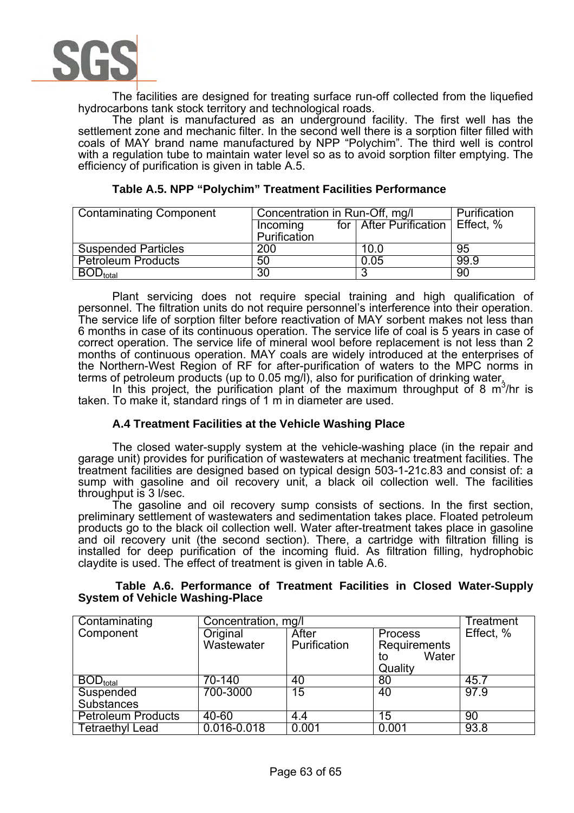

The facilities are designed for treating surface run-off collected from the liquefied hydrocarbons tank stock territory and technological roads.

The plant is manufactured as an underground facility. The first well has the settlement zone and mechanic filter. In the second well there is a sorption filter filled with coals of MAY brand name manufactured by NPP "Polychim". The third well is control with a regulation tube to maintain water level so as to avoid sorption filter emptying. The efficiency of purification is given in table A.5.

| <b>Contaminating Component</b> | Concentration in Run-Off, mg/l |                                      | Purification |
|--------------------------------|--------------------------------|--------------------------------------|--------------|
|                                | Incoming                       | for   After Purification   Effect, % |              |
|                                | Purification                   |                                      |              |
| <b>Suspended Particles</b>     | 200                            | 10.0                                 | 95           |
| <b>Petroleum Products</b>      | 50                             | 0.05                                 | 99.9         |
| $BOD_{total}$                  | 30                             |                                      | 90           |

## **Table A.5. NPP "Polychim" Treatment Facilities Performance**

Plant servicing does not require special training and high qualification of personnel. The filtration units do not require personnel's interference into their operation. The service life of sorption filter before reactivation of MAY sorbent makes not less than 6 months in case of its continuous operation. The service life of coal is 5 years in case of correct operation. The service life of mineral wool before replacement is not less than 2 months of continuous operation. MAY coals are widely introduced at the enterprises of the Northern-West Region of RF for after-purification of waters to the MPC norms in terms of petroleum products (up to 0.05 mg/l), also for purification of drinking water.

In this project, the purification plant of the maximum throughput of 8  $m^3/nr$  is taken. To make it, standard rings of 1 m in diameter are used.

### **A.4 Treatment Facilities at the Vehicle Washing Place**

The closed water-supply system at the vehicle-washing place (in the repair and garage unit) provides for purification of wastewaters at mechanic treatment facilities. The treatment facilities are designed based on typical design 503-1-21c.83 and consist of: a sump with gasoline and oil recovery unit, a black oil collection well. The facilities throughput is 3 l/sec.

The gasoline and oil recovery sump consists of sections. In the first section, preliminary settlement of wastewaters and sedimentation takes place. Floated petroleum products go to the black oil collection well. Water after-treatment takes place in gasoline and oil recovery unit (the second section). There, a cartridge with filtration filling is installed for deep purification of the incoming fluid. As filtration filling, hydrophobic claydite is used. The effect of treatment is given in table A.6.

### **Table A.6. Performance of Treatment Facilities in Closed Water-Supply System of Vehicle Washing-Place**

| Contaminating                            | Concentration, mg/l |              |                     | <b>Treatment</b> |
|------------------------------------------|---------------------|--------------|---------------------|------------------|
| Component                                | Original            | After        | Process             | Effect, %        |
|                                          | Wastewater          | Purification | <b>Requirements</b> |                  |
|                                          |                     |              | Water<br>to         |                  |
|                                          |                     |              | Quality             |                  |
| $\overline{\mathsf{BOD}}_\mathsf{total}$ | 70-140              | 40           | 80                  | 45.7             |
| Suspended                                | 700-3000            | 15           | 40                  | 97.9             |
| Substances                               |                     |              |                     |                  |
| <b>Petroleum Products</b>                | 40-60               | 4.4          | 15                  | 90               |
| <b>Tetraethyl Lead</b>                   | $0.016 - 0.018$     | 0.001        | 0.001               | 93.8             |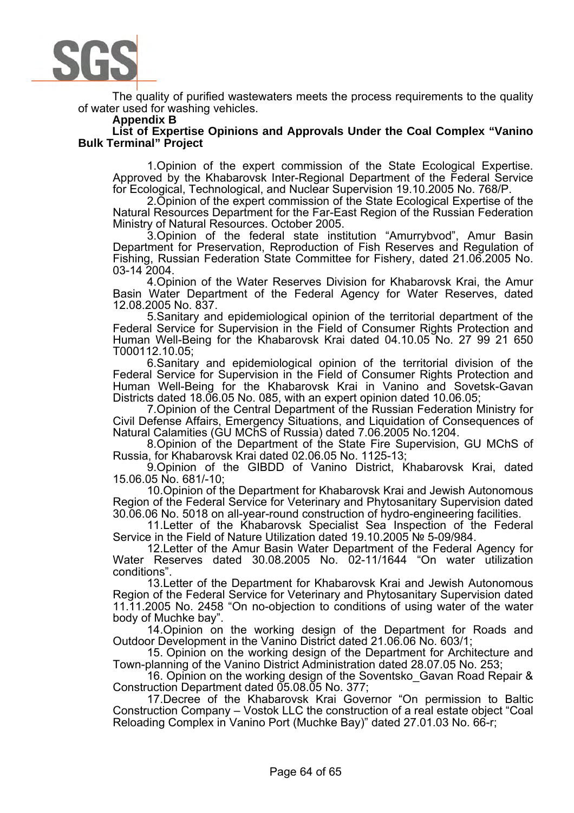

The quality of purified wastewaters meets the process requirements to the quality of water used for washing vehicles.

#### **Appendix B**

**List of Expertise Opinions and Approvals Under the Coal Complex "Vanino Bulk Terminal" Project** 

1.Opinion of the expert commission of the State Ecological Expertise. Approved by the Khabarovsk Inter-Regional Department of the Federal Service for Ecological, Technological, and Nuclear Supervision 19.10.2005 No. 768/P.

2.Opinion of the expert commission of the State Ecological Expertise of the Natural Resources Department for the Far-East Region of the Russian Federation Ministry of Natural Resources. October 2005.

3.Opinion of the federal state institution "Amurrybvod", Amur Basin Department for Preservation, Reproduction of Fish Reserves and Regulation of Fishing, Russian Federation State Committee for Fishery, dated 21.06.2005 No. 03-14 2004.

4.Opinion of the Water Reserves Division for Khabarovsk Krai, the Amur Basin Water Department of the Federal Agency for Water Reserves, dated 12.08.2005 No. 837.

5.Sanitary and epidemiological opinion of the territorial department of the Federal Service for Supervision in the Field of Consumer Rights Protection and Human Well-Being for the Khabarovsk Krai dated 04.10.05 No. 27 99 21 650 T000112.10.05;

6.Sanitary and epidemiological opinion of the territorial division of the Federal Service for Supervision in the Field of Consumer Rights Protection and Human Well-Being for the Khabarovsk Krai in Vanino and Sovetsk-Gavan Districts dated 18.06.05 No. 085, with an expert opinion dated 10.06.05;

7.Opinion of the Central Department of the Russian Federation Ministry for Civil Defense Affairs, Emergency Situations, and Liquidation of Consequences of Natural Calamities (GU MChS of Russia) dated 7.06.2005 No.1204.

8.Opinion of the Department of the State Fire Supervision, GU MChS of Russia, for Khabarovsk Krai dated 02.06.05 No. 1125-13;

9.Opinion of the GIBDD of Vanino District, Khabarovsk Krai, dated 15.06.05 No. 681/-10;

10.Opinion of the Department for Khabarovsk Krai and Jewish Autonomous Region of the Federal Service for Veterinary and Phytosanitary Supervision dated 30.06.06 No. 5018 on all-year-round construction of hydro-engineering facilities.

11.Letter of the Khabarovsk Specialist Sea Inspection of the Federal Service in the Field of Nature Utilization dated 19.10.2005 № 5-09/984.

12.Letter of the Amur Basin Water Department of the Federal Agency for Water Reserves dated 30.08.2005 No. 02-11/1644 "On water utilization conditions".

13.Letter of the Department for Khabarovsk Krai and Jewish Autonomous Region of the Federal Service for Veterinary and Phytosanitary Supervision dated 11.11.2005 No. 2458 "On no-objection to conditions of using water of the water body of Muchke bay".

14.Opinion on the working design of the Department for Roads and Outdoor Development in the Vanino District dated 21.06.06 No. 603/1;

15. Opinion on the working design of the Department for Architecture and Town-planning of the Vanino District Administration dated 28.07.05 No. 253;

16. Opinion on the working design of the Soventsko\_Gavan Road Repair & Construction Department dated 05.08.05 No. 377;

17.Decree of the Khabarovsk Krai Governor "On permission to Baltic Construction Company – Vostok LLC the construction of a real estate object "Coal Reloading Complex in Vanino Port (Muchke Bay)" dated 27.01.03 No. 66-r;